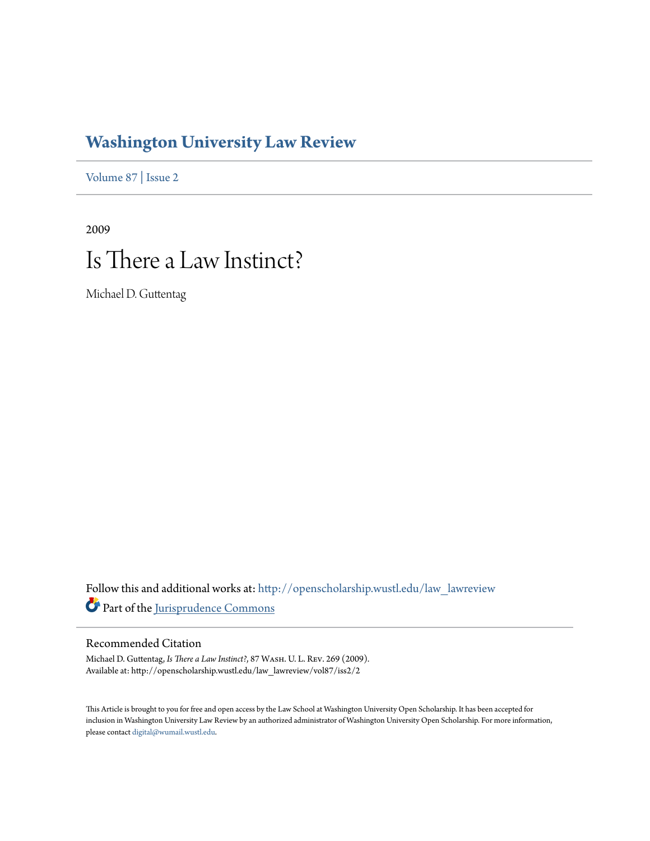# **[Washington University Law Review](http://openscholarship.wustl.edu/law_lawreview?utm_source=openscholarship.wustl.edu%2Flaw_lawreview%2Fvol87%2Fiss2%2F2&utm_medium=PDF&utm_campaign=PDFCoverPages)**

[Volume 87](http://openscholarship.wustl.edu/law_lawreview/vol87?utm_source=openscholarship.wustl.edu%2Flaw_lawreview%2Fvol87%2Fiss2%2F2&utm_medium=PDF&utm_campaign=PDFCoverPages) | [Issue 2](http://openscholarship.wustl.edu/law_lawreview/vol87/iss2?utm_source=openscholarship.wustl.edu%2Flaw_lawreview%2Fvol87%2Fiss2%2F2&utm_medium=PDF&utm_campaign=PDFCoverPages)

# 2009 Is There a Law Instinct?

Michael D. Guttentag

Follow this and additional works at: [http://openscholarship.wustl.edu/law\\_lawreview](http://openscholarship.wustl.edu/law_lawreview?utm_source=openscholarship.wustl.edu%2Flaw_lawreview%2Fvol87%2Fiss2%2F2&utm_medium=PDF&utm_campaign=PDFCoverPages) Part of the [Jurisprudence Commons](http://network.bepress.com/hgg/discipline/610?utm_source=openscholarship.wustl.edu%2Flaw_lawreview%2Fvol87%2Fiss2%2F2&utm_medium=PDF&utm_campaign=PDFCoverPages)

# Recommended Citation

Michael D. Guttentag, *Is There a Law Instinct?*, 87 Wash. U. L. Rev. 269 (2009). Available at: http://openscholarship.wustl.edu/law\_lawreview/vol87/iss2/2

This Article is brought to you for free and open access by the Law School at Washington University Open Scholarship. It has been accepted for inclusion in Washington University Law Review by an authorized administrator of Washington University Open Scholarship. For more information, please contact [digital@wumail.wustl.edu.](mailto:digital@wumail.wustl.edu)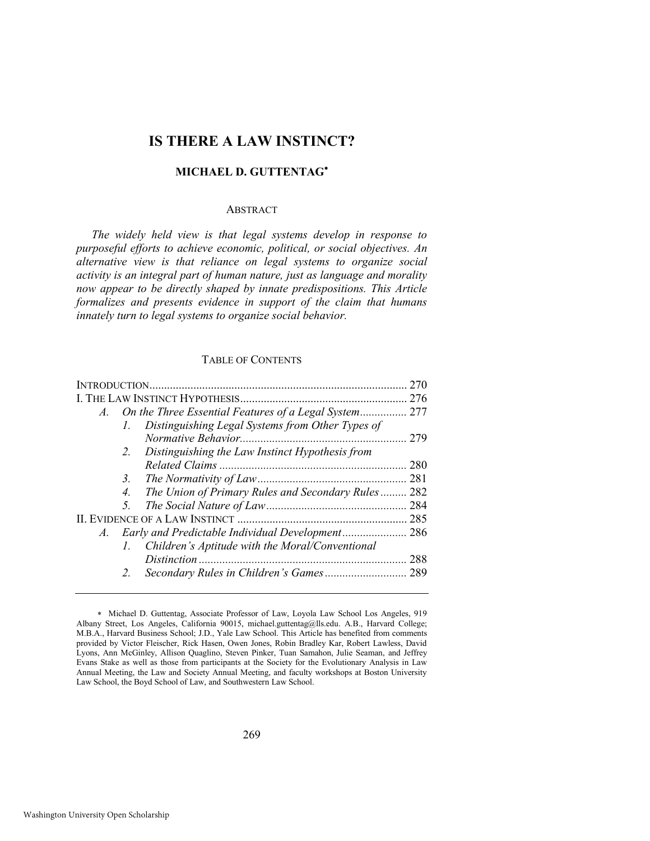# **IS THERE A LAW INSTINCT?**

# **MICHAEL D. GUTTENTAG**

# ABSTRACT

*The widely held view is that legal systems develop in response to purposeful efforts to achieve economic, political, or social objectives. An alternative view is that reliance on legal systems to organize social activity is an integral part of human nature, just as language and morality now appear to be directly shaped by innate predispositions. This Article formalizes and presents evidence in support of the claim that humans innately turn to legal systems to organize social behavior.* 

#### TABLE OF CONTENTS

| $A_{\cdot}$ | On the Three Essential Features of a Legal System 277          |     |
|-------------|----------------------------------------------------------------|-----|
|             | Distinguishing Legal Systems from Other Types of<br>Ι.         |     |
|             |                                                                | 279 |
|             | Distinguishing the Law Instinct Hypothesis from<br>2.          |     |
|             |                                                                | 280 |
|             | 3.                                                             | 281 |
|             | The Union of Primary Rules and Secondary Rules<br>4.           | 282 |
|             | 5.                                                             | 284 |
|             |                                                                |     |
| $A_{\cdot}$ |                                                                | 286 |
|             | Children's Aptitude with the Moral/Conventional<br>$l_{\perp}$ |     |
|             |                                                                | 288 |
|             |                                                                | 289 |
|             |                                                                |     |

Michael D. Guttentag, Associate Professor of Law, Loyola Law School Los Angeles, 919 Albany Street, Los Angeles, California 90015, [michael.guttentag@lls.edu.](mailto:michael.guttentag@lls.edu) A.B., Harvard College; M.B.A., Harvard Business School; J.D., Yale Law School. This Article has benefited from comments provided by Victor Fleischer, Rick Hasen, Owen Jones, Robin Bradley Kar, Robert Lawless, David Lyons, Ann McGinley, Allison Quaglino, Steven Pinker, Tuan Samahon, Julie Seaman, and Jeffrey Evans Stake as well as those from participants at the Society for the Evolutionary Analysis in Law Annual Meeting, the Law and Society Annual Meeting, and faculty workshops at Boston University Law School, the Boyd School of Law, and Southwestern Law School.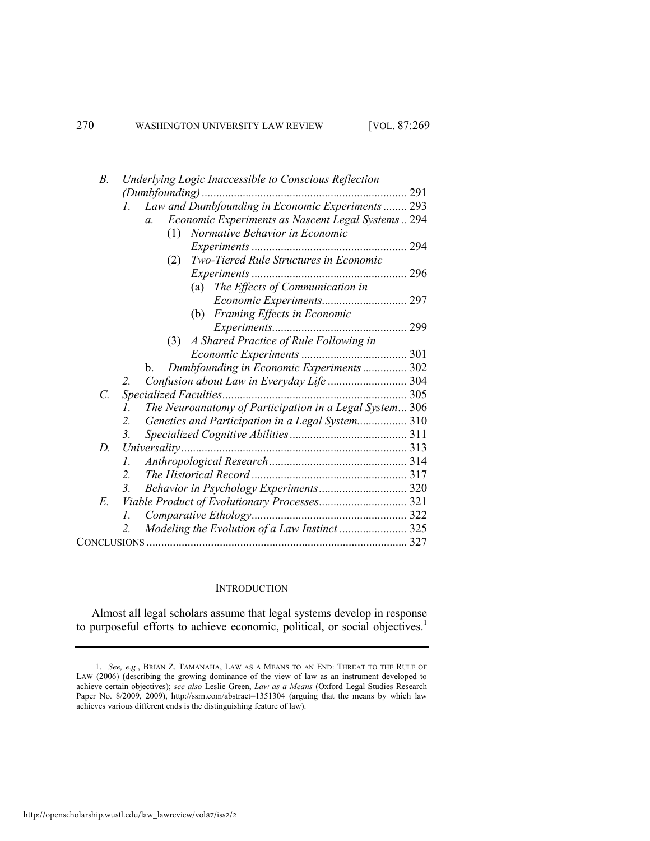|               | $B$ .   | Underlying Logic Inaccessible to Conscious Reflection                 |     |
|---------------|---------|-----------------------------------------------------------------------|-----|
|               |         | $(Dumbfounding)$                                                      |     |
|               |         | Law and Dumbfounding in Economic Experiments  293<br>$l_{\cdot}$      |     |
|               |         | Economic Experiments as Nascent Legal Systems 294<br>$\mathfrak{a}$ . |     |
|               |         | Normative Behavior in Economic<br>(1)                                 |     |
|               |         |                                                                       | 294 |
|               |         | Two-Tiered Rule Structures in Economic<br>(2)                         |     |
|               |         |                                                                       |     |
|               |         | (a) The Effects of Communication in                                   |     |
|               |         |                                                                       |     |
|               |         | (b) Framing Effects in Economic                                       |     |
|               |         |                                                                       |     |
|               |         | A Shared Practice of Rule Following in<br>(3)                         |     |
|               |         |                                                                       |     |
|               |         | Dumbfounding in Economic Experiments  302<br>b.                       |     |
|               |         | Confusion about Law in Everyday Life  304                             |     |
| $\mathcal{C}$ |         |                                                                       |     |
|               |         | The Neuroanatomy of Participation in a Legal System 306               |     |
|               |         | Genetics and Participation in a Legal System 310<br>2.                |     |
|               |         | 3.                                                                    |     |
|               | D.      |                                                                       |     |
|               |         | I.                                                                    |     |
|               | $2_{-}$ |                                                                       |     |
|               |         | Behavior in Psychology Experiments 320<br>$\mathfrak{Z}$ .            |     |
| E.            |         |                                                                       |     |
|               |         | L.                                                                    |     |
|               |         | Modeling the Evolution of a Law Instinct  325<br>2.                   |     |
|               |         |                                                                       |     |
|               |         |                                                                       |     |

#### **INTRODUCTION**

Almost all legal scholars assume that legal systems develop in response to purposeful efforts to achieve economic, political, or social objectives.<sup>1</sup>

<sup>1.</sup> *See, e.g*., BRIAN Z. TAMANAHA, LAW AS A MEANS TO AN END: THREAT TO THE RULE OF LAW (2006) (describing the growing dominance of the view of law as an instrument developed to achieve certain objectives); *see also* Leslie Green, *Law as a Means* (Oxford Legal Studies Research Paper No. 8/2009, 2009),<http://ssrn.com/abstract=1351304>(arguing that the means by which law achieves various different ends is the distinguishing feature of law).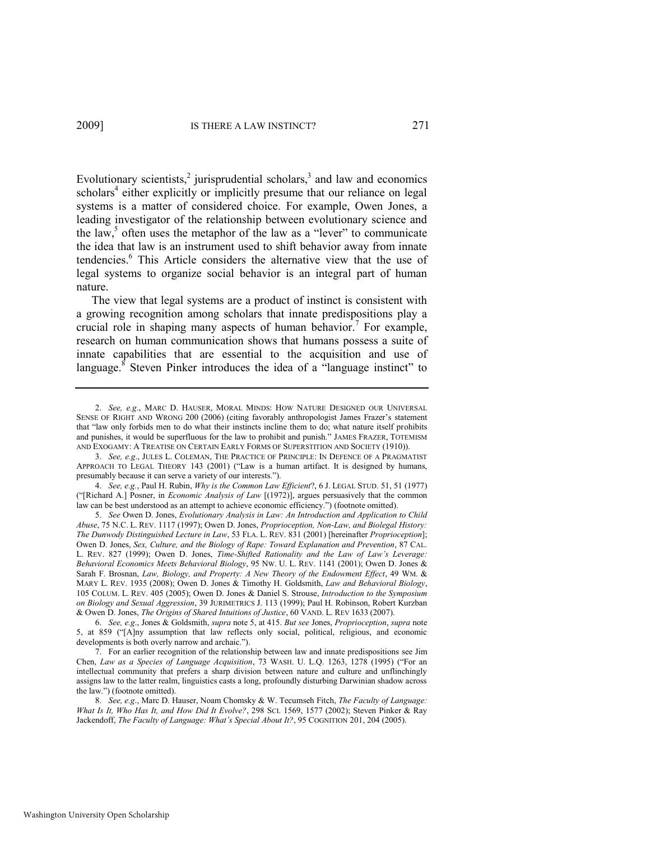<span id="page-3-3"></span><span id="page-3-1"></span><span id="page-3-0"></span>Evolutionary scientists, $\frac{2}{3}$  jurisprudential scholars, $\frac{3}{3}$  and law and economics scholars<sup>4</sup> either explicitly or implicitly presume that our reliance on legal systems is a matter of considered choice. For example, Owen Jones, a leading investigator of the relationship between evolutionary science and the law, $5$  often uses the metaphor of the law as a "lever" to communicate the idea that law is an instrument used to shift behavior away from innate tendencies.<sup>6</sup> This Article considers the alternative view that the use of legal systems to organize social behavior is an integral part of human nature.

The view that legal systems are a product of instinct is consistent with a growing recognition among scholars that innate predispositions play a crucial role in shaping many aspects of human behavior.<sup>7</sup> For example, research on human communication shows that humans possess a suite of innate capabilities that are essential to the acquisition and use of language.<sup>8</sup> Steven Pinker introduces the idea of a "language instinct" to

4. *See, e.g.*, Paul H. Rubin, *Why is the Common Law Efficient*?, 6 J. LEGAL STUD. 51, 51 (1977) (―[Richard A.] Posner, in *Economic Analysis of Law* [(1972)], argues persuasively that the common law can be best understood as an attempt to achieve economic efficiency.") (footnote omitted).

5. *See* Owen D. Jones, *Evolutionary Analysis in Law: An Introduction and Application to Child Abuse*, 75 N.C. L. REV. 1117 (1997); Owen D. Jones, *Proprioception, Non-Law, and Biolegal History: The Dunwody Distinguished Lecture in Law*, 53 FLA. L. REV. 831 (2001) [hereinafter *Proprioception*]; Owen D. Jones, *Sex, Culture, and the Biology of Rape: Toward Explanation and Prevention*, 87 CAL. L. REV. 827 (1999); Owen D. Jones, *Time-Shifted Rationality and the Law of Law's Leverage: Behavioral Economics Meets Behavioral Biology*, 95 NW. U. L. REV. 1141 (2001); Owen D. Jones & Sarah F. Brosnan, *Law, Biology, and Property: A New Theory of the Endowment Effect*, 49 WM. & MARY L. REV. 1935 (2008); Owen D. Jones & Timothy H. Goldsmith, *Law and Behavioral Biology*, 105 COLUM. L. REV. 405 (2005); Owen D. Jones & Daniel S. Strouse, *Introduction to the Symposium on Biology and Sexual Aggression*, 39 JURIMETRICS J. 113 (1999); Paul H. Robinson, Robert Kurzban & Owen D. Jones, *The Origins of Shared Intuitions of Justice*, 60 VAND. L. REV 1633 (2007).

6. *See, e.g*., Jones & Goldsmith, *supra* not[e 5,](#page-3-0) at 415. *But see* Jones, *Proprioception*, *supra* note [5,](#page-3-0) at 859 ("[A]ny assumption that law reflects only social, political, religious, and economic developments is both overly narrow and archaic.").

7. For an earlier recognition of the relationship between law and innate predispositions see Jim Chen, *Law as a Species of Language Acquisition*, 73 WASH. U. L.Q. 1263, 1278 (1995) ("For an intellectual community that prefers a sharp division between nature and culture and unflinchingly assigns law to the latter realm, linguistics casts a long, profoundly disturbing Darwinian shadow across the law.‖) (footnote omitted).

8. *See, e.g*., Marc D. Hauser, Noam Chomsky & W. Tecumseh Fitch, *The Faculty of Language: What Is It, Who Has It, and How Did It Evolve?*, 298 SCI. 1569, 1577 (2002); Steven Pinker & Ray Jackendoff, *The Faculty of Language: What's Special About It?*, 95 COGNITION 201, 204 (2005).

<span id="page-3-2"></span><sup>2.</sup> *See, e.g*., MARC D. HAUSER, MORAL MINDS: HOW NATURE DESIGNED OUR UNIVERSAL SENSE OF RIGHT AND WRONG 200 (2006) (citing favorably anthropologist James Frazer's statement that "law only forbids men to do what their instincts incline them to do; what nature itself prohibits and punishes, it would be superfluous for the law to prohibit and punish." JAMES FRAZER, TOTEMISM AND EXOGAMY: A TREATISE ON CERTAIN EARLY FORMS OF SUPERSTITION AND SOCIETY (1910)).

<sup>3.</sup> *See, e.g*., JULES L. COLEMAN, THE PRACTICE OF PRINCIPLE: IN DEFENCE OF A PRAGMATIST APPROACH TO LEGAL THEORY 143 (2001) ("Law is a human artifact. It is designed by humans, presumably because it can serve a variety of our interests.").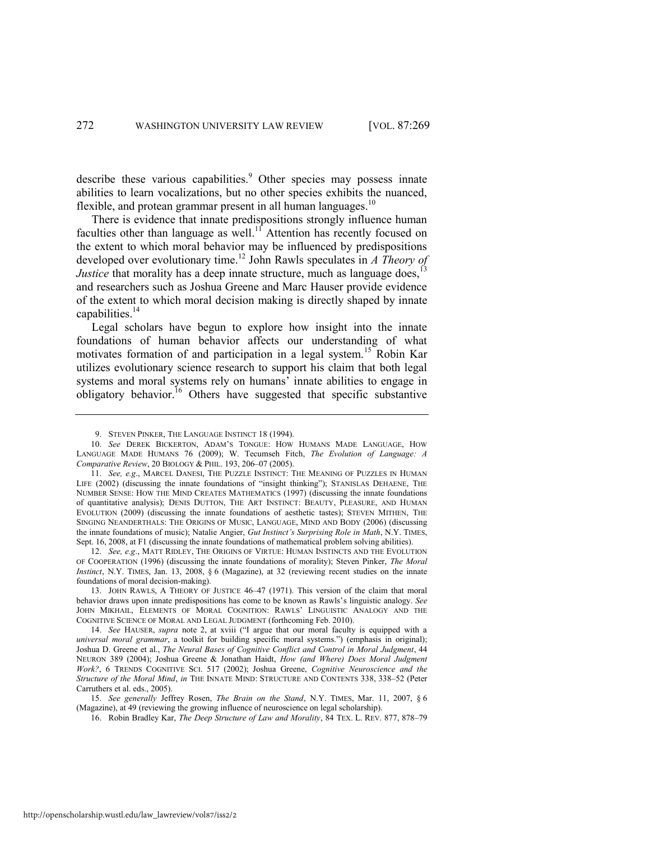<span id="page-4-1"></span>describe these various capabilities.<sup>9</sup> Other species may possess innate abilities to learn vocalizations, but no other species exhibits the nuanced, flexible, and protean grammar present in all human languages.<sup>10</sup>

<span id="page-4-2"></span><span id="page-4-0"></span>There is evidence that innate predispositions strongly influence human faculties other than language as well.<sup>11</sup> Attention has recently focused on the extent to which moral behavior may be influenced by predispositions developed over evolutionary time.<sup>12</sup> John Rawls speculates in *A Theory of Justice* that morality has a deep innate structure, much as language does,<sup>1</sup> and researchers such as Joshua Greene and Marc Hauser provide evidence of the extent to which moral decision making is directly shaped by innate capabilities.<sup>14</sup>

<span id="page-4-4"></span>Legal scholars have begun to explore how insight into the innate foundations of human behavior affects our understanding of what motivates formation of and participation in a legal system.<sup>15</sup> Robin Kar utilizes evolutionary science research to support his claim that both legal systems and moral systems rely on humans' innate abilities to engage in obligatory behavior.<sup>16</sup> Others have suggested that specific substantive

13. JOHN RAWLS, A THEORY OF JUSTICE 46–47 (1971). This version of the claim that moral behavior draws upon innate predispositions has come to be known as Rawls's linguistic analogy. *See* JOHN MIKHAIL, ELEMENTS OF MORAL COGNITION: RAWLS' LINGUISTIC ANALOGY AND THE COGNITIVE SCIENCE OF MORAL AND LEGAL JUDGMENT (forthcoming Feb. 2010).

14. See HAUSER, *supra* note [2,](#page-3-1) at xviii ("I argue that our moral faculty is equipped with a *universal moral grammar*, a toolkit for building specific moral systems.") (emphasis in original); Joshua D. Greene et al., *The Neural Bases of Cognitive Conflict and Control in Moral Judgment*, 44 NEURON 389 (2004); Joshua Greene & Jonathan Haidt, *How (and Where) Does Moral Judgment Work?*, 6 TRENDS COGNITIVE SCI. 517 (2002); Joshua Greene, *Cognitive Neuroscience and the Structure of the Moral Mind*, *in* THE INNATE MIND: STRUCTURE AND CONTENTS 338, 338–52 (Peter Carruthers et al. eds., 2005).

15. *See generally* Jeffrey Rosen, *The Brain on the Stand*, N.Y. TIMES, Mar. 11, 2007, § 6 (Magazine), at 49 (reviewing the growing influence of neuroscience on legal scholarship).

16. Robin Bradley Kar, *The Deep Structure of Law and Morality*, 84 TEX. L. REV. 877, 878–79

<span id="page-4-3"></span><sup>9.</sup> STEVEN PINKER, THE LANGUAGE INSTINCT 18 (1994).

<sup>10.</sup> *See* DEREK BICKERTON, ADAM'S TONGUE: HOW HUMANS MADE LANGUAGE, HOW LANGUAGE MADE HUMANS 76 (2009); W. Tecumseh [Fitch,](http://www.isrl.uiuc.edu/~amag/langev/author/wtfitch.html) *The Evolution of Language: A Comparative Review*, 20 B[IOLOGY](http://www.isrl.uiuc.edu/~amag/langev/pubtype/article_BiologyandPhilosophy.html) & PHIL. 193, 206–07 (2005).

<sup>11.</sup> *See, e.g*., MARCEL DANESI, THE PUZZLE INSTINCT: THE MEANING OF PUZZLES IN HUMAN LIFE (2002) (discussing the innate foundations of "insight thinking"); STANISLAS DEHAENE, THE NUMBER SENSE: HOW THE MIND CREATES MATHEMATICS (1997) (discussing the innate foundations of quantitative analysis); DENIS DUTTON, THE ART INSTINCT: BEAUTY, PLEASURE, AND HUMAN EVOLUTION (2009) (discussing the innate foundations of aesthetic tastes); STEVEN MITHEN, THE SINGING NEANDERTHALS: THE ORIGINS OF MUSIC, LANGUAGE, MIND AND BODY (2006) (discussing the innate foundations of music); Natalie Angier, *Gut Instinct's Surprising Role in Math*, N.Y. TIMES, Sept. 16, 2008, at F1 (discussing the innate foundations of mathematical problem solving abilities).

<sup>12.</sup> *See, e.g*., MATT RIDLEY, THE ORIGINS OF VIRTUE: HUMAN INSTINCTS AND THE EVOLUTION OF COOPERATION (1996) (discussing the innate foundations of morality); Steven Pinker, *The Moral Instinct*, N.Y. TIMES, Jan. 13, 2008, § 6 (Magazine), at 32 (reviewing recent studies on the innate foundations of moral decision-making).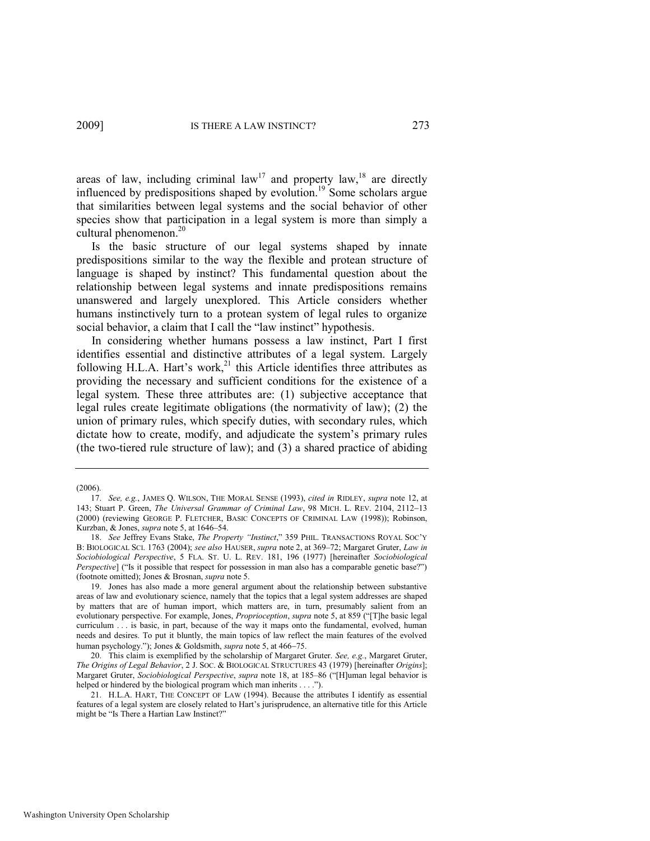<span id="page-5-0"></span>areas of law, including criminal  $law<sup>17</sup>$  and property law,<sup>18</sup> are directly influenced by predispositions shaped by evolution.<sup>19</sup> Some scholars argue that similarities between legal systems and the social behavior of other species show that participation in a legal system is more than simply a cultural phenomenon.<sup>20</sup>

<span id="page-5-2"></span>Is the basic structure of our legal systems shaped by innate predispositions similar to the way the flexible and protean structure of language is shaped by instinct? This fundamental question about the relationship between legal systems and innate predispositions remains unanswered and largely unexplored. This Article considers whether humans instinctively turn to a protean system of legal rules to organize social behavior, a claim that I call the "law instinct" hypothesis.

<span id="page-5-1"></span>In considering whether humans possess a law instinct, Part I first identifies essential and distinctive attributes of a legal system. Largely following H.L.A. Hart's work,<sup>21</sup> this Article identifies three attributes as providing the necessary and sufficient conditions for the existence of a legal system. These three attributes are: (1) subjective acceptance that legal rules create legitimate obligations (the normativity of law); (2) the union of primary rules, which specify duties, with secondary rules, which dictate how to create, modify, and adjudicate the system's primary rules (the two-tiered rule structure of law); and (3) a shared practice of abiding

<sup>(2006).</sup> 

<sup>17.</sup> *See, e.g.*, JAMES Q. WILSON, THE MORAL SENSE (1993), *cited in* RIDLEY, *supra* note [12,](#page-4-0) at 143; Stuart P. Green, *The Universal Grammar of Criminal Law*, 98 MICH. L. REV. 2104, 2112-13 (2000) (reviewing GEORGE P. FLETCHER, BASIC CONCEPTS OF CRIMINAL LAW (1998)); Robinson, Kurzban, & Jones, *supra* not[e 5,](#page-3-0) at 1646–54.

<sup>18.</sup> *See Jeffrey Evans Stake, The Property "Instinct,"* 359 PHIL. TRANSACTIONS ROYAL SOC'Y B: BIOLOGICAL SCI. 1763 (2004); *see also* HAUSER, *supra* note [2,](#page-3-1) at 369–72; Margaret Gruter, *Law in Sociobiological Perspective*, 5 FLA. ST. U. L. REV. 181, 196 (1977) [hereinafter *Sociobiological Perspective*] ("Is it possible that respect for possession in man also has a comparable genetic base?") (footnote omitted); Jones & Brosnan, *supra* not[e 5.](#page-3-0) 

<sup>19.</sup> Jones has also made a more general argument about the relationship between substantive areas of law and evolutionary science, namely that the topics that a legal system addresses are shaped by matters that are of human import, which matters are, in turn, presumably salient from an evolutionary perspective. For example, Jones, *Proprioception*, *supra* not[e 5,](#page-3-0) at 859 ("[T]he basic legal curriculum . . . is basic, in part, because of the way it maps onto the fundamental, evolved, human needs and desires. To put it bluntly, the main topics of law reflect the main features of the evolved human psychology."); Jones & Goldsmith, *supra* not[e 5,](#page-3-0) at 466-75.

<sup>20.</sup> This claim is exemplified by the scholarship of Margaret Gruter. *See, e.g.*, Margaret Gruter, *The Origins of Legal Behavior*, 2 J. SOC. & BIOLOGICAL STRUCTURES 43 (1979) [hereinafter *Origins*]; Margaret Gruter, *Sociobiological Perspective*, *supra* note [18,](#page-5-0) at 185–86 ("[H]uman legal behavior is helped or hindered by the biological program which man inherits . . . .").

<sup>21.</sup> H.L.A. HART, THE CONCEPT OF LAW (1994). Because the attributes I identify as essential features of a legal system are closely related to Hart's jurisprudence, an alternative title for this Article might be "Is There a Hartian Law Instinct?"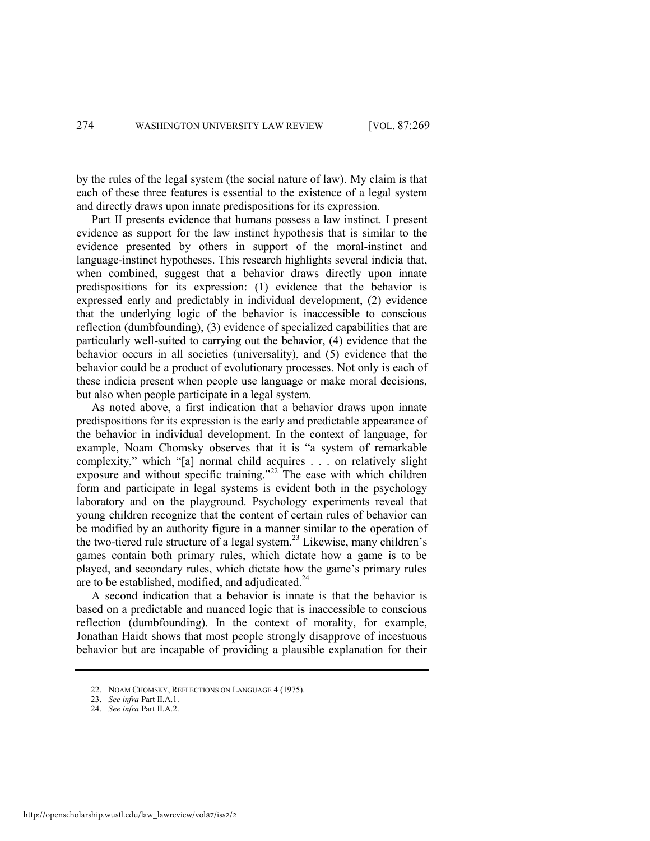by the rules of the legal system (the social nature of law). My claim is that each of these three features is essential to the existence of a legal system and directly draws upon innate predispositions for its expression.

Part II presents evidence that humans possess a law instinct. I present evidence as support for the law instinct hypothesis that is similar to the evidence presented by others in support of the moral-instinct and language-instinct hypotheses. This research highlights several indicia that, when combined, suggest that a behavior draws directly upon innate predispositions for its expression: (1) evidence that the behavior is expressed early and predictably in individual development, (2) evidence that the underlying logic of the behavior is inaccessible to conscious reflection (dumbfounding), (3) evidence of specialized capabilities that are particularly well-suited to carrying out the behavior, (4) evidence that the behavior occurs in all societies (universality), and (5) evidence that the behavior could be a product of evolutionary processes. Not only is each of these indicia present when people use language or make moral decisions, but also when people participate in a legal system.

<span id="page-6-0"></span>As noted above, a first indication that a behavior draws upon innate predispositions for its expression is the early and predictable appearance of the behavior in individual development. In the context of language, for example, Noam Chomsky observes that it is "a system of remarkable complexity," which "[a] normal child acquires . . . on relatively slight exposure and without specific training."<sup>22</sup> The ease with which children form and participate in legal systems is evident both in the psychology laboratory and on the playground. Psychology experiments reveal that young children recognize that the content of certain rules of behavior can be modified by an authority figure in a manner similar to the operation of the two-tiered rule structure of a legal system.<sup>23</sup> Likewise, many children's games contain both primary rules, which dictate how a game is to be played, and secondary rules, which dictate how the game's primary rules are to be established, modified, and adjudicated. $24$ 

A second indication that a behavior is innate is that the behavior is based on a predictable and nuanced logic that is inaccessible to conscious reflection (dumbfounding). In the context of morality, for example, Jonathan Haidt shows that most people strongly disapprove of incestuous behavior but are incapable of providing a plausible explanation for their

<sup>22.</sup> NOAM CHOMSKY, REFLECTIONS ON LANGUAGE 4 (1975).

<sup>23.</sup> *See infra* Part II.A.1.

<sup>24.</sup> *See infra* Part II.A.2.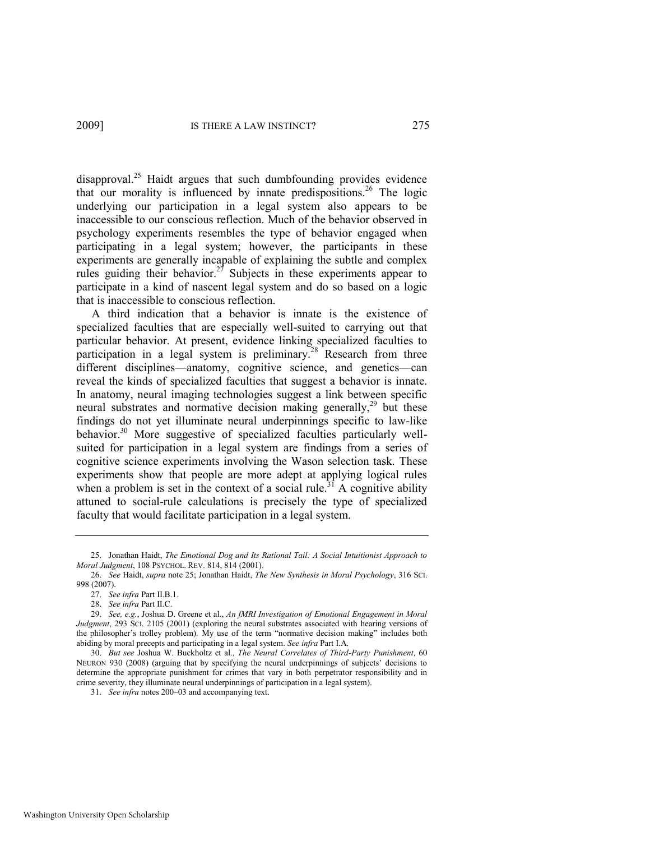<span id="page-7-1"></span><span id="page-7-0"></span>disapproval.<sup>25</sup> Haidt argues that such dumbfounding provides evidence that our morality is influenced by innate predispositions.<sup>26</sup> The logic underlying our participation in a legal system also appears to be inaccessible to our conscious reflection. Much of the behavior observed in psychology experiments resembles the type of behavior engaged when participating in a legal system; however, the participants in these experiments are generally incapable of explaining the subtle and complex rules guiding their behavior.<sup>27</sup> Subjects in these experiments appear to participate in a kind of nascent legal system and do so based on a logic that is inaccessible to conscious reflection.

<span id="page-7-2"></span>A third indication that a behavior is innate is the existence of specialized faculties that are especially well-suited to carrying out that particular behavior. At present, evidence linking specialized faculties to participation in a legal system is preliminary.<sup>28</sup> Research from three different disciplines—anatomy, cognitive science, and genetics—can reveal the kinds of specialized faculties that suggest a behavior is innate. In anatomy, neural imaging technologies suggest a link between specific neural substrates and normative decision making generally,<sup>29</sup> but these findings do not yet illuminate neural underpinnings specific to law-like behavior.<sup>30</sup> More suggestive of specialized faculties particularly wellsuited for participation in a legal system are findings from a series of cognitive science experiments involving the Wason selection task. These experiments show that people are more adept at applying logical rules when a problem is set in the context of a social rule.<sup>31</sup> A cognitive ability attuned to social-rule calculations is precisely the type of specialized faculty that would facilitate participation in a legal system.

<sup>25.</sup> Jonathan Haidt, *The Emotional Dog and Its Rational Tail: A Social Intuitionist Approach to Moral Judgment*, 108 PSYCHOL. REV. 814, 814 (2001).

<sup>26.</sup> *See* Haidt, *supra* not[e 25;](#page-7-0) Jonathan Haidt, *The New Synthesis in Moral Psychology*, 316 SCI. 998 (2007).

<sup>27.</sup> *See infra* Part II.B.1.

<sup>28.</sup> *See infra* Part II.C.

<sup>29.</sup> *See, e.g.*, Joshua D. Greene et al., *An fMRI Investigation of Emotional Engagement in Moral Judgment*, 293 SCI. 2105 (2001) (exploring the neural substrates associated with hearing versions of the philosopher's trolley problem). My use of the term "normative decision making" includes both abiding by moral precepts and participating in a legal system. *See infra* Part I.A.

<sup>30.</sup> *But see* Joshua W. Buckholtz et al., *The Neural Correlates of Third-Party Punishment*, 60 NEURON 930 (2008) (arguing that by specifying the neural underpinnings of subjects' decisions to determine the appropriate punishment for crimes that vary in both perpetrator responsibility and in crime severity, they illuminate neural underpinnings of participation in a legal system).

<sup>31.</sup> *See infra* notes [200](#page-44-0)–03 and accompanying text.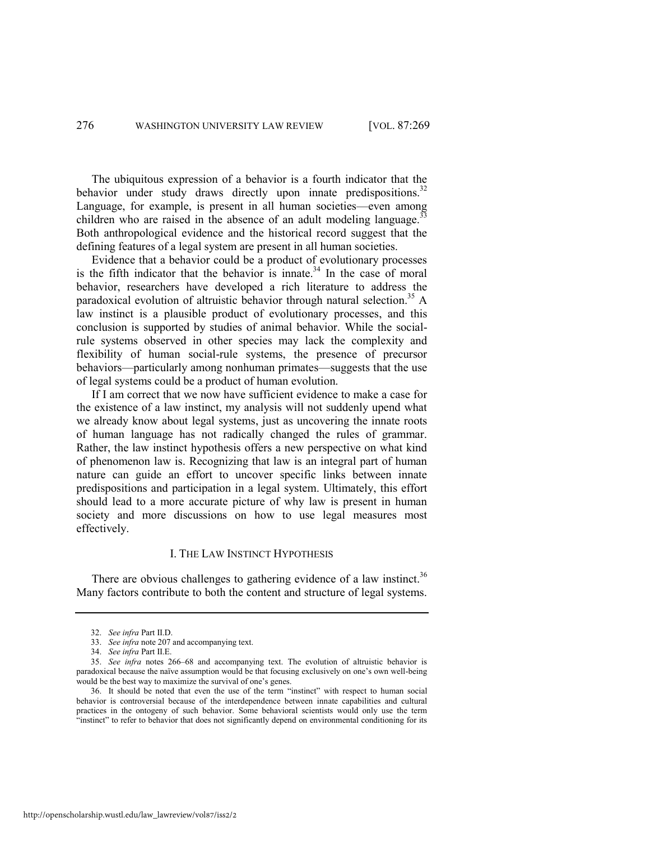The ubiquitous expression of a behavior is a fourth indicator that the behavior under study draws directly upon innate predispositions.<sup>32</sup> Language, for example, is present in all human societies—even among children who are raised in the absence of an adult modeling language.<sup>3</sup> Both anthropological evidence and the historical record suggest that the defining features of a legal system are present in all human societies.

Evidence that a behavior could be a product of evolutionary processes is the fifth indicator that the behavior is innate. $34$  In the case of moral behavior, researchers have developed a rich literature to address the paradoxical evolution of altruistic behavior through natural selection.<sup>35</sup> A law instinct is a plausible product of evolutionary processes, and this conclusion is supported by studies of animal behavior. While the socialrule systems observed in other species may lack the complexity and flexibility of human social-rule systems, the presence of precursor behaviors—particularly among nonhuman primates—suggests that the use of legal systems could be a product of human evolution.

If I am correct that we now have sufficient evidence to make a case for the existence of a law instinct, my analysis will not suddenly upend what we already know about legal systems, just as uncovering the innate roots of human language has not radically changed the rules of grammar. Rather, the law instinct hypothesis offers a new perspective on what kind of phenomenon law is. Recognizing that law is an integral part of human nature can guide an effort to uncover specific links between innate predispositions and participation in a legal system. Ultimately, this effort should lead to a more accurate picture of why law is present in human society and more discussions on how to use legal measures most effectively.

#### I. THE LAW INSTINCT HYPOTHESIS

There are obvious challenges to gathering evidence of a law instinct.<sup>36</sup> Many factors contribute to both the content and structure of legal systems.

<sup>32.</sup> *See infra* Part II.D.

<sup>33.</sup> *See infra* not[e 207 a](#page-45-0)nd accompanying text.

<sup>34.</sup> *See infra* Part II.E.

<sup>35.</sup> *See infra* notes [266](#page-58-0)–68 and accompanying text. The evolution of altruistic behavior is paradoxical because the naïve assumption would be that focusing exclusively on one's own well-being would be the best way to maximize the survival of one's genes.

<sup>36.</sup> It should be noted that even the use of the term "instinct" with respect to human social behavior is controversial because of the interdependence between innate capabilities and cultural practices in the ontogeny of such behavior. Some behavioral scientists would only use the term "instinct" to refer to behavior that does not significantly depend on environmental conditioning for its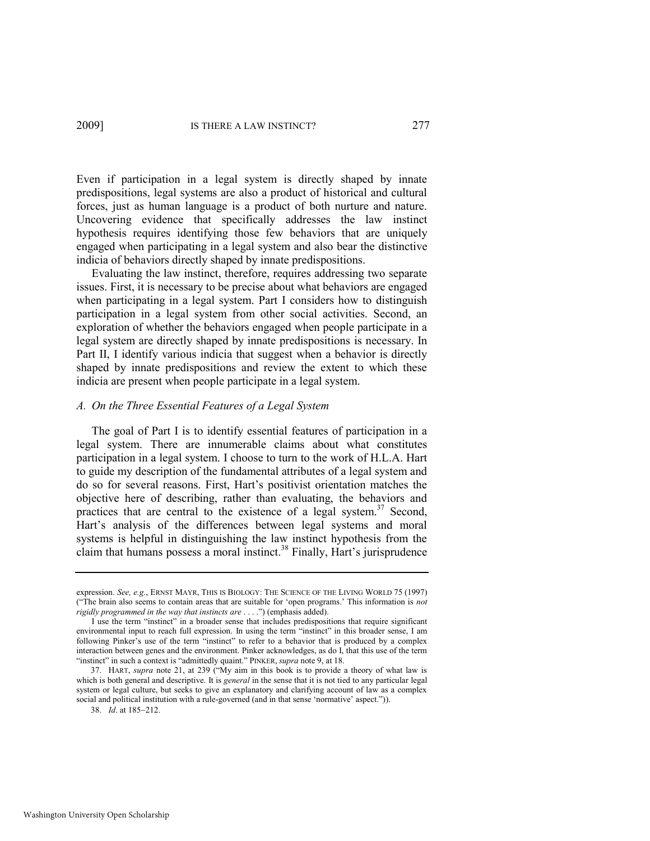Even if participation in a legal system is directly shaped by innate predispositions, legal systems are also a product of historical and cultural forces, just as human language is a product of both nurture and nature. Uncovering evidence that specifically addresses the law instinct hypothesis requires identifying those few behaviors that are uniquely engaged when participating in a legal system and also bear the distinctive indicia of behaviors directly shaped by innate predispositions.

Evaluating the law instinct, therefore, requires addressing two separate issues. First, it is necessary to be precise about what behaviors are engaged when participating in a legal system. Part I considers how to distinguish participation in a legal system from other social activities. Second, an exploration of whether the behaviors engaged when people participate in a legal system are directly shaped by innate predispositions is necessary. In Part II, I identify various indicia that suggest when a behavior is directly shaped by innate predispositions and review the extent to which these indicia are present when people participate in a legal system.

#### *A. On the Three Essential Features of a Legal System*

The goal of Part I is to identify essential features of participation in a legal system. There are innumerable claims about what constitutes participation in a legal system. I choose to turn to the work of H.L.A. Hart to guide my description of the fundamental attributes of a legal system and do so for several reasons. First, Hart's positivist orientation matches the objective here of describing, rather than evaluating, the behaviors and practices that are central to the existence of a legal system.<sup>37</sup> Second, Hart's analysis of the differences between legal systems and moral systems is helpful in distinguishing the law instinct hypothesis from the claim that humans possess a moral instinct.<sup>38</sup> Finally, Hart's jurisprudence

expression. *See, e.g.*, ERNST MAYR, THIS IS BIOLOGY: THE SCIENCE OF THE LIVING WORLD 75 (1997) (―The brain also seems to contain areas that are suitable for ‗open programs.' This information is *not rigidly programmed in the way that instincts are* . . . .") (emphasis added).

I use the term "instinct" in a broader sense that includes predispositions that require significant environmental input to reach full expression. In using the term "instinct" in this broader sense, I am following Pinker's use of the term "instinct" to refer to a behavior that is produced by a complex interaction between genes and the environment. Pinker acknowledges, as do I, that this use of the term "instinct" in such a context is "admittedly quaint." PINKER, *supra* not[e 9,](#page-4-1) at 18.

<sup>37.</sup> HART, *supra* note [21](#page-5-1), at 239 ("My aim in this book is to provide a theory of what law is which is both general and descriptive. It is *general* in the sense that it is not tied to any particular legal system or legal culture, but seeks to give an explanatory and clarifying account of law as a complex social and political institution with a rule-governed (and in that sense 'normative' aspect.")).

<sup>38.</sup> *Id.* at 185-212.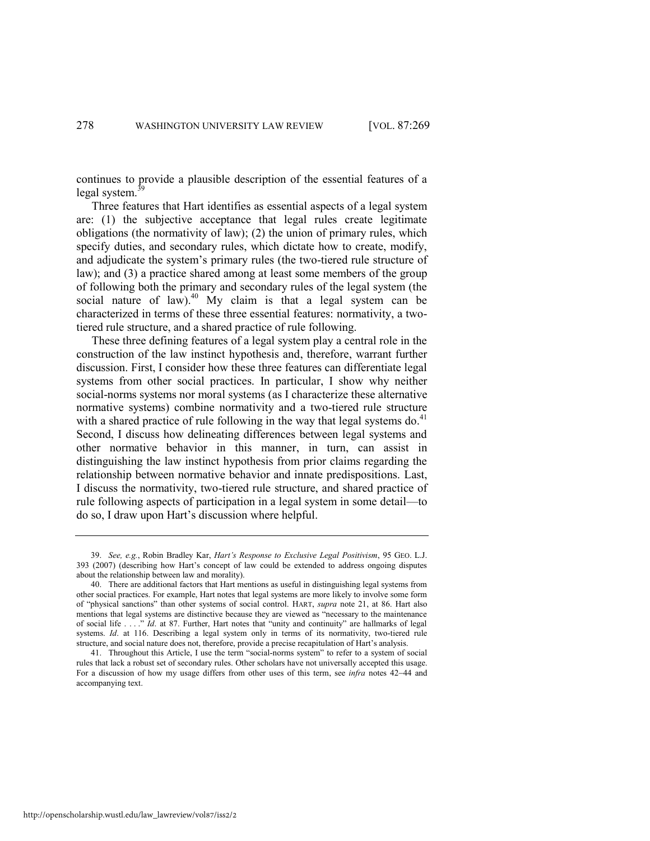continues to provide a plausible description of the essential features of a legal system.

Three features that Hart identifies as essential aspects of a legal system are: (1) the subjective acceptance that legal rules create legitimate obligations (the normativity of law); (2) the union of primary rules, which specify duties, and secondary rules, which dictate how to create, modify, and adjudicate the system's primary rules (the two-tiered rule structure of law); and (3) a practice shared among at least some members of the group of following both the primary and secondary rules of the legal system (the social nature of law). $^{40}$  My claim is that a legal system can be characterized in terms of these three essential features: normativity, a twotiered rule structure, and a shared practice of rule following.

These three defining features of a legal system play a central role in the construction of the law instinct hypothesis and, therefore, warrant further discussion. First, I consider how these three features can differentiate legal systems from other social practices. In particular, I show why neither social-norms systems nor moral systems (as I characterize these alternative normative systems) combine normativity and a two-tiered rule structure with a shared practice of rule following in the way that legal systems do. $41$ Second, I discuss how delineating differences between legal systems and other normative behavior in this manner, in turn, can assist in distinguishing the law instinct hypothesis from prior claims regarding the relationship between normative behavior and innate predispositions. Last, I discuss the normativity, two-tiered rule structure, and shared practice of rule following aspects of participation in a legal system in some detail—to do so, I draw upon Hart's discussion where helpful.

<sup>39.</sup> *See, e.g.*, Robin Bradley Kar, *Hart's Response to Exclusive Legal Positivism*, 95 GEO. L.J. 393 (2007) (describing how Hart's concept of law could be extended to address ongoing disputes about the relationship between law and morality).

<sup>40.</sup> There are additional factors that Hart mentions as useful in distinguishing legal systems from other social practices. For example, Hart notes that legal systems are more likely to involve some form of "physical sanctions" than other systems of social control. HART, *supra* note [21,](#page-5-1) at 86. Hart also mentions that legal systems are distinctive because they are viewed as "necessary to the maintenance of social life . . . ." *Id.* at 87. Further, Hart notes that "unity and continuity" are hallmarks of legal systems. *Id.* at 116. Describing a legal system only in terms of its normativity, two-tiered rule structure, and social nature does not, therefore, provide a precise recapitulation of Hart's analysis.

<sup>41.</sup> Throughout this Article, I use the term "social-norms system" to refer to a system of social rules that lack a robust set of secondary rules. Other scholars have not universally accepted this usage. For a discussion of how my usage differs from other uses of this term, see *infra* notes [42](#page-11-0)–[44](#page-11-1) and accompanying text.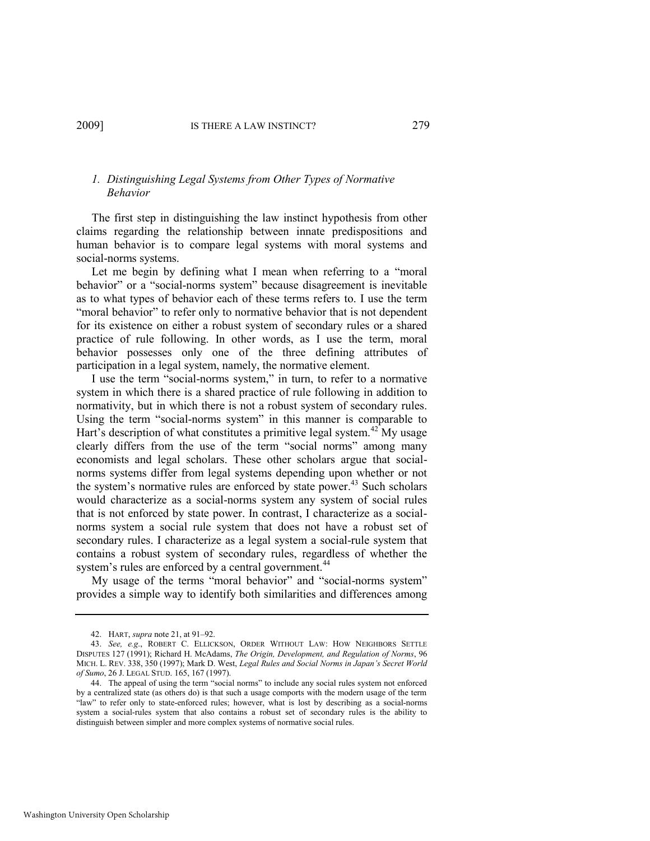#### *1. Distinguishing Legal Systems from Other Types of Normative Behavior*

The first step in distinguishing the law instinct hypothesis from other claims regarding the relationship between innate predispositions and human behavior is to compare legal systems with moral systems and social-norms systems.

Let me begin by defining what I mean when referring to a "moral" behavior" or a "social-norms system" because disagreement is inevitable as to what types of behavior each of these terms refers to. I use the term "moral behavior" to refer only to normative behavior that is not dependent for its existence on either a robust system of secondary rules or a shared practice of rule following. In other words, as I use the term, moral behavior possesses only one of the three defining attributes of participation in a legal system, namely, the normative element.

<span id="page-11-0"></span>I use the term "social-norms system," in turn, to refer to a normative system in which there is a shared practice of rule following in addition to normativity, but in which there is not a robust system of secondary rules. Using the term "social-norms system" in this manner is comparable to Hart's description of what constitutes a primitive legal system.<sup>42</sup> My usage clearly differs from the use of the term "social norms" among many economists and legal scholars. These other scholars argue that socialnorms systems differ from legal systems depending upon whether or not the system's normative rules are enforced by state power.<sup>43</sup> Such scholars would characterize as a social-norms system any system of social rules that is not enforced by state power. In contrast, I characterize as a socialnorms system a social rule system that does not have a robust set of secondary rules. I characterize as a legal system a social-rule system that contains a robust system of secondary rules, regardless of whether the system's rules are enforced by a central government.<sup>44</sup>

<span id="page-11-2"></span>My usage of the terms "moral behavior" and "social-norms system" provides a simple way to identify both similarities and differences among

<span id="page-11-1"></span><sup>42.</sup> HART, *supra* not[e 21,](#page-5-1) at 91–92.

<sup>43.</sup> *See, e.g*., ROBERT C. ELLICKSON, ORDER WITHOUT LAW: HOW NEIGHBORS SETTLE DISPUTES 127 (1991); Richard H. McAdams, *The Origin, Development, and Regulation of Norms*, 96 MICH. L. REV. 338, 350 (1997); Mark D. West, *Legal Rules and Social Norms in Japan's Secret World of Sumo*, 26 J. LEGAL STUD. 165, 167 (1997).

<sup>44.</sup> The appeal of using the term "social norms" to include any social rules system not enforced by a centralized state (as others do) is that such a usage comports with the modern usage of the term ―law‖ to refer only to state-enforced rules; however, what is lost by describing as a social-norms system a social-rules system that also contains a robust set of secondary rules is the ability to distinguish between simpler and more complex systems of normative social rules.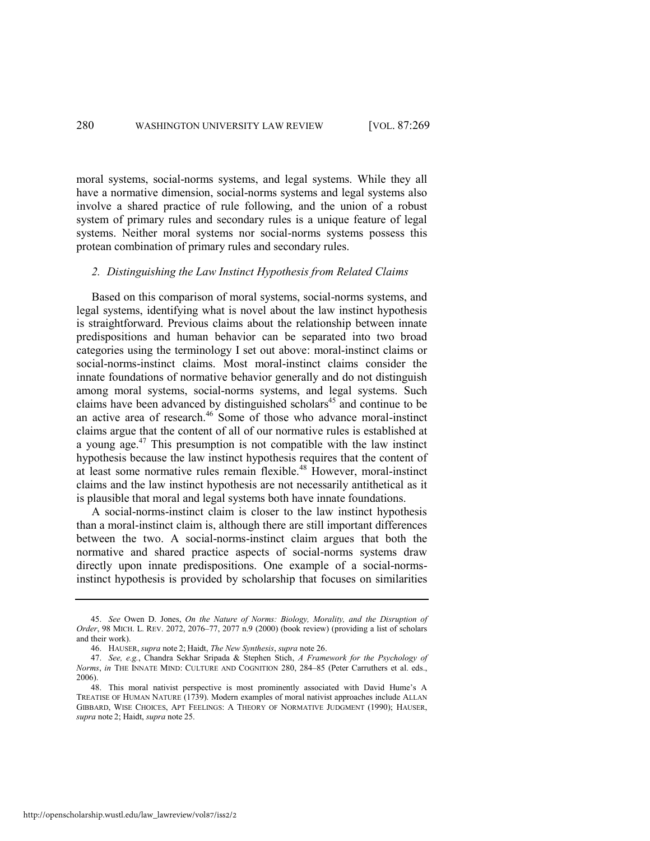moral systems, social-norms systems, and legal systems. While they all have a normative dimension, social-norms systems and legal systems also involve a shared practice of rule following, and the union of a robust system of primary rules and secondary rules is a unique feature of legal systems. Neither moral systems nor social-norms systems possess this protean combination of primary rules and secondary rules.

#### *2. Distinguishing the Law Instinct Hypothesis from Related Claims*

Based on this comparison of moral systems, social-norms systems, and legal systems, identifying what is novel about the law instinct hypothesis is straightforward. Previous claims about the relationship between innate predispositions and human behavior can be separated into two broad categories using the terminology I set out above: moral-instinct claims or social-norms-instinct claims. Most moral-instinct claims consider the innate foundations of normative behavior generally and do not distinguish among moral systems, social-norms systems, and legal systems. Such claims have been advanced by distinguished scholars<sup>45</sup> and continue to be an active area of research.<sup>46</sup> Some of those who advance moral-instinct claims argue that the content of all of our normative rules is established at a young age. $47$  This presumption is not compatible with the law instinct hypothesis because the law instinct hypothesis requires that the content of at least some normative rules remain flexible.<sup>48</sup> However, moral-instinct claims and the law instinct hypothesis are not necessarily antithetical as it is plausible that moral and legal systems both have innate foundations.

A social-norms-instinct claim is closer to the law instinct hypothesis than a moral-instinct claim is, although there are still important differences between the two. A social-norms-instinct claim argues that both the normative and shared practice aspects of social-norms systems draw directly upon innate predispositions. One example of a social-normsinstinct hypothesis is provided by scholarship that focuses on similarities

<sup>45.</sup> *See* Owen D. Jones, *On the Nature of Norms: Biology, Morality, and the Disruption of Order*, 98 MICH. L. REV. 2072, 2076–77, 2077 n.9 (2000) (book review) (providing a list of scholars and their work).

<sup>46.</sup> HAUSER, *supra* note [2;](#page-3-1) Haidt, *The New Synthesis*, *supra* not[e 26.](#page-7-1)

<sup>47.</sup> *See, e.g.*, Chandra Sekhar Sripada & Stephen Stich, *A Framework for the Psychology of Norms*, *in* THE INNATE MIND: CULTURE AND COGNITION 280, 284–85 (Peter Carruthers et al. eds., 2006).

<sup>48.</sup> This moral nativist perspective is most prominently associated with David Hume's A TREATISE OF HUMAN NATURE (1739). Modern examples of moral nativist approaches include ALLAN GIBBARD, WISE CHOICES, APT FEELINGS: A THEORY OF NORMATIVE JUDGMENT (1990); HAUSER, *supra* note [2;](#page-3-1) Haidt, *supra* not[e 25.](#page-7-0)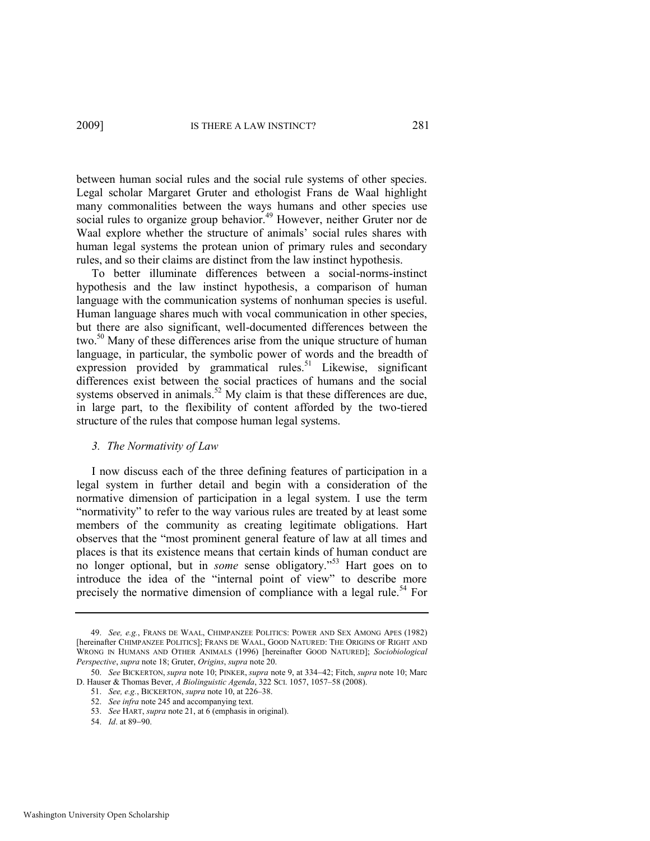<span id="page-13-0"></span>between human social rules and the social rule systems of other species. Legal scholar Margaret Gruter and ethologist Frans de Waal highlight many commonalities between the ways humans and other species use social rules to organize group behavior.<sup>49</sup> However, neither Gruter nor de Waal explore whether the structure of animals' social rules shares with human legal systems the protean union of primary rules and secondary rules, and so their claims are distinct from the law instinct hypothesis.

To better illuminate differences between a social-norms-instinct hypothesis and the law instinct hypothesis, a comparison of human language with the communication systems of nonhuman species is useful. Human language shares much with vocal communication in other species, but there are also significant, well-documented differences between the two.<sup>50</sup> Many of these differences arise from the unique structure of human language, in particular, the symbolic power of words and the breadth of expression provided by grammatical rules.<sup>51</sup> Likewise, significant differences exist between the social practices of humans and the social systems observed in animals.<sup>52</sup> My claim is that these differences are due, in large part, to the flexibility of content afforded by the two-tiered structure of the rules that compose human legal systems.

#### *3. The Normativity of Law*

I now discuss each of the three defining features of participation in a legal system in further detail and begin with a consideration of the normative dimension of participation in a legal system. I use the term "normativity" to refer to the way various rules are treated by at least some members of the community as creating legitimate obligations. Hart observes that the "most prominent general feature of law at all times and places is that its existence means that certain kinds of human conduct are no longer optional, but in *some* sense obligatory."<sup>53</sup> Hart goes on to introduce the idea of the "internal point of view" to describe more precisely the normative dimension of compliance with a legal rule.<sup>54</sup> For

<sup>49.</sup> *See, e.g.*, FRANS DE WAAL, CHIMPANZEE POLITICS: POWER AND SEX AMONG APES (1982) [hereinafter CHIMPANZEE POLITICS]; FRANS DE WAAL, GOOD NATURED: THE ORIGINS OF RIGHT AND WRONG IN HUMANS AND OTHER ANIMALS (1996) [hereinafter GOOD NATURED]; *Sociobiological Perspective*, *supra* not[e 18;](#page-5-0) Gruter, *Origins*, *supra* not[e 20.](#page-5-2) 

<sup>50.</sup> *See* BICKERTON, *supra* note [10;](#page-4-2) PINKER, *supra* not[e 9,](#page-4-1) at 334-42; Fitch, *supra* not[e 10;](#page-4-2) Marc D. Hauser & Thomas Bever, *A Biolinguistic Agenda*, 322 SCI. 1057, 1057–58 (2008).

<sup>51.</sup> *See, e.g.*, BICKERTON, *supra* not[e 10,](#page-4-2) at 226–38.

<sup>52.</sup> *See infra* not[e 245 a](#page-54-0)nd accompanying text.

<sup>53.</sup> *See* HART, *supra* not[e 21,](#page-5-1) at 6 (emphasis in original).

<sup>54.</sup> *Id.* at 89-90.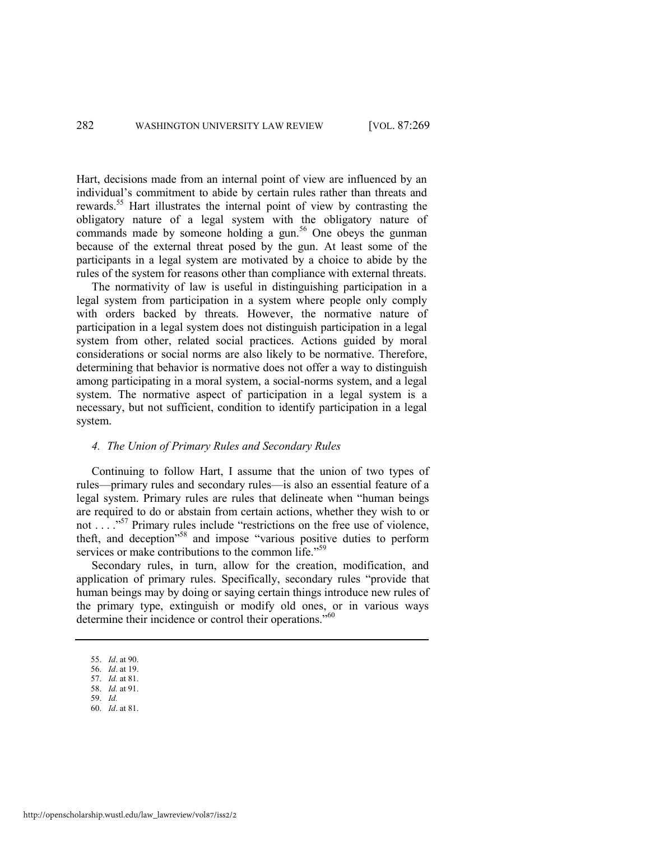Hart, decisions made from an internal point of view are influenced by an individual's commitment to abide by certain rules rather than threats and rewards.<sup>55</sup> Hart illustrates the internal point of view by contrasting the obligatory nature of a legal system with the obligatory nature of commands made by someone holding a gun.<sup>56</sup> One obeys the gunman because of the external threat posed by the gun. At least some of the participants in a legal system are motivated by a choice to abide by the rules of the system for reasons other than compliance with external threats.

The normativity of law is useful in distinguishing participation in a legal system from participation in a system where people only comply with orders backed by threats. However, the normative nature of participation in a legal system does not distinguish participation in a legal system from other, related social practices. Actions guided by moral considerations or social norms are also likely to be normative. Therefore, determining that behavior is normative does not offer a way to distinguish among participating in a moral system, a social-norms system, and a legal system. The normative aspect of participation in a legal system is a necessary, but not sufficient, condition to identify participation in a legal system.

#### *4. The Union of Primary Rules and Secondary Rules*

Continuing to follow Hart, I assume that the union of two types of rules—primary rules and secondary rules—is also an essential feature of a legal system. Primary rules are rules that delineate when "human beings" are required to do or abstain from certain actions, whether they wish to or not  $\ldots$  . . .<sup>57</sup> Primary rules include "restrictions on the free use of violence, theft, and deception"<sup>58</sup> and impose "various positive duties to perform services or make contributions to the common life." $59$ 

Secondary rules, in turn, allow for the creation, modification, and application of primary rules. Specifically, secondary rules "provide that human beings may by doing or saying certain things introduce new rules of the primary type, extinguish or modify old ones, or in various ways determine their incidence or control their operations.<sup>760</sup>

<sup>55.</sup> *Id*. at 90.

<sup>56.</sup> *Id*. at 19.

<sup>57.</sup> *Id.* at 81. 58. *Id.* at 91.

<sup>59.</sup> *Id.*

<sup>60.</sup> *Id*. at 81.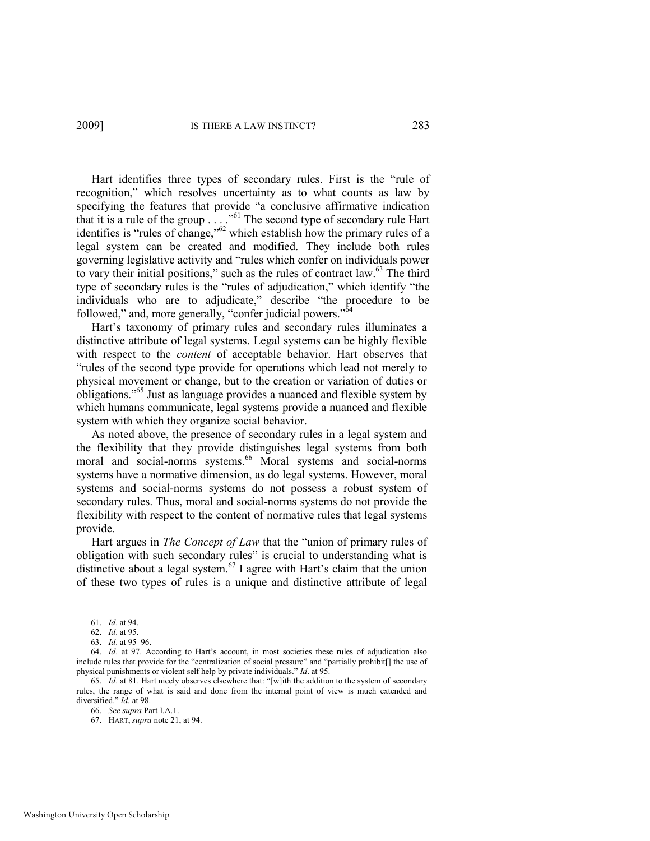Hart identifies three types of secondary rules. First is the "rule of recognition," which resolves uncertainty as to what counts as law by specifying the features that provide "a conclusive affirmative indication that it is a rule of the group  $\ldots$  . ... <sup>61</sup> The second type of secondary rule Hart identifies is "rules of change," $62$  which establish how the primary rules of a legal system can be created and modified. They include both rules governing legislative activity and "rules which confer on individuals power to vary their initial positions," such as the rules of contract law. $63$  The third type of secondary rules is the "rules of adjudication," which identify "the individuals who are to adjudicate," describe "the procedure to be followed," and, more generally, "confer judicial powers." $\delta$ 

Hart's taxonomy of primary rules and secondary rules illuminates a distinctive attribute of legal systems. Legal systems can be highly flexible with respect to the *content* of acceptable behavior. Hart observes that ―rules of the second type provide for operations which lead not merely to physical movement or change, but to the creation or variation of duties or obligations.<sup>565</sup> Just as language provides a nuanced and flexible system by which humans communicate, legal systems provide a nuanced and flexible system with which they organize social behavior.

As noted above, the presence of secondary rules in a legal system and the flexibility that they provide distinguishes legal systems from both moral and social-norms systems.<sup>66</sup> Moral systems and social-norms systems have a normative dimension, as do legal systems. However, moral systems and social-norms systems do not possess a robust system of secondary rules. Thus, moral and social-norms systems do not provide the flexibility with respect to the content of normative rules that legal systems provide.

Hart argues in *The Concept of Law* that the "union of primary rules of obligation with such secondary rules" is crucial to understanding what is distinctive about a legal system.<sup>67</sup> I agree with Hart's claim that the union of these two types of rules is a unique and distinctive attribute of legal

<sup>61.</sup> *Id*. at 94.

<sup>62.</sup> *Id*. at 95.

<sup>63.</sup> *Id*. at 95–96.

<sup>64.</sup> *Id*. at 97. According to Hart's account, in most societies these rules of adjudication also include rules that provide for the "centralization of social pressure" and "partially prohibit[] the use of physical punishments or violent self help by private individuals." *Id.* at 95.

<sup>65.</sup> *Id.* at 81. Hart nicely observes elsewhere that: "[w]ith the addition to the system of secondary rules, the range of what is said and done from the internal point of view is much extended and diversified." *Id.* at 98.

<sup>66.</sup> *See supra* Part I.A.1.

<sup>67.</sup> HART, *supra* not[e 21,](#page-5-1) at 94.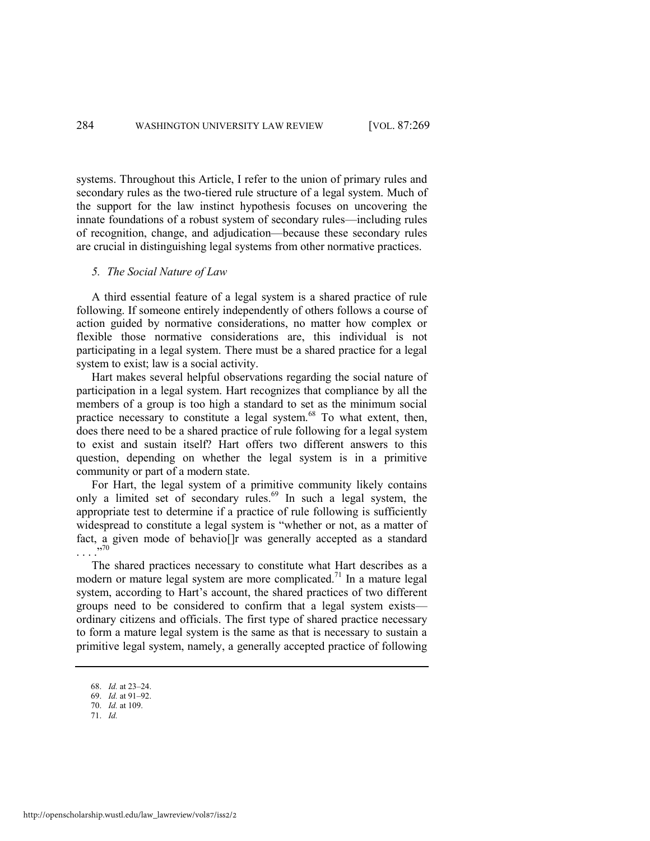systems. Throughout this Article, I refer to the union of primary rules and secondary rules as the two-tiered rule structure of a legal system. Much of the support for the law instinct hypothesis focuses on uncovering the innate foundations of a robust system of secondary rules—including rules of recognition, change, and adjudication—because these secondary rules are crucial in distinguishing legal systems from other normative practices.

#### *5. The Social Nature of Law*

A third essential feature of a legal system is a shared practice of rule following. If someone entirely independently of others follows a course of action guided by normative considerations, no matter how complex or flexible those normative considerations are, this individual is not participating in a legal system. There must be a shared practice for a legal system to exist; law is a social activity.

Hart makes several helpful observations regarding the social nature of participation in a legal system. Hart recognizes that compliance by all the members of a group is too high a standard to set as the minimum social practice necessary to constitute a legal system. $68$  To what extent, then, does there need to be a shared practice of rule following for a legal system to exist and sustain itself? Hart offers two different answers to this question, depending on whether the legal system is in a primitive community or part of a modern state.

For Hart, the legal system of a primitive community likely contains only a limited set of secondary rules.<sup>69</sup> In such a legal system, the appropriate test to determine if a practice of rule following is sufficiently widespread to constitute a legal system is "whether or not, as a matter of fact, a given mode of behavio[]r was generally accepted as a standard . . . .‖ 70

The shared practices necessary to constitute what Hart describes as a modern or mature legal system are more complicated.<sup>71</sup> In a mature legal system, according to Hart's account, the shared practices of two different groups need to be considered to confirm that a legal system exists ordinary citizens and officials. The first type of shared practice necessary to form a mature legal system is the same as that is necessary to sustain a primitive legal system, namely, a generally accepted practice of following

- 70. *Id.* at 109.
- 71. *Id.*

<sup>68.</sup> *Id.* at 23–24.

<sup>69.</sup> *Id.* at 91–92.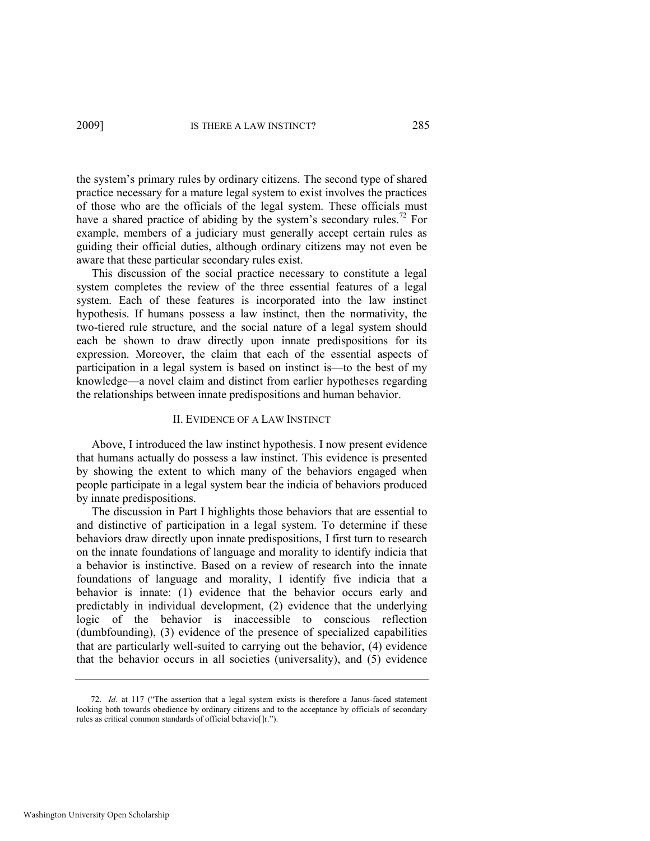the system's primary rules by ordinary citizens. The second type of shared practice necessary for a mature legal system to exist involves the practices of those who are the officials of the legal system. These officials must have a shared practice of abiding by the system's secondary rules.<sup>72</sup> For example, members of a judiciary must generally accept certain rules as guiding their official duties, although ordinary citizens may not even be aware that these particular secondary rules exist.

This discussion of the social practice necessary to constitute a legal system completes the review of the three essential features of a legal system. Each of these features is incorporated into the law instinct hypothesis. If humans possess a law instinct, then the normativity, the two-tiered rule structure, and the social nature of a legal system should each be shown to draw directly upon innate predispositions for its expression. Moreover, the claim that each of the essential aspects of participation in a legal system is based on instinct is—to the best of my knowledge—a novel claim and distinct from earlier hypotheses regarding the relationships between innate predispositions and human behavior.

#### II. EVIDENCE OF A LAW INSTINCT

Above, I introduced the law instinct hypothesis. I now present evidence that humans actually do possess a law instinct. This evidence is presented by showing the extent to which many of the behaviors engaged when people participate in a legal system bear the indicia of behaviors produced by innate predispositions.

The discussion in Part I highlights those behaviors that are essential to and distinctive of participation in a legal system. To determine if these behaviors draw directly upon innate predispositions, I first turn to research on the innate foundations of language and morality to identify indicia that a behavior is instinctive. Based on a review of research into the innate foundations of language and morality, I identify five indicia that a behavior is innate: (1) evidence that the behavior occurs early and predictably in individual development, (2) evidence that the underlying logic of the behavior is inaccessible to conscious reflection (dumbfounding), (3) evidence of the presence of specialized capabilities that are particularly well-suited to carrying out the behavior, (4) evidence that the behavior occurs in all societies (universality), and (5) evidence

<sup>72.</sup> *Id.* at 117 ("The assertion that a legal system exists is therefore a Janus-faced statement looking both towards obedience by ordinary citizens and to the acceptance by officials of secondary rules as critical common standards of official behavio[]r.").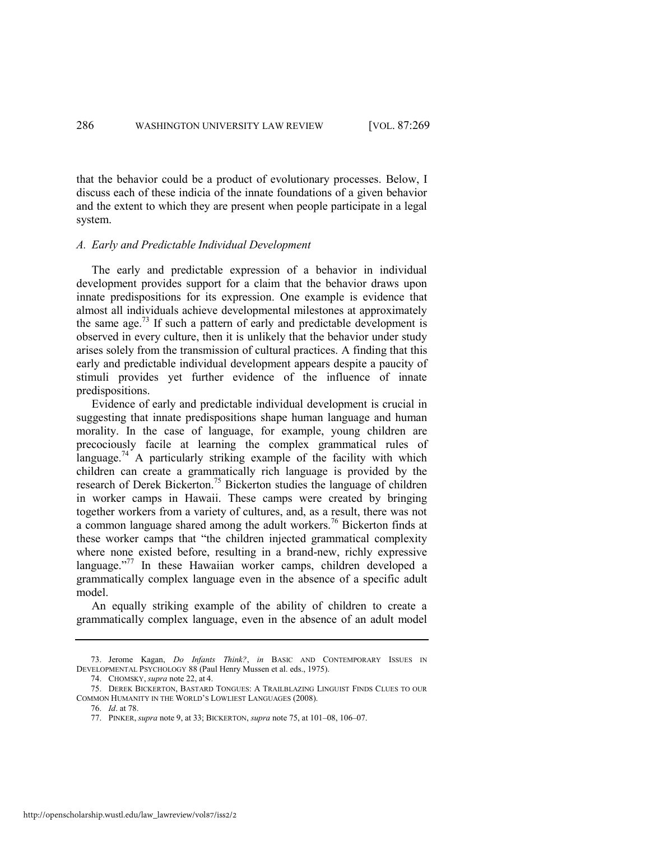that the behavior could be a product of evolutionary processes. Below, I discuss each of these indicia of the innate foundations of a given behavior and the extent to which they are present when people participate in a legal system.

#### *A. Early and Predictable Individual Development*

The early and predictable expression of a behavior in individual development provides support for a claim that the behavior draws upon innate predispositions for its expression. One example is evidence that almost all individuals achieve developmental milestones at approximately the same age.<sup>73</sup> If such a pattern of early and predictable development is observed in every culture, then it is unlikely that the behavior under study arises solely from the transmission of cultural practices. A finding that this early and predictable individual development appears despite a paucity of stimuli provides yet further evidence of the influence of innate predispositions.

<span id="page-18-1"></span><span id="page-18-0"></span>Evidence of early and predictable individual development is crucial in suggesting that innate predispositions shape human language and human morality. In the case of language, for example, young children are precociously facile at learning the complex grammatical rules of language.<sup>74</sup> A particularly striking example of the facility with which children can create a grammatically rich language is provided by the research of Derek Bickerton.<sup>75</sup> Bickerton studies the language of children in worker camps in Hawaii. These camps were created by bringing together workers from a variety of cultures, and, as a result, there was not a common language shared among the adult workers.<sup>76</sup> Bickerton finds at these worker camps that "the children injected grammatical complexity where none existed before, resulting in a brand-new, richly expressive language."<sup>77</sup> In these Hawaiian worker camps, children developed a grammatically complex language even in the absence of a specific adult model.

An equally striking example of the ability of children to create a grammatically complex language, even in the absence of an adult model

74. CHOMSKY, *supra* not[e 22,](#page-6-0) at 4.

<sup>73.</sup> Jerome Kagan, *Do Infants Think?*, *in* BASIC AND CONTEMPORARY ISSUES IN DEVELOPMENTAL PSYCHOLOGY 88 (Paul Henry Mussen et al. eds., 1975).

<sup>75.</sup> DEREK BICKERTON, BASTARD TONGUES: A TRAILBLAZING LINGUIST FINDS CLUES TO OUR COMMON HUMANITY IN THE WORLD'S LOWLIEST LANGUAGES (2008).

<sup>76.</sup> *Id*. at 78.

<sup>77.</sup> PINKER, *supra* not[e 9,](#page-4-1) at 33; BICKERTON, *supra* not[e 75,](#page-18-0) at 101–08, 106–07.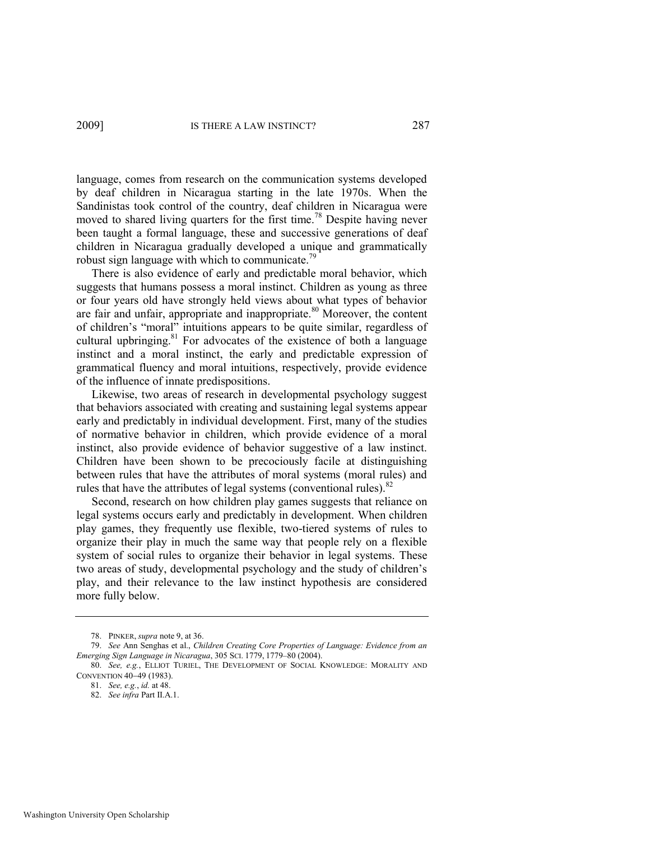language, comes from research on the communication systems developed by deaf children in Nicaragua starting in the late 1970s. When the Sandinistas took control of the country, deaf children in Nicaragua were moved to shared living quarters for the first time.<sup>78</sup> Despite having never been taught a formal language, these and successive generations of deaf children in Nicaragua gradually developed a unique and grammatically robust sign language with which to communicate.<sup>79</sup>

<span id="page-19-0"></span>There is also evidence of early and predictable moral behavior, which suggests that humans possess a moral instinct. Children as young as three or four years old have strongly held views about what types of behavior are fair and unfair, appropriate and inappropriate.<sup>80</sup> Moreover, the content of children's "moral" intuitions appears to be quite similar, regardless of cultural upbringing. $81$  For advocates of the existence of both a language instinct and a moral instinct, the early and predictable expression of grammatical fluency and moral intuitions, respectively, provide evidence of the influence of innate predispositions.

Likewise, two areas of research in developmental psychology suggest that behaviors associated with creating and sustaining legal systems appear early and predictably in individual development. First, many of the studies of normative behavior in children, which provide evidence of a moral instinct, also provide evidence of behavior suggestive of a law instinct. Children have been shown to be precociously facile at distinguishing between rules that have the attributes of moral systems (moral rules) and rules that have the attributes of legal systems (conventional rules). $82$ 

Second, research on how children play games suggests that reliance on legal systems occurs early and predictably in development. When children play games, they frequently use flexible, two-tiered systems of rules to organize their play in much the same way that people rely on a flexible system of social rules to organize their behavior in legal systems. These two areas of study, developmental psychology and the study of children's play, and their relevance to the law instinct hypothesis are considered more fully below.

<sup>78.</sup> PINKER, *supra* not[e 9,](#page-4-1) at 36.

<sup>79.</sup> *See* Ann Senghas et al., *Children Creating Core Properties of Language: Evidence from an Emerging Sign Language in Nicaragua*, 305 SCI. 1779, 1779–80 (2004).

<sup>80.</sup> *See, e.g.*, ELLIOT TURIEL, THE DEVELOPMENT OF SOCIAL KNOWLEDGE: MORALITY AND CONVENTION 40-49 (1983).

<sup>81.</sup> *See, e.g.*, *id.* at 48.

<sup>82.</sup> *See infra* Part II.A.1.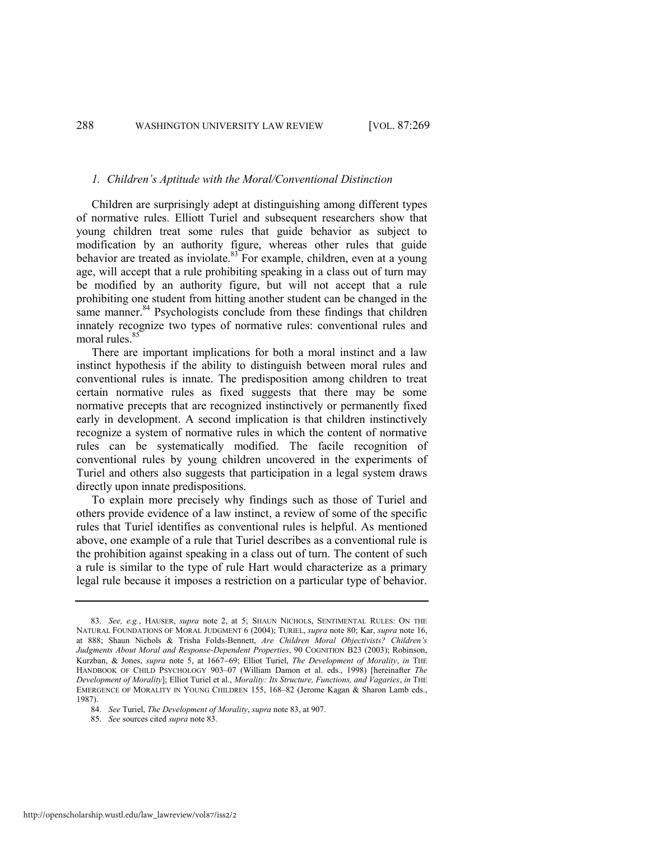#### <span id="page-20-0"></span>*1. Children's Aptitude with the Moral/Conventional Distinction*

Children are surprisingly adept at distinguishing among different types of normative rules. Elliott Turiel and subsequent researchers show that young children treat some rules that guide behavior as subject to modification by an authority figure, whereas other rules that guide behavior are treated as inviolate. $83$  For example, children, even at a young age, will accept that a rule prohibiting speaking in a class out of turn may be modified by an authority figure, but will not accept that a rule prohibiting one student from hitting another student can be changed in the same manner. $84$  Psychologists conclude from these findings that children innately recognize two types of normative rules: conventional rules and moral rules.<sup>85</sup>

There are important implications for both a moral instinct and a law instinct hypothesis if the ability to distinguish between moral rules and conventional rules is innate. The predisposition among children to treat certain normative rules as fixed suggests that there may be some normative precepts that are recognized instinctively or permanently fixed early in development. A second implication is that children instinctively recognize a system of normative rules in which the content of normative rules can be systematically modified. The facile recognition of conventional rules by young children uncovered in the experiments of Turiel and others also suggests that participation in a legal system draws directly upon innate predispositions.

To explain more precisely why findings such as those of Turiel and others provide evidence of a law instinct, a review of some of the specific rules that Turiel identifies as conventional rules is helpful. As mentioned above, one example of a rule that Turiel describes as a conventional rule is the prohibition against speaking in a class out of turn. The content of such a rule is similar to the type of rule Hart would characterize as a primary legal rule because it imposes a restriction on a particular type of behavior.

85. *See* sources cited *supra* not[e 83.](#page-20-0) 

<sup>83.</sup> *See, e.g.*, HAUSER, *supra* note [2,](#page-3-1) at 5; SHAUN NICHOLS, SENTIMENTAL RULES: ON THE NATURAL FOUNDATIONS OF MORAL JUDGMENT 6 (2004); TURIEL, *supra* note [80;](#page-19-0) Kar, *supra* not[e 16,](#page-4-3)  at 888; Shaun Nichols & Trisha Folds-Bennett, *Are Children Moral Objectivists? Children's Judgments About Moral and Response-Dependent Properties*, 90 COGNITION B23 (2003); Robinson, Kurzban, & Jones, *supra* note [5,](#page-3-0) at 1667-69; Elliot Turiel, *The Development of Morality*, *in* THE HANDBOOK OF CHILD PSYCHOLOGY 903–07 (William Damon et al. eds., 1998) [hereinafter *The Development of Morality*]; Elliot Turiel et al., *Morality: Its Structure, Functions, and Vagaries*, *in* THE EMERGENCE OF MORALITY IN YOUNG CHILDREN 155, 168–82 (Jerome Kagan & Sharon Lamb eds., 1987).

<sup>84.</sup> *See* Turiel, *The Development of Morality*, *supra* not[e 83,](#page-20-0) at 907.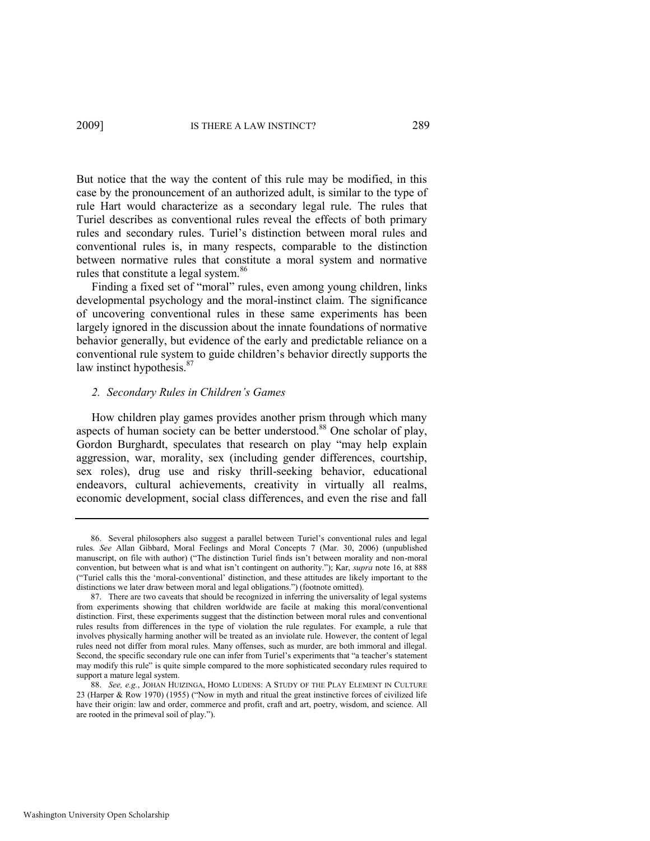But notice that the way the content of this rule may be modified, in this case by the pronouncement of an authorized adult, is similar to the type of rule Hart would characterize as a secondary legal rule. The rules that Turiel describes as conventional rules reveal the effects of both primary rules and secondary rules. Turiel's distinction between moral rules and conventional rules is, in many respects, comparable to the distinction between normative rules that constitute a moral system and normative rules that constitute a legal system.<sup>86</sup>

Finding a fixed set of "moral" rules, even among young children, links developmental psychology and the moral-instinct claim. The significance of uncovering conventional rules in these same experiments has been largely ignored in the discussion about the innate foundations of normative behavior generally, but evidence of the early and predictable reliance on a conventional rule system to guide children's behavior directly supports the law instinct hypothesis.<sup>87</sup>

#### <span id="page-21-0"></span>*2. Secondary Rules in Children's Games*

How children play games provides another prism through which many aspects of human society can be better understood.<sup>88</sup> One scholar of play, Gordon Burghardt, speculates that research on play "may help explain aggression, war, morality, sex (including gender differences, courtship, sex roles), drug use and risky thrill-seeking behavior, educational endeavors, cultural achievements, creativity in virtually all realms, economic development, social class differences, and even the rise and fall

<sup>86.</sup> Several philosophers also suggest a parallel between Turiel's conventional rules and legal rules. *See* Allan Gibbard, Moral Feelings and Moral Concepts 7 (Mar. 30, 2006) (unpublished manuscript, on file with author) ("The distinction Turiel finds isn't between morality and non-moral convention, but between what is and what isn't contingent on authority."); Kar, *supra* note [16,](#page-4-3) at 888 (―Turiel calls this the ‗moral-conventional' distinction, and these attitudes are likely important to the distinctions we later draw between moral and legal obligations.") (footnote omitted).

<sup>87.</sup> There are two caveats that should be recognized in inferring the universality of legal systems from experiments showing that children worldwide are facile at making this moral/conventional distinction. First, these experiments suggest that the distinction between moral rules and conventional rules results from differences in the type of violation the rule regulates. For example, a rule that involves physically harming another will be treated as an inviolate rule. However, the content of legal rules need not differ from moral rules. Many offenses, such as murder, are both immoral and illegal. Second, the specific secondary rule one can infer from Turiel's experiments that "a teacher's statement may modify this rule" is quite simple compared to the more sophisticated secondary rules required to support a mature legal system.

<sup>88.</sup> *See, e.g.*, JOHAN HUIZINGA, HOMO LUDENS: A STUDY OF THE PLAY ELEMENT IN CULTURE 23 (Harper & Row 1970) (1955) ("Now in myth and ritual the great instinctive forces of civilized life have their origin: law and order, commerce and profit, craft and art, poetry, wisdom, and science. All are rooted in the primeval soil of play.").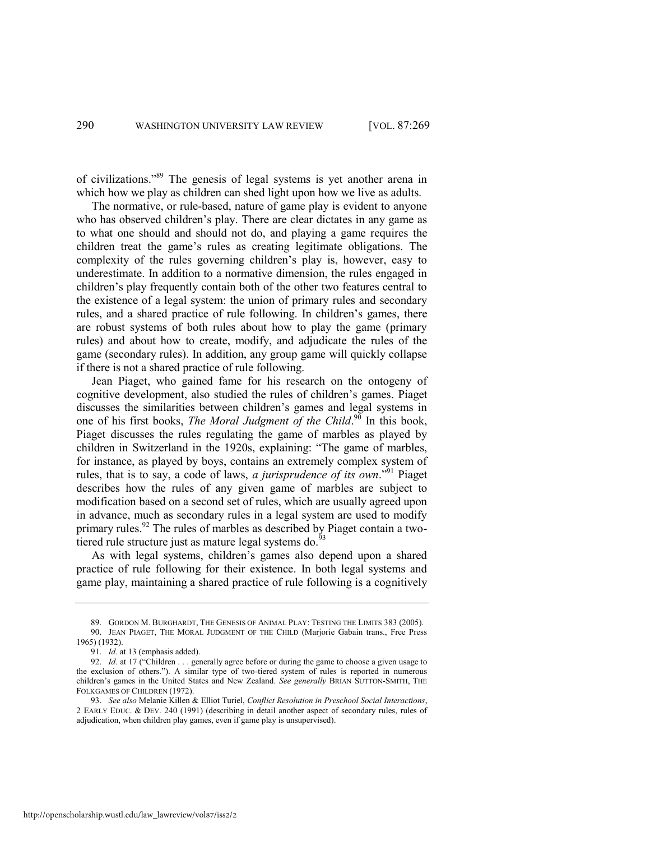<span id="page-22-0"></span>of civilizations."<sup>89</sup> The genesis of legal systems is yet another arena in which how we play as children can shed light upon how we live as adults.

The normative, or rule-based, nature of game play is evident to anyone who has observed children's play. There are clear dictates in any game as to what one should and should not do, and playing a game requires the children treat the game's rules as creating legitimate obligations. The complexity of the rules governing children's play is, however, easy to underestimate. In addition to a normative dimension, the rules engaged in children's play frequently contain both of the other two features central to the existence of a legal system: the union of primary rules and secondary rules, and a shared practice of rule following. In children's games, there are robust systems of both rules about how to play the game (primary rules) and about how to create, modify, and adjudicate the rules of the game (secondary rules). In addition, any group game will quickly collapse if there is not a shared practice of rule following.

Jean Piaget, who gained fame for his research on the ontogeny of cognitive development, also studied the rules of children's games. Piaget discusses the similarities between children's games and legal systems in one of his first books, *The Moral Judgment of the Child*.<sup>90</sup> In this book, Piaget discusses the rules regulating the game of marbles as played by children in Switzerland in the 1920s, explaining: "The game of marbles, for instance, as played by boys, contains an extremely complex system of rules, that is to say, a code of laws, *a jurisprudence of its own*.<sup>91</sup> Piaget describes how the rules of any given game of marbles are subject to modification based on a second set of rules, which are usually agreed upon in advance, much as secondary rules in a legal system are used to modify primary rules.<sup>92</sup> The rules of marbles as described by Piaget contain a twotiered rule structure just as mature legal systems do. $93$ 

As with legal systems, children's games also depend upon a shared practice of rule following for their existence. In both legal systems and game play, maintaining a shared practice of rule following is a cognitively

<sup>89.</sup> GORDON M. BURGHARDT, THE GENESIS OF ANIMAL PLAY: TESTING THE LIMITS 383 (2005). 90. JEAN PIAGET, THE MORAL JUDGMENT OF THE CHILD (Marjorie Gabain trans., Free Press 1965) (1932).

<sup>91.</sup> *Id.* at 13 (emphasis added).

<sup>92.</sup> *Id.* at 17 ("Children . . . generally agree before or during the game to choose a given usage to the exclusion of others."). A similar type of two-tiered system of rules is reported in numerous children's games in the United States and New Zealand. *See generally* BRIAN SUTTON-SMITH, THE FOLKGAMES OF CHILDREN (1972).

<sup>93.</sup> *See also* Melanie Killen & Elliot Turiel, *Conflict Resolution in Preschool Social Interactions*, 2 EARLY EDUC. & DEV. 240 (1991) (describing in detail another aspect of secondary rules, rules of adjudication, when children play games, even if game play is unsupervised).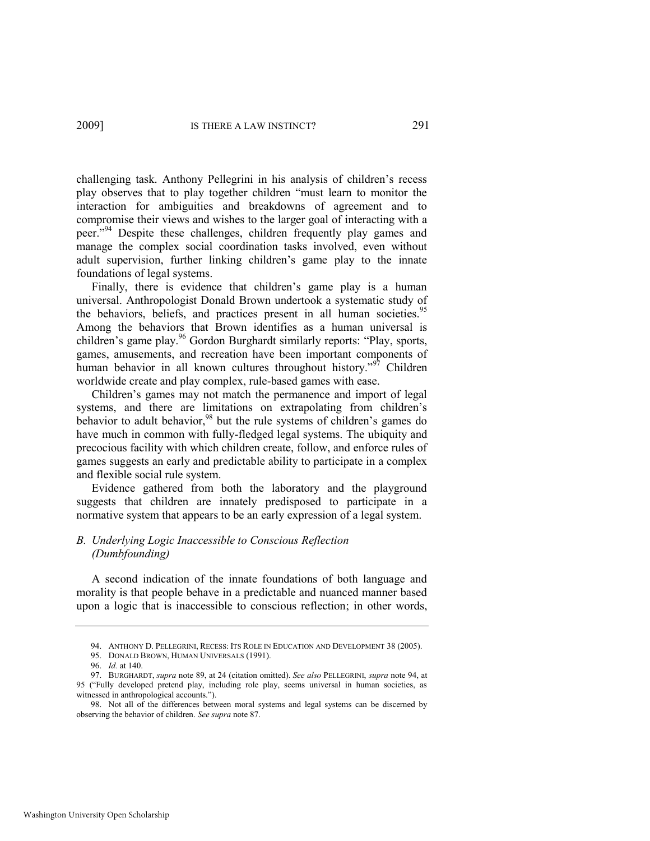<span id="page-23-0"></span>challenging task. Anthony Pellegrini in his analysis of children's recess play observes that to play together children "must learn to monitor the interaction for ambiguities and breakdowns of agreement and to compromise their views and wishes to the larger goal of interacting with a peer."<sup>94</sup> Despite these challenges, children frequently play games and manage the complex social coordination tasks involved, even without adult supervision, further linking children's game play to the innate foundations of legal systems.

<span id="page-23-1"></span>Finally, there is evidence that children's game play is a human universal. Anthropologist Donald Brown undertook a systematic study of the behaviors, beliefs, and practices present in all human societies.<sup>95</sup> Among the behaviors that Brown identifies as a human universal is children's game play.<sup>96</sup> Gordon Burghardt similarly reports: "Play, sports, games, amusements, and recreation have been important components of human behavior in all known cultures throughout history.<sup>997</sup> Children worldwide create and play complex, rule-based games with ease.

Children's games may not match the permanence and import of legal systems, and there are limitations on extrapolating from children's behavior to adult behavior,<sup>98</sup> but the rule systems of children's games do have much in common with fully-fledged legal systems. The ubiquity and precocious facility with which children create, follow, and enforce rules of games suggests an early and predictable ability to participate in a complex and flexible social rule system.

Evidence gathered from both the laboratory and the playground suggests that children are innately predisposed to participate in a normative system that appears to be an early expression of a legal system.

# *B. Underlying Logic Inaccessible to Conscious Reflection (Dumbfounding)*

A second indication of the innate foundations of both language and morality is that people behave in a predictable and nuanced manner based upon a logic that is inaccessible to conscious reflection; in other words,

<sup>94.</sup> ANTHONY D. PELLEGRINI, RECESS: ITS ROLE IN EDUCATION AND DEVELOPMENT 38 (2005).

<sup>95.</sup> DONALD BROWN, HUMAN UNIVERSALS (1991).

<sup>96.</sup> *Id.* at 140.

<sup>97.</sup> BURGHARDT, *supra* not[e 89,](#page-22-0) at 24 (citation omitted). *See also* PELLEGRINI, *supra* not[e 94,](#page-23-0) at 95 ("Fully developed pretend play, including role play, seems universal in human societies, as witnessed in anthropological accounts.").

<sup>98.</sup> Not all of the differences between moral systems and legal systems can be discerned by observing the behavior of children. *See supra* not[e 87.](#page-21-0)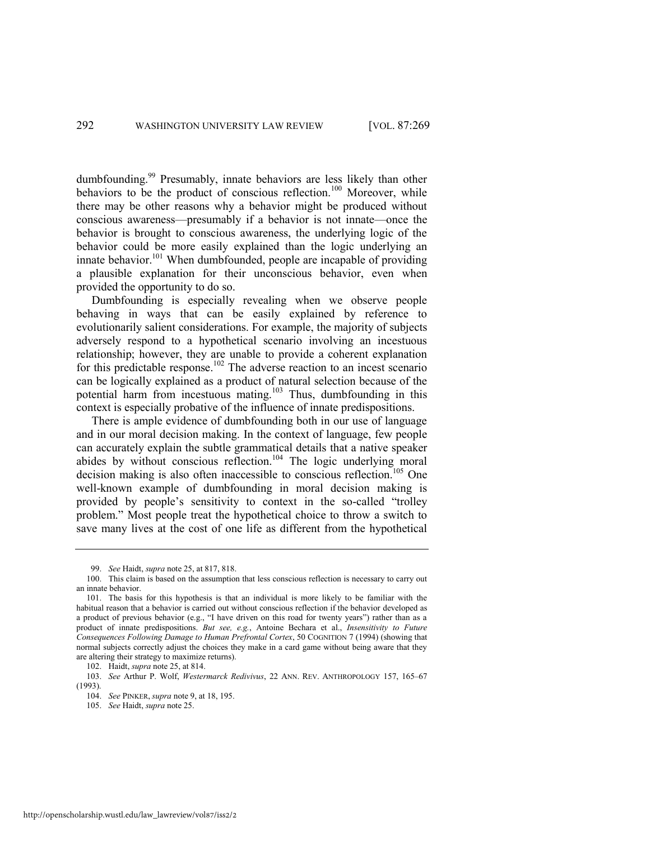dumbfounding.<sup>99</sup> Presumably, innate behaviors are less likely than other behaviors to be the product of conscious reflection.<sup>100</sup> Moreover, while there may be other reasons why a behavior might be produced without conscious awareness—presumably if a behavior is not innate—once the behavior is brought to conscious awareness, the underlying logic of the behavior could be more easily explained than the logic underlying an innate behavior.<sup>101</sup> When dumbfounded, people are incapable of providing a plausible explanation for their unconscious behavior, even when provided the opportunity to do so.

Dumbfounding is especially revealing when we observe people behaving in ways that can be easily explained by reference to evolutionarily salient considerations. For example, the majority of subjects adversely respond to a hypothetical scenario involving an incestuous relationship; however, they are unable to provide a coherent explanation for this predictable response.<sup>102</sup> The adverse reaction to an incest scenario can be logically explained as a product of natural selection because of the potential harm from incestuous mating.<sup>103</sup> Thus, dumbfounding in this context is especially probative of the influence of innate predispositions.

There is ample evidence of dumbfounding both in our use of language and in our moral decision making. In the context of language, few people can accurately explain the subtle grammatical details that a native speaker abides by without conscious reflection.<sup>104</sup> The logic underlying moral decision making is also often inaccessible to conscious reflection.<sup>105</sup> One well-known example of dumbfounding in moral decision making is provided by people's sensitivity to context in the so-called "trolley problem.‖ Most people treat the hypothetical choice to throw a switch to save many lives at the cost of one life as different from the hypothetical

<sup>99.</sup> *See* Haidt, *supra* not[e 25,](#page-7-0) at 817, 818.

<sup>100.</sup> This claim is based on the assumption that less conscious reflection is necessary to carry out an innate behavior.

<sup>101.</sup> The basis for this hypothesis is that an individual is more likely to be familiar with the habitual reason that a behavior is carried out without conscious reflection if the behavior developed as a product of previous behavior (e.g., "I have driven on this road for twenty years") rather than as a product of innate predispositions. *But see, e.g.*, Antoine Bechara et al., *Insensitivity to Future Consequences Following Damage to Human Prefrontal Cortex*, 50 COGNITION 7 (1994) (showing that normal subjects correctly adjust the choices they make in a card game without being aware that they are altering their strategy to maximize returns).

<sup>102.</sup> Haidt, *supra* not[e 25,](#page-7-0) at 814.

<sup>103.</sup> *See* Arthur P. Wolf, *Westermarck Redivivus*, 22 ANN. REV. ANTHROPOLOGY 157, 165–67 (1993).

<sup>104.</sup> *See* PINKER, *supra* not[e 9,](#page-4-1) at 18, 195.

<sup>105.</sup> *See* Haidt, *supra* not[e 25.](#page-7-0)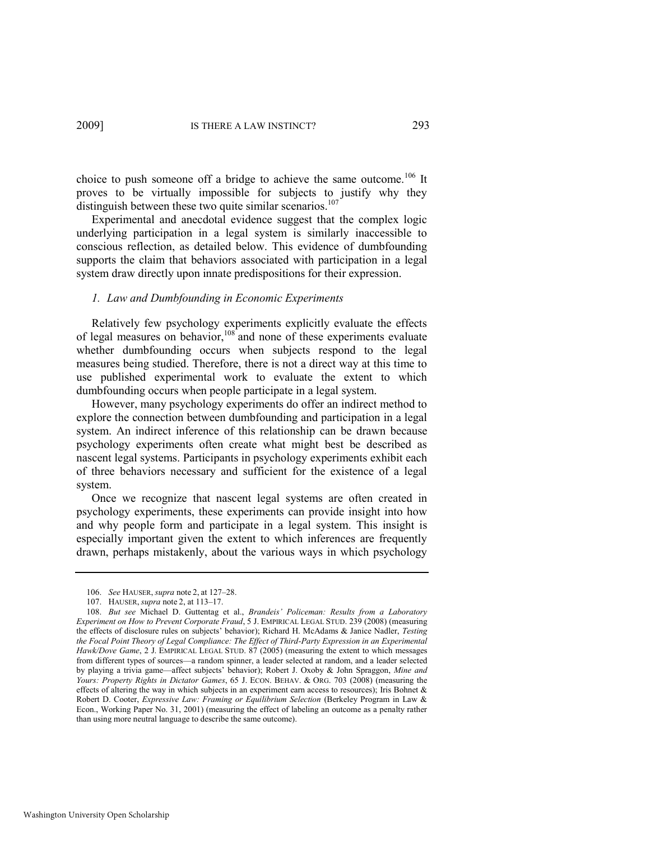choice to push someone off a bridge to achieve the same outcome.<sup>106</sup> It proves to be virtually impossible for subjects to justify why they distinguish between these two quite similar scenarios.<sup>107</sup>

Experimental and anecdotal evidence suggest that the complex logic underlying participation in a legal system is similarly inaccessible to conscious reflection, as detailed below. This evidence of dumbfounding supports the claim that behaviors associated with participation in a legal system draw directly upon innate predispositions for their expression.

#### <span id="page-25-0"></span>*1. Law and Dumbfounding in Economic Experiments*

Relatively few psychology experiments explicitly evaluate the effects of legal measures on behavior,<sup>108</sup> and none of these experiments evaluate whether dumbfounding occurs when subjects respond to the legal measures being studied. Therefore, there is not a direct way at this time to use published experimental work to evaluate the extent to which dumbfounding occurs when people participate in a legal system.

However, many psychology experiments do offer an indirect method to explore the connection between dumbfounding and participation in a legal system. An indirect inference of this relationship can be drawn because psychology experiments often create what might best be described as nascent legal systems. Participants in psychology experiments exhibit each of three behaviors necessary and sufficient for the existence of a legal system.

Once we recognize that nascent legal systems are often created in psychology experiments, these experiments can provide insight into how and why people form and participate in a legal system. This insight is especially important given the extent to which inferences are frequently drawn, perhaps mistakenly, about the various ways in which psychology

<sup>106.</sup> *See* HAUSER, *supra* note [2,](#page-3-1) at 127–28.

<sup>107.</sup> HAUSER, *supra* note [2,](#page-3-1) at 113–17.

<sup>108.</sup> *But see* Michael D. Guttentag et al., *Brandeis' Policeman: Results from a Laboratory Experiment on How to Prevent Corporate Fraud*, 5 J. EMPIRICAL LEGAL STUD. 239 (2008) (measuring the effects of disclosure rules on subjects' behavior); Richard H. McAdams & Janice Nadler, *Testing the Focal Point Theory of Legal Compliance: The Effect of Third-Party Expression in an Experimental Hawk/Dove Game*, 2 J. EMPIRICAL LEGAL STUD. 87 (2005) (measuring the extent to which messages from different types of sources—a random spinner, a leader selected at random, and a leader selected by playing a trivia game—affect subjects' behavior); Robert J. Oxoby & John Spraggon, *Mine and Yours: Property Rights in Dictator Games*, 65 J. ECON. BEHAV. & ORG. 703 (2008) (measuring the effects of altering the way in which subjects in an experiment earn access to resources); Iris Bohnet & Robert D. Cooter, *Expressive Law: Framing or Equilibrium Selection* (Berkeley Program in Law & Econ., Working Paper No. 31, 2001) (measuring the effect of labeling an outcome as a penalty rather than using more neutral language to describe the same outcome).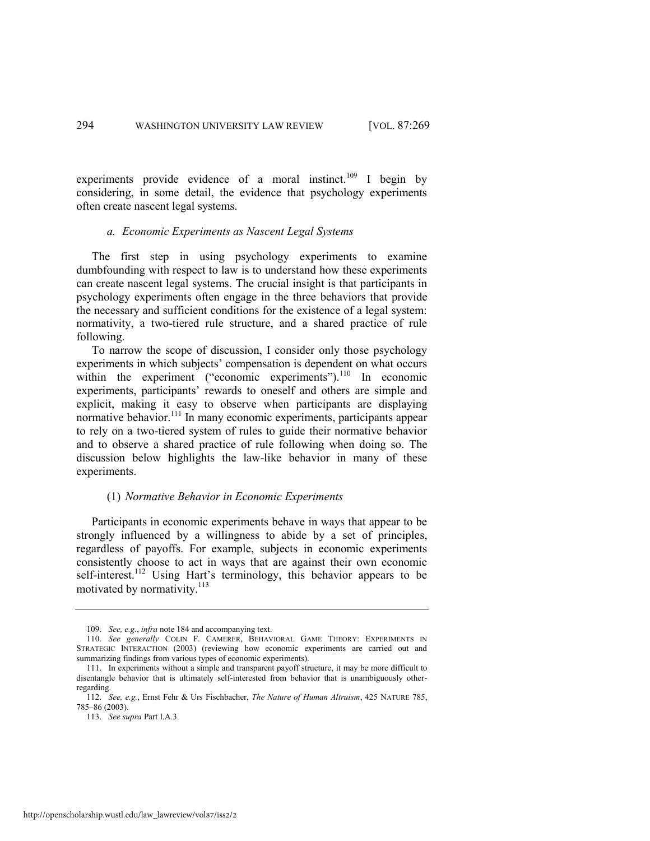experiments provide evidence of a moral instinct.<sup>109</sup> I begin by considering, in some detail, the evidence that psychology experiments often create nascent legal systems.

#### *a. Economic Experiments as Nascent Legal Systems*

The first step in using psychology experiments to examine dumbfounding with respect to law is to understand how these experiments can create nascent legal systems. The crucial insight is that participants in psychology experiments often engage in the three behaviors that provide the necessary and sufficient conditions for the existence of a legal system: normativity, a two-tiered rule structure, and a shared practice of rule following.

To narrow the scope of discussion, I consider only those psychology experiments in which subjects' compensation is dependent on what occurs within the experiment ("economic experiments"). $^{110}$  In economic experiments, participants' rewards to oneself and others are simple and explicit, making it easy to observe when participants are displaying normative behavior.<sup>111</sup> In many economic experiments, participants appear to rely on a two-tiered system of rules to guide their normative behavior and to observe a shared practice of rule following when doing so. The discussion below highlights the law-like behavior in many of these experiments.

#### <span id="page-26-0"></span>(1) *Normative Behavior in Economic Experiments*

Participants in economic experiments behave in ways that appear to be strongly influenced by a willingness to abide by a set of principles, regardless of payoffs. For example, subjects in economic experiments consistently choose to act in ways that are against their own economic self-interest.<sup>112</sup> Using Hart's terminology, this behavior appears to be motivated by normativity. 113

<span id="page-26-1"></span><sup>109.</sup> *See, e.g.*, *infra* not[e 184](#page-41-0) and accompanying text.

<sup>110.</sup> *See generally* COLIN F. CAMERER, BEHAVIORAL GAME THEORY: EXPERIMENTS IN STRATEGIC INTERACTION (2003) (reviewing how economic experiments are carried out and summarizing findings from various types of economic experiments).

<sup>111.</sup> In experiments without a simple and transparent payoff structure, it may be more difficult to disentangle behavior that is ultimately self-interested from behavior that is unambiguously otherregarding.

<sup>112.</sup> *See, e.g.*, Ernst Fehr & Urs Fischbacher, *The Nature of Human Altruism*, 425 NATURE 785, 785–86 (2003).

<sup>113.</sup> *See supra* Part I.A.3.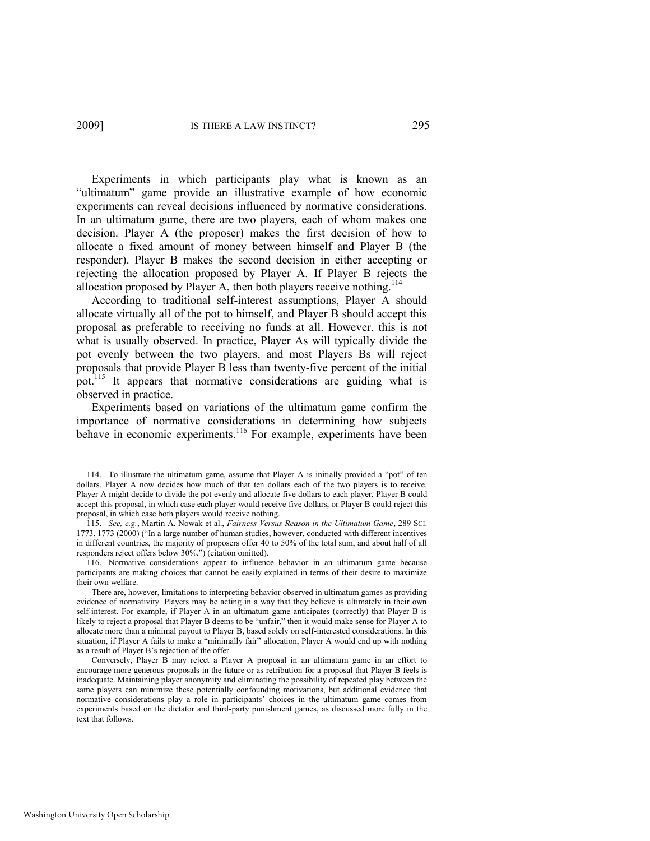Experiments in which participants play what is known as an "ultimatum" game provide an illustrative example of how economic experiments can reveal decisions influenced by normative considerations. In an ultimatum game, there are two players, each of whom makes one decision. Player A (the proposer) makes the first decision of how to allocate a fixed amount of money between himself and Player B (the responder). Player B makes the second decision in either accepting or rejecting the allocation proposed by Player A. If Player B rejects the allocation proposed by Player A, then both players receive nothing.<sup>114</sup>

According to traditional self-interest assumptions, Player A should allocate virtually all of the pot to himself, and Player B should accept this proposal as preferable to receiving no funds at all. However, this is not what is usually observed. In practice, Player As will typically divide the pot evenly between the two players, and most Players Bs will reject proposals that provide Player B less than twenty-five percent of the initial pot.<sup>115</sup> It appears that normative considerations are guiding what is observed in practice.

<span id="page-27-0"></span>Experiments based on variations of the ultimatum game confirm the importance of normative considerations in determining how subjects behave in economic experiments.<sup>116</sup> For example, experiments have been

<sup>114.</sup> To illustrate the ultimatum game, assume that Player A is initially provided a "pot" of ten dollars. Player A now decides how much of that ten dollars each of the two players is to receive. Player A might decide to divide the pot evenly and allocate five dollars to each player. Player B could accept this proposal, in which case each player would receive five dollars, or Player B could reject this proposal, in which case both players would receive nothing.

<sup>115.</sup> *See, e.g.*, Martin A. Nowak et al., *Fairness Versus Reason in the Ultimatum Game*, 289 SCI. 1773, 1773 (2000) ("In a large number of human studies, however, conducted with different incentives in different countries, the majority of proposers offer 40 to 50% of the total sum, and about half of all responders reject offers below 30%.") (citation omitted).

<sup>116.</sup> Normative considerations appear to influence behavior in an ultimatum game because participants are making choices that cannot be easily explained in terms of their desire to maximize their own welfare.

There are, however, limitations to interpreting behavior observed in ultimatum games as providing evidence of normativity. Players may be acting in a way that they believe is ultimately in their own self-interest. For example, if Player A in an ultimatum game anticipates (correctly) that Player B is likely to reject a proposal that Player B deems to be "unfair," then it would make sense for Player A to allocate more than a minimal payout to Player B, based solely on self-interested considerations. In this situation, if Player A fails to make a "minimally fair" allocation, Player A would end up with nothing as a result of Player B's rejection of the offer.

Conversely, Player B may reject a Player A proposal in an ultimatum game in an effort to encourage more generous proposals in the future or as retribution for a proposal that Player B feels is inadequate. Maintaining player anonymity and eliminating the possibility of repeated play between the same players can minimize these potentially confounding motivations, but additional evidence that normative considerations play a role in participants' choices in the ultimatum game comes from experiments based on the dictator and third-party punishment games, as discussed more fully in the text that follows.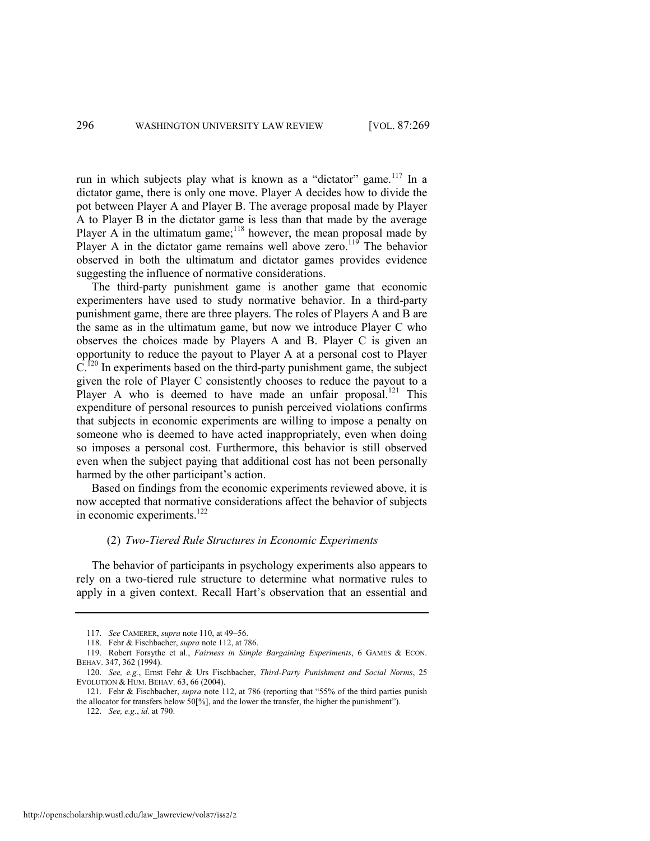run in which subjects play what is known as a "dictator" game.<sup>117</sup> In a dictator game, there is only one move. Player A decides how to divide the pot between Player A and Player B. The average proposal made by Player A to Player B in the dictator game is less than that made by the average Player A in the ultimatum game;<sup>118</sup> however, the mean proposal made by Player A in the dictator game remains well above zero.<sup>119</sup> The behavior observed in both the ultimatum and dictator games provides evidence suggesting the influence of normative considerations.

The third-party punishment game is another game that economic experimenters have used to study normative behavior. In a third-party punishment game, there are three players. The roles of Players A and B are the same as in the ultimatum game, but now we introduce Player C who observes the choices made by Players A and B. Player C is given an opportunity to reduce the payout to Player A at a personal cost to Player  $C<sup>120</sup>$  In experiments based on the third-party punishment game, the subject given the role of Player C consistently chooses to reduce the payout to a Player A who is deemed to have made an unfair proposal.<sup>121</sup> This expenditure of personal resources to punish perceived violations confirms that subjects in economic experiments are willing to impose a penalty on someone who is deemed to have acted inappropriately, even when doing so imposes a personal cost. Furthermore, this behavior is still observed even when the subject paying that additional cost has not been personally harmed by the other participant's action.

Based on findings from the economic experiments reviewed above, it is now accepted that normative considerations affect the behavior of subjects in economic experiments.<sup>122</sup>

#### (2) *Two-Tiered Rule Structures in Economic Experiments*

The behavior of participants in psychology experiments also appears to rely on a two-tiered rule structure to determine what normative rules to apply in a given context. Recall Hart's observation that an essential and

<sup>117.</sup> *See* CAMERER, *supra* note [110,](#page-26-0) at 49-56.

<sup>118.</sup> Fehr & Fischbacher, *supra* note [112,](#page-26-1) at 786.

<sup>119.</sup> Robert Forsythe et al., *Fairness in Simple Bargaining Experiments*, 6 GAMES & ECON. BEHAV. 347, 362 (1994).

<sup>120.</sup> *See, e.g.*, Ernst Fehr & Urs Fischbacher, *Third-Party Punishment and Social Norms*, 25 EVOLUTION & HUM. BEHAV. 63, 66 (2004).

<sup>121.</sup> Fehr & Fischbacher, *supra* not[e 112,](#page-26-1) at 786 (reporting that "55% of the third parties punish the allocator for transfers below  $50\%$ , and the lower the transfer, the higher the punishment").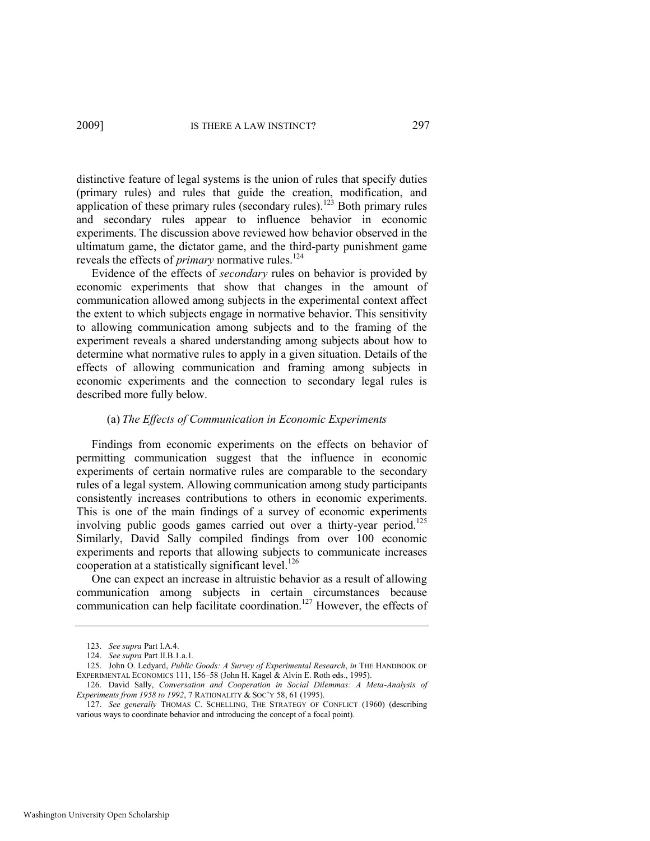distinctive feature of legal systems is the union of rules that specify duties (primary rules) and rules that guide the creation, modification, and application of these primary rules (secondary rules).<sup>123</sup> Both primary rules and secondary rules appear to influence behavior in economic experiments. The discussion above reviewed how behavior observed in the ultimatum game, the dictator game, and the third-party punishment game reveals the effects of *primary* normative rules.<sup>124</sup>

Evidence of the effects of *secondary* rules on behavior is provided by economic experiments that show that changes in the amount of communication allowed among subjects in the experimental context affect the extent to which subjects engage in normative behavior. This sensitivity to allowing communication among subjects and to the framing of the experiment reveals a shared understanding among subjects about how to determine what normative rules to apply in a given situation. Details of the effects of allowing communication and framing among subjects in economic experiments and the connection to secondary legal rules is described more fully below.

#### <span id="page-29-1"></span>(a) *The Effects of Communication in Economic Experiments*

Findings from economic experiments on the effects on behavior of permitting communication suggest that the influence in economic experiments of certain normative rules are comparable to the secondary rules of a legal system. Allowing communication among study participants consistently increases contributions to others in economic experiments. This is one of the main findings of a survey of economic experiments involving public goods games carried out over a thirty-year period.<sup>125</sup> Similarly, David Sally compiled findings from over 100 economic experiments and reports that allowing subjects to communicate increases cooperation at a statistically significant level.<sup>126</sup>

<span id="page-29-0"></span>One can expect an increase in altruistic behavior as a result of allowing communication among subjects in certain circumstances because communication can help facilitate coordination.<sup>127</sup> However, the effects of

<sup>123.</sup> *See supra* Part I.A.4.

<sup>124.</sup> *See supra* Part II.B.1.a.1.

<sup>125.</sup> John O. Ledyard, *Public Goods: A Survey of Experimental Research*, *in* THE HANDBOOK OF EXPERIMENTAL ECONOMICS 111, 156–58 (John H. Kagel & Alvin E. Roth eds., 1995).

<sup>126.</sup> David Sally, *Conversation and Cooperation in Social Dilemmas: A Meta-Analysis of Experiments from 1958 to 1992*, 7 RATIONALITY & SOC'Y 58, 61 (1995).

<sup>127.</sup> *See generally* THOMAS C. SCHELLING, THE STRATEGY OF CONFLICT (1960) (describing various ways to coordinate behavior and introducing the concept of a focal point).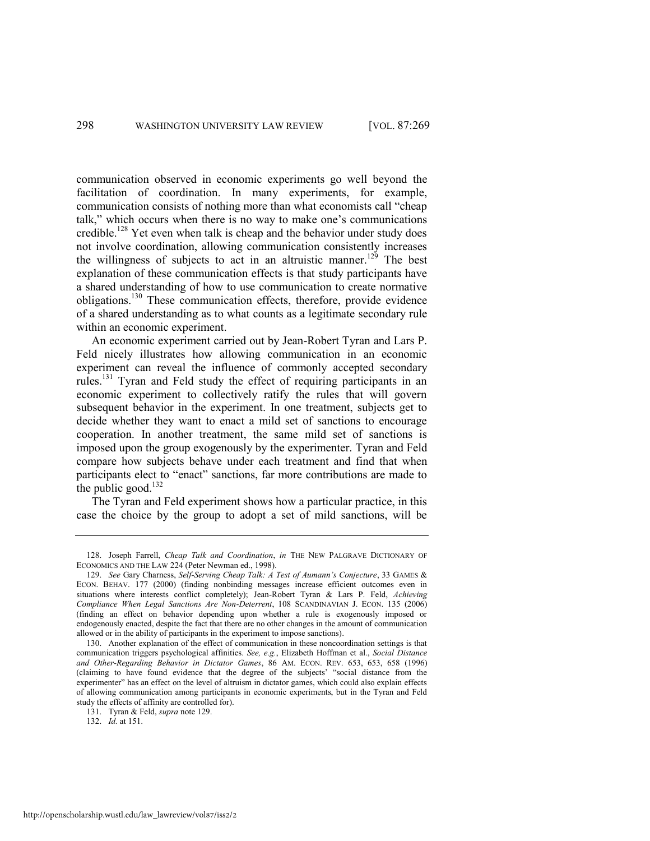<span id="page-30-0"></span>communication observed in economic experiments go well beyond the facilitation of coordination. In many experiments, for example, communication consists of nothing more than what economists call "cheap" talk," which occurs when there is no way to make one's communications credible.<sup>128</sup> Yet even when talk is cheap and the behavior under study does not involve coordination, allowing communication consistently increases the willingness of subjects to act in an altruistic manner.<sup>129</sup> The best explanation of these communication effects is that study participants have a shared understanding of how to use communication to create normative obligations.<sup>130</sup> These communication effects, therefore, provide evidence of a shared understanding as to what counts as a legitimate secondary rule within an economic experiment.

An economic experiment carried out by Jean-Robert Tyran and Lars P. Feld nicely illustrates how allowing communication in an economic experiment can reveal the influence of commonly accepted secondary rules.<sup>131</sup> Tyran and Feld study the effect of requiring participants in an economic experiment to collectively ratify the rules that will govern subsequent behavior in the experiment. In one treatment, subjects get to decide whether they want to enact a mild set of sanctions to encourage cooperation. In another treatment, the same mild set of sanctions is imposed upon the group exogenously by the experimenter. Tyran and Feld compare how subjects behave under each treatment and find that when participants elect to "enact" sanctions, far more contributions are made to the public good. $132$ 

The Tyran and Feld experiment shows how a particular practice, in this case the choice by the group to adopt a set of mild sanctions, will be

131. Tyran & Feld, *supra* note [129.](#page-30-0) 

132. *Id.* at 151.

<sup>128.</sup> Joseph Farrell, *Cheap Talk and Coordination*, *in* THE NEW PALGRAVE DICTIONARY OF ECONOMICS AND THE LAW 224 (Peter Newman ed., 1998).

<sup>129.</sup> *See* Gary Charness, *Self-Serving Cheap Talk: A Test of Aumann's Conjecture*, 33 GAMES & ECON. BEHAV. 177 (2000) (finding nonbinding messages increase efficient outcomes even in situations where interests conflict completely); Jean-Robert Tyran & Lars P. Feld, *Achieving Compliance When Legal Sanctions Are Non-Deterrent*, 108 SCANDINAVIAN J. ECON. 135 (2006) (finding an effect on behavior depending upon whether a rule is exogenously imposed or endogenously enacted, despite the fact that there are no other changes in the amount of communication allowed or in the ability of participants in the experiment to impose sanctions).

<sup>130.</sup> Another explanation of the effect of communication in these noncoordination settings is that communication triggers psychological affinities. *See, e.g.*, Elizabeth Hoffman et al., *Social Distance and Other-Regarding Behavior in Dictator Games*, 86 AM. ECON. REV. 653, 653, 658 (1996) (claiming to have found evidence that the degree of the subjects' "social distance from the experimenter" has an effect on the level of altruism in dictator games, which could also explain effects of allowing communication among participants in economic experiments, but in the Tyran and Feld study the effects of affinity are controlled for).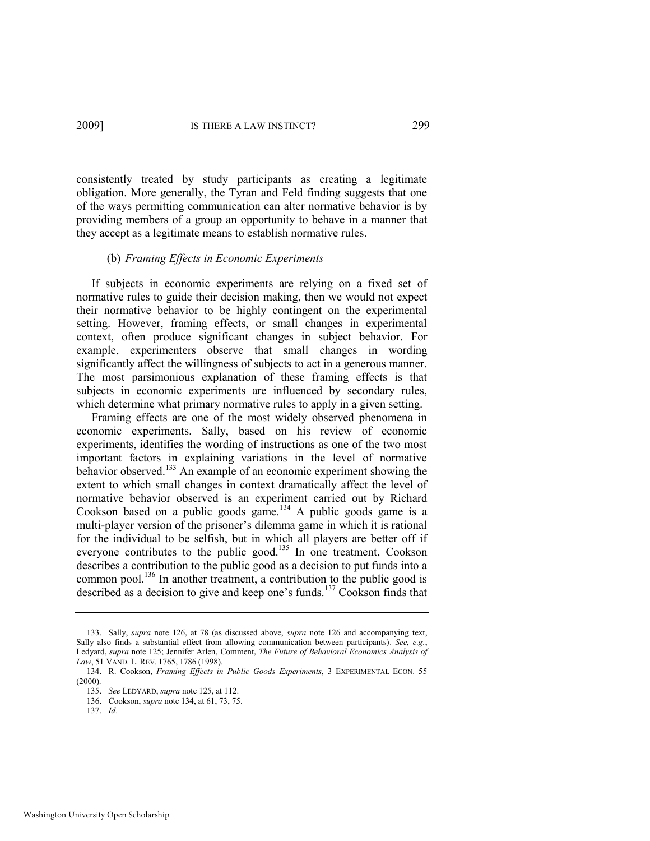consistently treated by study participants as creating a legitimate obligation. More generally, the Tyran and Feld finding suggests that one of the ways permitting communication can alter normative behavior is by providing members of a group an opportunity to behave in a manner that they accept as a legitimate means to establish normative rules.

#### (b) *Framing Effects in Economic Experiments*

If subjects in economic experiments are relying on a fixed set of normative rules to guide their decision making, then we would not expect their normative behavior to be highly contingent on the experimental setting. However, framing effects, or small changes in experimental context, often produce significant changes in subject behavior. For example, experimenters observe that small changes in wording significantly affect the willingness of subjects to act in a generous manner. The most parsimonious explanation of these framing effects is that subjects in economic experiments are influenced by secondary rules, which determine what primary normative rules to apply in a given setting.

<span id="page-31-0"></span>Framing effects are one of the most widely observed phenomena in economic experiments. Sally, based on his review of economic experiments, identifies the wording of instructions as one of the two most important factors in explaining variations in the level of normative behavior observed.<sup>133</sup> An example of an economic experiment showing the extent to which small changes in context dramatically affect the level of normative behavior observed is an experiment carried out by Richard Cookson based on a public goods game.<sup>134</sup> A public goods game is a multi-player version of the prisoner's dilemma game in which it is rational for the individual to be selfish, but in which all players are better off if everyone contributes to the public good.<sup>135</sup> In one treatment, Cookson describes a contribution to the public good as a decision to put funds into a common pool.<sup>136</sup> In another treatment, a contribution to the public good is described as a decision to give and keep one's funds.<sup>137</sup> Cookson finds that

<span id="page-31-1"></span><sup>133.</sup> Sally, *supra* note [126,](#page-29-0) at 78 (as discussed above, *supra* note [126](#page-29-0) and accompanying text, Sally also finds a substantial effect from allowing communication between participants). *See, e.g.*, Ledyard, *supra* note [125;](#page-29-1) Jennifer Arlen, Comment, *The Future of Behavioral Economics Analysis of Law*, 51 VAND. L. REV. 1765, 1786 (1998).

<sup>134.</sup> R. Cookson, *Framing Effects in Public Goods Experiments*, 3 EXPERIMENTAL ECON. 55 (2000).

<sup>135.</sup> *See* LEDYARD, *supra* not[e 125,](#page-29-1) at 112.

<sup>136.</sup> Cookson, *supra* not[e 134,](#page-31-0) at 61, 73, 75.

<sup>137.</sup> *Id*.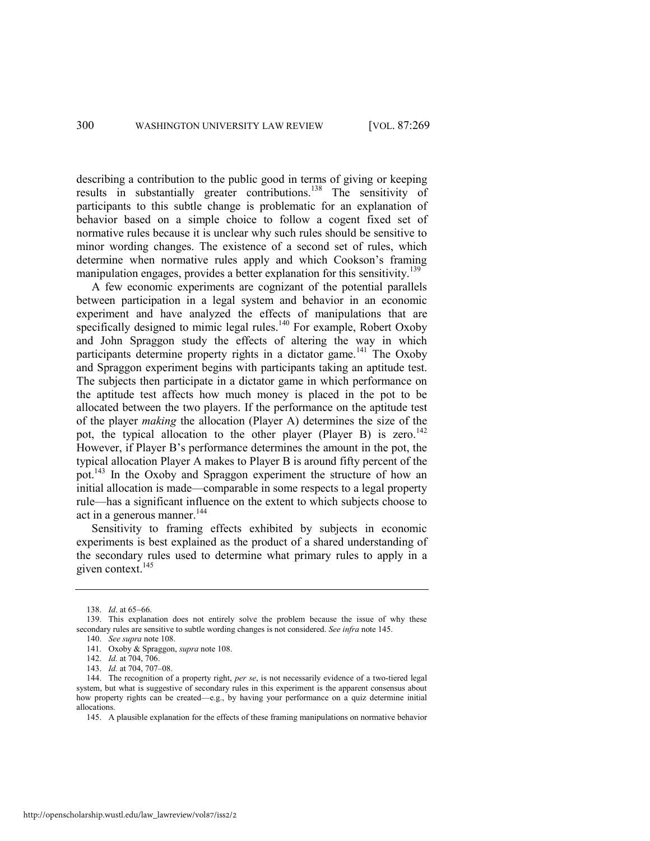describing a contribution to the public good in terms of giving or keeping results in substantially greater contributions.<sup>138</sup> The sensitivity of participants to this subtle change is problematic for an explanation of behavior based on a simple choice to follow a cogent fixed set of normative rules because it is unclear why such rules should be sensitive to minor wording changes. The existence of a second set of rules, which determine when normative rules apply and which Cookson's framing manipulation engages, provides a better explanation for this sensitivity.<sup>139</sup>

A few economic experiments are cognizant of the potential parallels between participation in a legal system and behavior in an economic experiment and have analyzed the effects of manipulations that are specifically designed to mimic legal rules.<sup>140</sup> For example, Robert Oxoby and John Spraggon study the effects of altering the way in which participants determine property rights in a dictator game.<sup>141</sup> The Oxoby and Spraggon experiment begins with participants taking an aptitude test. The subjects then participate in a dictator game in which performance on the aptitude test affects how much money is placed in the pot to be allocated between the two players. If the performance on the aptitude test of the player *making* the allocation (Player A) determines the size of the pot, the typical allocation to the other player (Player B) is zero.<sup>142</sup> However, if Player B's performance determines the amount in the pot, the typical allocation Player A makes to Player B is around fifty percent of the pot.<sup>143</sup> In the Oxoby and Spraggon experiment the structure of how an initial allocation is made—comparable in some respects to a legal property rule—has a significant influence on the extent to which subjects choose to act in a generous manner.<sup>144</sup>

Sensitivity to framing effects exhibited by subjects in economic experiments is best explained as the product of a shared understanding of the secondary rules used to determine what primary rules to apply in a given context.<sup>145</sup>

<span id="page-32-0"></span><sup>138.</sup> *Id.* at 65-66.

<sup>139.</sup> This explanation does not entirely solve the problem because the issue of why these secondary rules are sensitive to subtle wording changes is not considered. *See infra* not[e 145.](#page-32-0)

<sup>140.</sup> *See supra* not[e 108.](#page-25-0)  141. Oxoby & Spraggon, *supra* not[e 108.](#page-25-0) 

<sup>142.</sup> *Id.* at 704, 706.

<sup>143.</sup> *Id.* at 704, 707–08.

<sup>144.</sup> The recognition of a property right, *per se*, is not necessarily evidence of a two-tiered legal system, but what is suggestive of secondary rules in this experiment is the apparent consensus about how property rights can be created—e.g., by having your performance on a quiz determine initial allocations.

<sup>145.</sup> A plausible explanation for the effects of these framing manipulations on normative behavior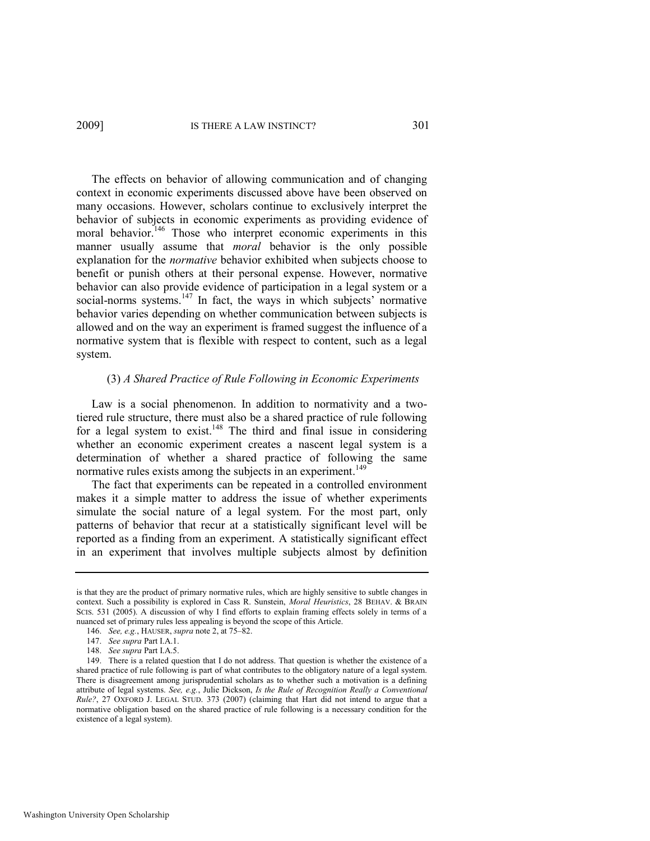The effects on behavior of allowing communication and of changing context in economic experiments discussed above have been observed on many occasions. However, scholars continue to exclusively interpret the behavior of subjects in economic experiments as providing evidence of moral behavior.<sup>146</sup> Those who interpret economic experiments in this manner usually assume that *moral* behavior is the only possible explanation for the *normative* behavior exhibited when subjects choose to benefit or punish others at their personal expense. However, normative behavior can also provide evidence of participation in a legal system or a social-norms systems.<sup>147</sup> In fact, the ways in which subjects' normative behavior varies depending on whether communication between subjects is allowed and on the way an experiment is framed suggest the influence of a normative system that is flexible with respect to content, such as a legal system.

#### (3) *A Shared Practice of Rule Following in Economic Experiments*

Law is a social phenomenon. In addition to normativity and a twotiered rule structure, there must also be a shared practice of rule following for a legal system to exist.<sup>148</sup> The third and final issue in considering whether an economic experiment creates a nascent legal system is a determination of whether a shared practice of following the same normative rules exists among the subjects in an experiment.<sup>149</sup>

The fact that experiments can be repeated in a controlled environment makes it a simple matter to address the issue of whether experiments simulate the social nature of a legal system. For the most part, only patterns of behavior that recur at a statistically significant level will be reported as a finding from an experiment. A statistically significant effect in an experiment that involves multiple subjects almost by definition

is that they are the product of primary normative rules, which are highly sensitive to subtle changes in context. Such a possibility is explored in Cass R. Sunstein, *Moral Heuristics*, 28 BEHAV. & BRAIN SCIS. 531 (2005). A discussion of why I find efforts to explain framing effects solely in terms of a nuanced set of primary rules less appealing is beyond the scope of this Article.

<sup>146.</sup> *See, e.g.*, HAUSER, *supra* not[e 2,](#page-3-1) at 75–82.

<sup>147.</sup> *See supra* Part I.A.1.

<sup>148.</sup> *See supra* Part I.A.5.

<sup>149.</sup> There is a related question that I do not address. That question is whether the existence of a shared practice of rule following is part of what contributes to the obligatory nature of a legal system. There is disagreement among jurisprudential scholars as to whether such a motivation is a defining attribute of legal systems. *See, e.g.*, Julie Dickson, *Is the Rule of Recognition Really a Conventional Rule?*, 27 OXFORD J. LEGAL STUD. 373 (2007) (claiming that Hart did not intend to argue that a normative obligation based on the shared practice of rule following is a necessary condition for the existence of a legal system).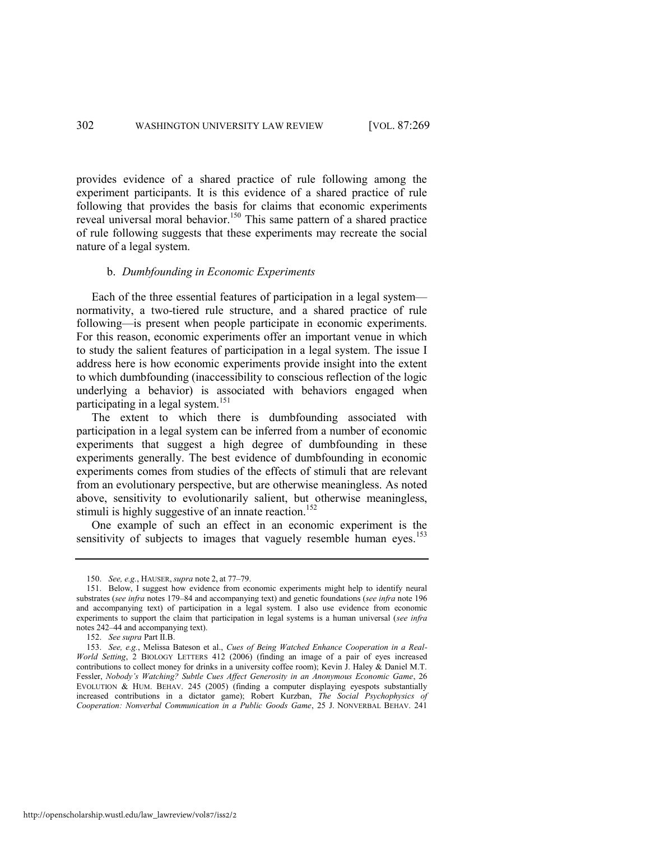provides evidence of a shared practice of rule following among the experiment participants. It is this evidence of a shared practice of rule following that provides the basis for claims that economic experiments reveal universal moral behavior.<sup>150</sup> This same pattern of a shared practice of rule following suggests that these experiments may recreate the social nature of a legal system.

#### b. *Dumbfounding in Economic Experiments*

Each of the three essential features of participation in a legal system normativity, a two-tiered rule structure, and a shared practice of rule following—is present when people participate in economic experiments. For this reason, economic experiments offer an important venue in which to study the salient features of participation in a legal system. The issue I address here is how economic experiments provide insight into the extent to which dumbfounding (inaccessibility to conscious reflection of the logic underlying a behavior) is associated with behaviors engaged when participating in a legal system.<sup>151</sup>

The extent to which there is dumbfounding associated with participation in a legal system can be inferred from a number of economic experiments that suggest a high degree of dumbfounding in these experiments generally. The best evidence of dumbfounding in economic experiments comes from studies of the effects of stimuli that are relevant from an evolutionary perspective, but are otherwise meaningless. As noted above, sensitivity to evolutionarily salient, but otherwise meaningless, stimuli is highly suggestive of an innate reaction.<sup>152</sup>

One example of such an effect in an economic experiment is the sensitivity of subjects to images that vaguely resemble human eyes.<sup>153</sup>

<sup>150.</sup> *See, e.g.*, HAUSER, *supra* note [2,](#page-3-1) at 77–79.

<sup>151.</sup> Below, I suggest how evidence from economic experiments might help to identify neural substrates (*see infra* note[s 179](#page-40-0)–84 and accompanying text) and genetic foundations (*see infra* not[e 196](#page-43-0) and accompanying text) of participation in a legal system. I also use evidence from economic experiments to support the claim that participation in legal systems is a human universal (*see infra*  notes [242](#page-52-0)–44 and accompanying text).

<sup>152.</sup> *See supra* Part II.B.

<sup>153.</sup> *See, e.g.*, Melissa Bateson et al., *Cues of Being Watched Enhance Cooperation in a Real-World Setting*, 2 BIOLOGY LETTERS 412 (2006) (finding an image of a pair of eyes increased contributions to collect money for drinks in a university coffee room); Kevin J. Haley & Daniel M.T. Fessler, *Nobody's Watching? Subtle Cues Affect Generosity in an Anonymous Economic Game*, 26 EVOLUTION & HUM. BEHAV. 245 (2005) (finding a computer displaying eyespots substantially increased contributions in a dictator game); Robert Kurzban, *The Social Psychophysics of Cooperation: Nonverbal Communication in a Public Goods Game*, 25 J. NONVERBAL BEHAV. 241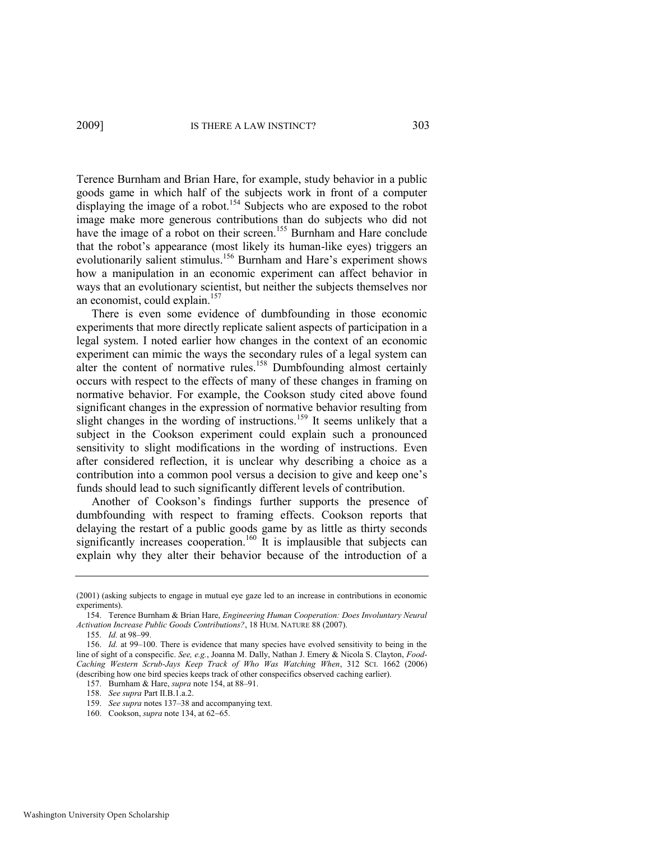<span id="page-35-0"></span>Terence Burnham and Brian Hare, for example, study behavior in a public goods game in which half of the subjects work in front of a computer displaying the image of a robot.<sup>154</sup> Subjects who are exposed to the robot image make more generous contributions than do subjects who did not have the image of a robot on their screen.<sup>155</sup> Burnham and Hare conclude that the robot's appearance (most likely its human-like eyes) triggers an evolutionarily salient stimulus.<sup>156</sup> Burnham and Hare's experiment shows how a manipulation in an economic experiment can affect behavior in ways that an evolutionary scientist, but neither the subjects themselves nor an economist, could explain.<sup>157</sup>

There is even some evidence of dumbfounding in those economic experiments that more directly replicate salient aspects of participation in a legal system. I noted earlier how changes in the context of an economic experiment can mimic the ways the secondary rules of a legal system can alter the content of normative rules.<sup>158</sup> Dumbfounding almost certainly occurs with respect to the effects of many of these changes in framing on normative behavior. For example, the Cookson study cited above found significant changes in the expression of normative behavior resulting from slight changes in the wording of instructions.<sup>159</sup> It seems unlikely that a subject in the Cookson experiment could explain such a pronounced sensitivity to slight modifications in the wording of instructions. Even after considered reflection, it is unclear why describing a choice as a contribution into a common pool versus a decision to give and keep one's funds should lead to such significantly different levels of contribution.

Another of Cookson's findings further supports the presence of dumbfounding with respect to framing effects. Cookson reports that delaying the restart of a public goods game by as little as thirty seconds significantly increases cooperation.<sup>160</sup> It is implausible that subjects can explain why they alter their behavior because of the introduction of a

<sup>(2001) (</sup>asking subjects to engage in mutual eye gaze led to an increase in contributions in economic experiments).

<sup>154.</sup> Terence Burnham & Brian Hare, *Engineering Human Cooperation: Does Involuntary Neural Activation Increase Public Goods Contributions?*, 18 HUM. NATURE 88 (2007).

<sup>155.</sup> *Id.* at 98–99.

<sup>156.</sup> *Id.* at 99–100. There is evidence that many species have evolved sensitivity to being in the line of sight of a conspecific. *See, e.g.*, Joanna M. Dally, Nathan J. Emery & Nicola S. Clayton, *Food-Caching Western Scrub-Jays Keep Track of Who Was Watching When*, 312 SCI. 1662 (2006) (describing how one bird species keeps track of other conspecifics observed caching earlier).

<sup>157.</sup> Burnham & Hare, *supra* note [154,](#page-35-0) at 88–91.

<sup>158.</sup> *See supra* Part II.B.1.a.2.

<sup>159.</sup> *See supra* note[s 137](#page-31-1)–38 and accompanying text.

<sup>160.</sup> Cookson, *supra* not[e 134,](#page-31-0) at 62–65.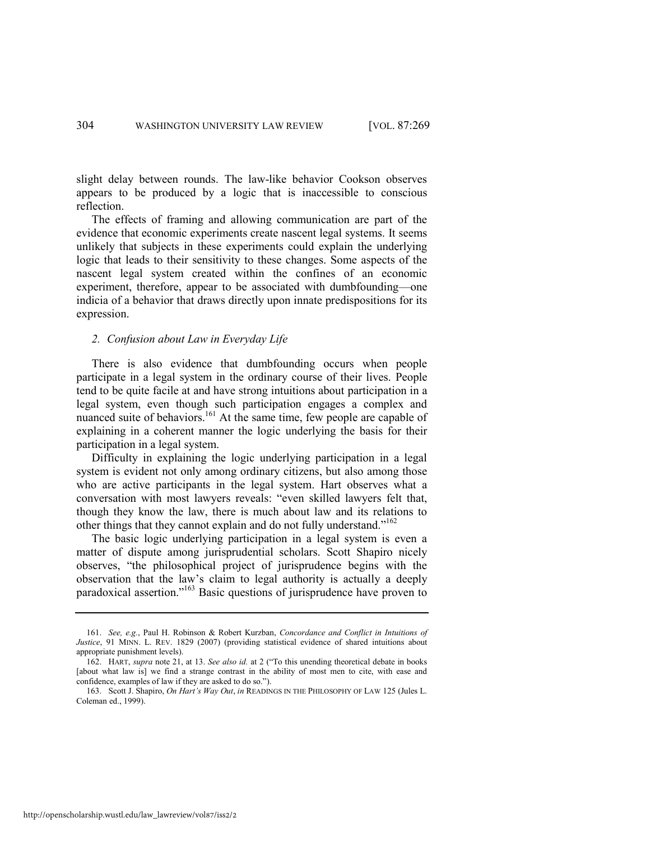slight delay between rounds. The law-like behavior Cookson observes appears to be produced by a logic that is inaccessible to conscious reflection.

The effects of framing and allowing communication are part of the evidence that economic experiments create nascent legal systems. It seems unlikely that subjects in these experiments could explain the underlying logic that leads to their sensitivity to these changes. Some aspects of the nascent legal system created within the confines of an economic experiment, therefore, appear to be associated with dumbfounding—one indicia of a behavior that draws directly upon innate predispositions for its expression.

#### *2. Confusion about Law in Everyday Life*

There is also evidence that dumbfounding occurs when people participate in a legal system in the ordinary course of their lives. People tend to be quite facile at and have strong intuitions about participation in a legal system, even though such participation engages a complex and nuanced suite of behaviors.<sup>161</sup> At the same time, few people are capable of explaining in a coherent manner the logic underlying the basis for their participation in a legal system.

Difficulty in explaining the logic underlying participation in a legal system is evident not only among ordinary citizens, but also among those who are active participants in the legal system. Hart observes what a conversation with most lawyers reveals: "even skilled lawyers felt that, though they know the law, there is much about law and its relations to other things that they cannot explain and do not fully understand."<sup>162</sup>

The basic logic underlying participation in a legal system is even a matter of dispute among jurisprudential scholars. Scott Shapiro nicely observes, "the philosophical project of jurisprudence begins with the observation that the law's claim to legal authority is actually a deeply paradoxical assertion."<sup>163</sup> Basic questions of jurisprudence have proven to

<sup>161.</sup> *See, e.g.*, Paul H. Robinson & Robert Kurzban, *Concordance and Conflict in Intuitions of Justice*, 91 MINN. L. REV. 1829 (2007) (providing statistical evidence of shared intuitions about appropriate punishment levels).

<sup>162.</sup> HART, *supra* not[e 21,](#page-5-1) at 13. *See also id.* at 2 ("To this unending theoretical debate in books [about what law is] we find a strange contrast in the ability of most men to cite, with ease and confidence, examples of law if they are asked to do so.").

<sup>163.</sup> Scott J. Shapiro, *On Hart's Way Out*, *in* READINGS IN THE PHILOSOPHY OF LAW 125 (Jules L. Coleman ed., 1999).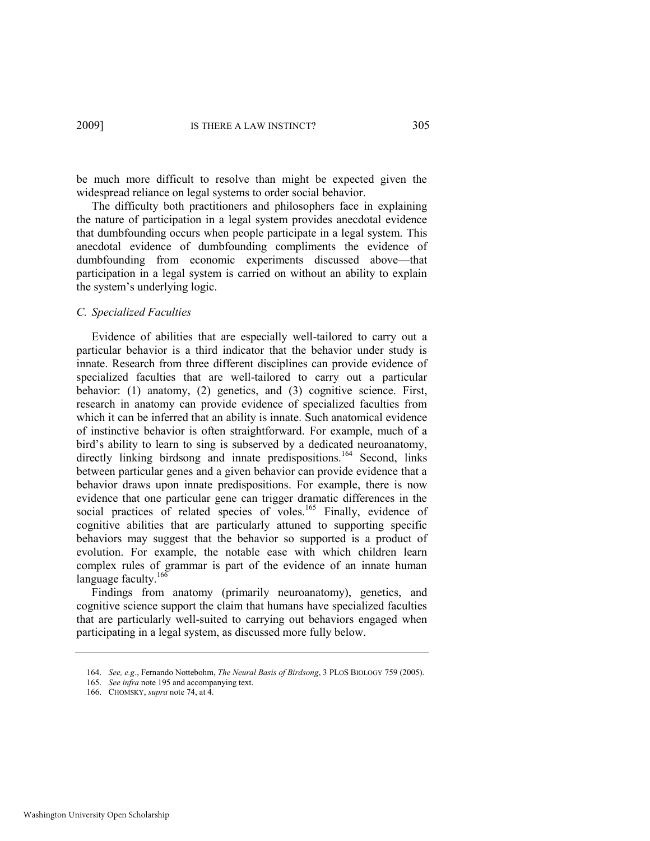be much more difficult to resolve than might be expected given the widespread reliance on legal systems to order social behavior.

The difficulty both practitioners and philosophers face in explaining the nature of participation in a legal system provides anecdotal evidence that dumbfounding occurs when people participate in a legal system. This anecdotal evidence of dumbfounding compliments the evidence of dumbfounding from economic experiments discussed above—that participation in a legal system is carried on without an ability to explain the system's underlying logic.

#### *C. Specialized Faculties*

Evidence of abilities that are especially well-tailored to carry out a particular behavior is a third indicator that the behavior under study is innate. Research from three different disciplines can provide evidence of specialized faculties that are well-tailored to carry out a particular behavior: (1) anatomy, (2) genetics, and (3) cognitive science. First, research in anatomy can provide evidence of specialized faculties from which it can be inferred that an ability is innate. Such anatomical evidence of instinctive behavior is often straightforward. For example, much of a bird's ability to learn to sing is subserved by a dedicated neuroanatomy, directly linking birdsong and innate predispositions.<sup>164</sup> Second, links between particular genes and a given behavior can provide evidence that a behavior draws upon innate predispositions. For example, there is now evidence that one particular gene can trigger dramatic differences in the social practices of related species of voles.<sup>165</sup> Finally, evidence of cognitive abilities that are particularly attuned to supporting specific behaviors may suggest that the behavior so supported is a product of evolution. For example, the notable ease with which children learn complex rules of grammar is part of the evidence of an innate human language faculty.<sup>166</sup>

Findings from anatomy (primarily neuroanatomy), genetics, and cognitive science support the claim that humans have specialized faculties that are particularly well-suited to carrying out behaviors engaged when participating in a legal system, as discussed more fully below.

<sup>164.</sup> *See, e.g.*, Fernando Nottebohm, *The Neural Basis of Birdsong*, 3 PLOS BIOLOGY 759 (2005).

<sup>165.</sup> *See infra* not[e 195 a](#page-42-0)nd accompanying text.

<sup>166.</sup> CHOMSKY, *supra* note [74,](#page-18-1) at 4.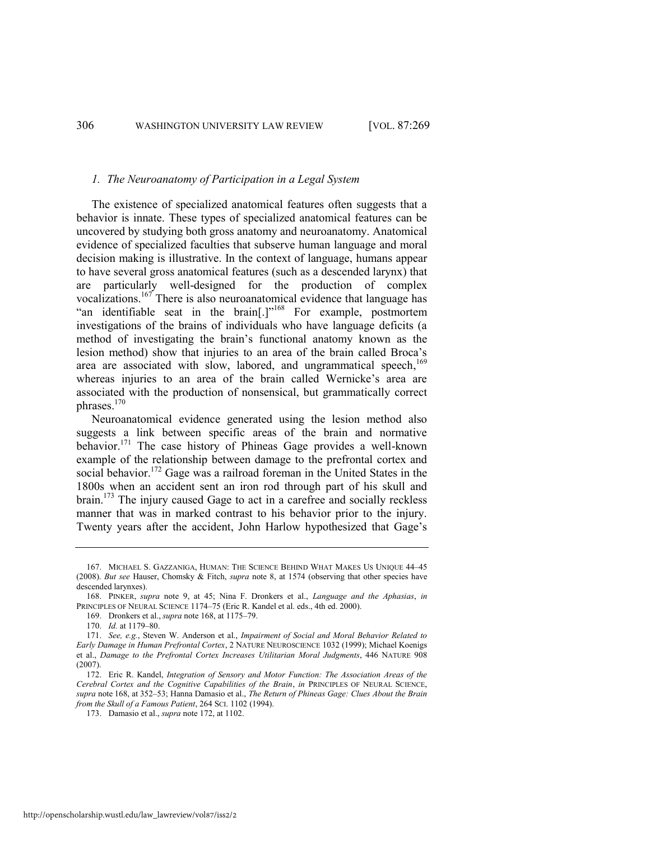#### <span id="page-38-0"></span>*1. The Neuroanatomy of Participation in a Legal System*

The existence of specialized anatomical features often suggests that a behavior is innate. These types of specialized anatomical features can be uncovered by studying both gross anatomy and neuroanatomy. Anatomical evidence of specialized faculties that subserve human language and moral decision making is illustrative. In the context of language, humans appear to have several gross anatomical features (such as a descended larynx) that are particularly well-designed for the production of complex vocalizations.<sup>167</sup> There is also neuroanatomical evidence that language has "an identifiable seat in the brain[.]"<sup>168</sup> For example, postmortem investigations of the brains of individuals who have language deficits (a method of investigating the brain's functional anatomy known as the lesion method) show that injuries to an area of the brain called Broca's area are associated with slow, labored, and ungrammatical speech,<sup>169</sup> whereas injuries to an area of the brain called Wernicke's area are associated with the production of nonsensical, but grammatically correct phrases.<sup>170</sup>

<span id="page-38-1"></span>Neuroanatomical evidence generated using the lesion method also suggests a link between specific areas of the brain and normative behavior.<sup>171</sup> The case history of Phineas Gage provides a well-known example of the relationship between damage to the prefrontal cortex and social behavior.<sup>172</sup> Gage was a railroad foreman in the United States in the 1800s when an accident sent an iron rod through part of his skull and brain.<sup>173</sup> The injury caused Gage to act in a carefree and socially reckless manner that was in marked contrast to his behavior prior to the injury. Twenty years after the accident, John Harlow hypothesized that Gage's

<sup>167.</sup> MICHAEL S. GAZZANIGA, HUMAN: THE SCIENCE BEHIND WHAT MAKES US UNIQUE 44–45 (2008). *But see* Hauser, Chomsky & Fitch, *supra* note [8,](#page-3-2) at 1574 (observing that other species have descended larynxes).

<sup>168.</sup> PINKER, *supra* note [9,](#page-4-1) at 45; Nina F. Dronkers et al., *Language and the Aphasias*, *in* PRINCIPLES OF NEURAL SCIENCE 1174–75 (Eric R. Kandel et al. eds., 4th ed. 2000).

<sup>169.</sup> Dronkers et al., *supra* not[e 168,](#page-38-0) at 1175–79.

<sup>170.</sup> *Id.* at 1179–80.

<sup>171.</sup> *See, e.g.*, Steven W. Anderson et al., *Impairment of Social and Moral Behavior Related to Early Damage in Human Prefrontal Cortex*, 2 NATURE NEUROSCIENCE 1032 (1999); Michael Koenigs et al., *Damage to the Prefrontal Cortex Increases Utilitarian Moral Judgments*, 446 NATURE 908 (2007).

<sup>172.</sup> Eric R. Kandel, *Integration of Sensory and Motor Function: The Association Areas of the Cerebral Cortex and the Cognitive Capabilities of the Brain*, *in* PRINCIPLES OF NEURAL SCIENCE, *supra* note [168,](#page-38-0) at 352–53; Hanna Damasio et al., *The Return of Phineas Gage: Clues About the Brain from the Skull of a Famous Patient*, 264 SCI. 1102 (1994).

<sup>173.</sup> Damasio et al., *supra* not[e 172,](#page-38-1) at 1102.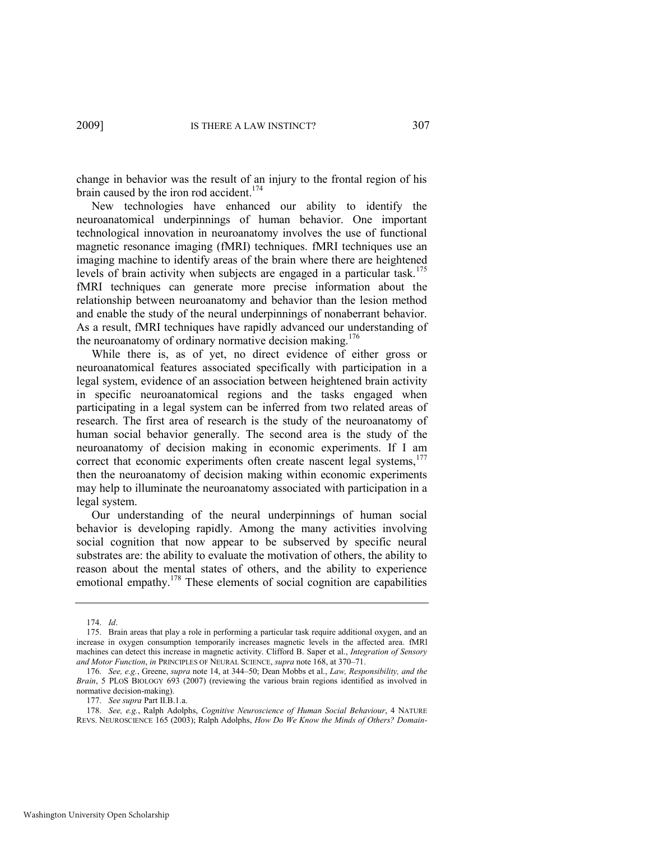change in behavior was the result of an injury to the frontal region of his brain caused by the iron rod accident.<sup>174</sup>

New technologies have enhanced our ability to identify the neuroanatomical underpinnings of human behavior. One important technological innovation in neuroanatomy involves the use of functional magnetic resonance imaging (fMRI) techniques. fMRI techniques use an imaging machine to identify areas of the brain where there are heightened levels of brain activity when subjects are engaged in a particular task.<sup>175</sup> fMRI techniques can generate more precise information about the relationship between neuroanatomy and behavior than the lesion method and enable the study of the neural underpinnings of nonaberrant behavior. As a result, fMRI techniques have rapidly advanced our understanding of the neuroanatomy of ordinary normative decision making.<sup>176</sup>

While there is, as of yet, no direct evidence of either gross or neuroanatomical features associated specifically with participation in a legal system, evidence of an association between heightened brain activity in specific neuroanatomical regions and the tasks engaged when participating in a legal system can be inferred from two related areas of research. The first area of research is the study of the neuroanatomy of human social behavior generally. The second area is the study of the neuroanatomy of decision making in economic experiments. If I am correct that economic experiments often create nascent legal systems, $177$ then the neuroanatomy of decision making within economic experiments may help to illuminate the neuroanatomy associated with participation in a legal system.

Our understanding of the neural underpinnings of human social behavior is developing rapidly. Among the many activities involving social cognition that now appear to be subserved by specific neural substrates are: the ability to evaluate the motivation of others, the ability to reason about the mental states of others, and the ability to experience emotional empathy.<sup>178</sup> These elements of social cognition are capabilities

<sup>174.</sup> *Id*.

<sup>175.</sup> Brain areas that play a role in performing a particular task require additional oxygen, and an increase in oxygen consumption temporarily increases magnetic levels in the affected area. fMRl machines can detect this increase in magnetic activity. Clifford B. Saper et al., *Integration of Sensory and Motor Function*, *in* PRINCIPLES OF NEURAL SCIENCE, *supra* not[e 168,](#page-38-0) at 370–71.

<sup>176.</sup> *See, e.g.*, Greene, *supra* not[e 14,](#page-4-4) at 344–50; Dean Mobbs et al., *Law, Responsibility, and the Brain*, 5 PLOS BIOLOGY 693 (2007) (reviewing the various brain regions identified as involved in normative decision-making).

<sup>177.</sup> *See supra* Part II.B.1.a.

<sup>178.</sup> *See, e.g.*, Ralph Adolphs, *Cognitive Neuroscience of Human Social Behaviour*, 4 NATURE REVS. NEUROSCIENCE 165 (2003); Ralph Adolphs, *How Do We Know the Minds of Others? Domain-*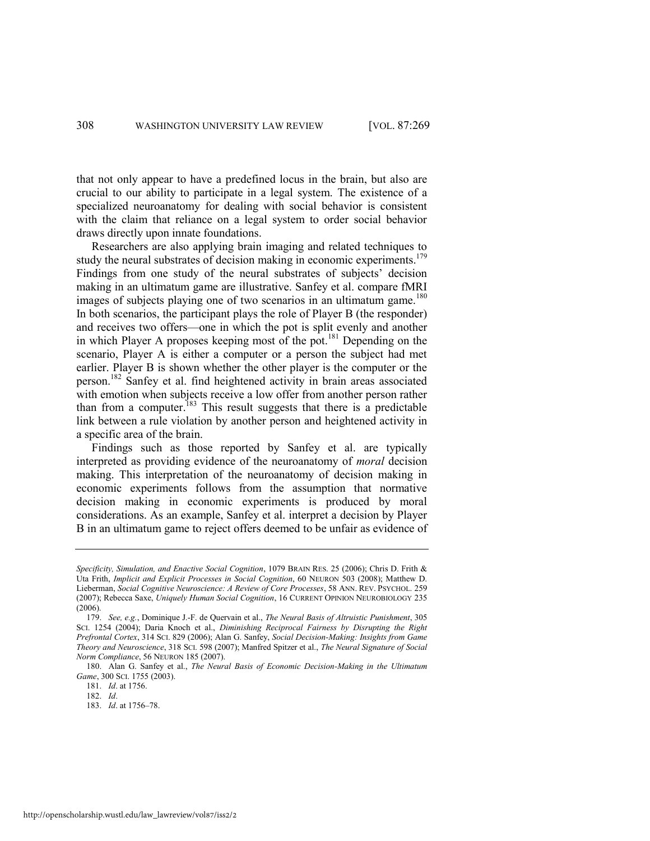that not only appear to have a predefined locus in the brain, but also are crucial to our ability to participate in a legal system. The existence of a specialized neuroanatomy for dealing with social behavior is consistent with the claim that reliance on a legal system to order social behavior draws directly upon innate foundations.

<span id="page-40-0"></span>Researchers are also applying brain imaging and related techniques to study the neural substrates of decision making in economic experiments.<sup>179</sup> Findings from one study of the neural substrates of subjects' decision making in an ultimatum game are illustrative. Sanfey et al. compare fMRI images of subjects playing one of two scenarios in an ultimatum game.<sup>180</sup> In both scenarios, the participant plays the role of Player B (the responder) and receives two offers—one in which the pot is split evenly and another in which Player A proposes keeping most of the pot.<sup>181</sup> Depending on the scenario, Player A is either a computer or a person the subject had met earlier. Player B is shown whether the other player is the computer or the person.<sup>182</sup> Sanfey et al. find heightened activity in brain areas associated with emotion when subjects receive a low offer from another person rather than from a computer.<sup>183</sup> This result suggests that there is a predictable link between a rule violation by another person and heightened activity in a specific area of the brain.

Findings such as those reported by Sanfey et al. are typically interpreted as providing evidence of the neuroanatomy of *moral* decision making. This interpretation of the neuroanatomy of decision making in economic experiments follows from the assumption that normative decision making in economic experiments is produced by moral considerations. As an example, Sanfey et al. interpret a decision by Player B in an ultimatum game to reject offers deemed to be unfair as evidence of

180. Alan G. Sanfey et al., *The Neural Basis of Economic Decision-Making in the Ultimatum Game*, 300 SCI. 1755 (2003).

181. *Id*. at 1756.

183. *Id*. at 1756–78.

*Specificity, Simulation, and Enactive Social Cognition*, 1079 BRAIN RES. 25 (2006); Chris D. Frith & Uta Frith, *Implicit and Explicit Processes in Social Cognition*, 60 NEURON 503 (2008); Matthew D. Lieberman, *Social Cognitive Neuroscience: A Review of Core Processes*, 58 ANN. REV. PSYCHOL. 259 (2007); Rebecca Saxe, *Uniquely Human Social Cognition*, 16 CURRENT OPINION NEUROBIOLOGY 235 (2006).

<sup>179.</sup> *See, e.g.*, Dominique J.-F. de Quervain et al., *The Neural Basis of Altruistic Punishment*, 305 SCI. 1254 (2004); Daria Knoch et al., *Diminishing Reciprocal Fairness by Disrupting the Right Prefrontal Cortex*, 314 SCI. 829 (2006); Alan G. Sanfey, *Social Decision-Making: Insights from Game Theory and Neuroscience*, 318 SCI. 598 (2007); Manfred Spitzer et al., *The Neural Signature of Social Norm Compliance*, 56 NEURON 185 (2007).

<sup>182.</sup> *Id*.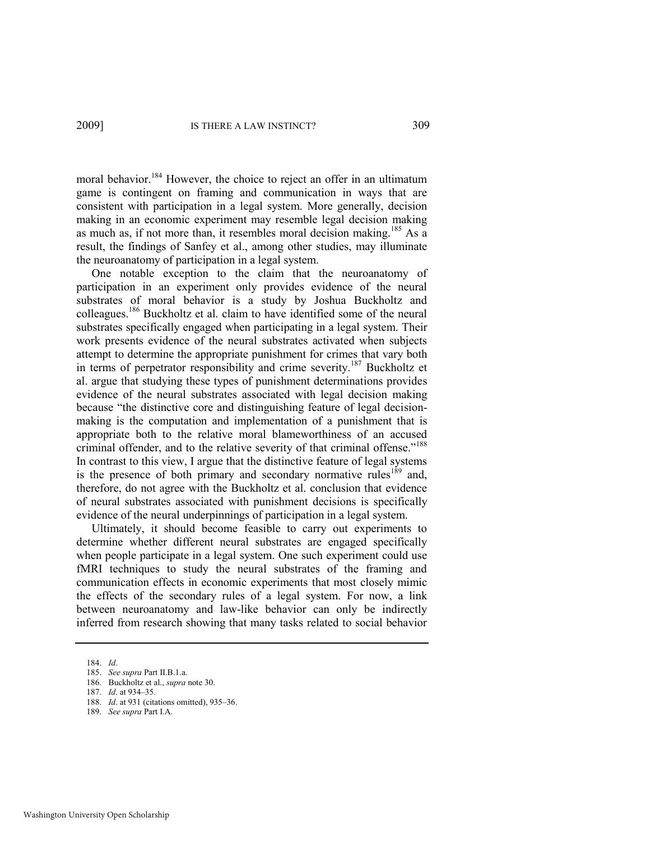<span id="page-41-0"></span>moral behavior.<sup>184</sup> However, the choice to reject an offer in an ultimatum game is contingent on framing and communication in ways that are consistent with participation in a legal system. More generally, decision making in an economic experiment may resemble legal decision making as much as, if not more than, it resembles moral decision making.<sup>185</sup> As a result, the findings of Sanfey et al., among other studies, may illuminate the neuroanatomy of participation in a legal system.

One notable exception to the claim that the neuroanatomy of participation in an experiment only provides evidence of the neural substrates of moral behavior is a study by Joshua Buckholtz and colleagues.<sup>186</sup> Buckholtz et al. claim to have identified some of the neural substrates specifically engaged when participating in a legal system. Their work presents evidence of the neural substrates activated when subjects attempt to determine the appropriate punishment for crimes that vary both in terms of perpetrator responsibility and crime severity.<sup>187</sup> Buckholtz et al. argue that studying these types of punishment determinations provides evidence of the neural substrates associated with legal decision making because "the distinctive core and distinguishing feature of legal decisionmaking is the computation and implementation of a punishment that is appropriate both to the relative moral blameworthiness of an accused criminal offender, and to the relative severity of that criminal offense."<sup>188</sup> In contrast to this view, I argue that the distinctive feature of legal systems is the presence of both primary and secondary normative rules<sup>189</sup> and, therefore, do not agree with the Buckholtz et al. conclusion that evidence of neural substrates associated with punishment decisions is specifically evidence of the neural underpinnings of participation in a legal system.

Ultimately, it should become feasible to carry out experiments to determine whether different neural substrates are engaged specifically when people participate in a legal system. One such experiment could use fMRI techniques to study the neural substrates of the framing and communication effects in economic experiments that most closely mimic the effects of the secondary rules of a legal system. For now, a link between neuroanatomy and law-like behavior can only be indirectly inferred from research showing that many tasks related to social behavior

- 188. *Id*. at 931 (citations omitted), 935–36.
- 189. *See supra* Part I.A.

<sup>184.</sup> *Id*.

<sup>185.</sup> *See supra* Part II.B.1.a.

<sup>186.</sup> Buckholtz et al., *supra* not[e 30.](#page-7-2) 

<sup>187.</sup> *Id*. at 934–35.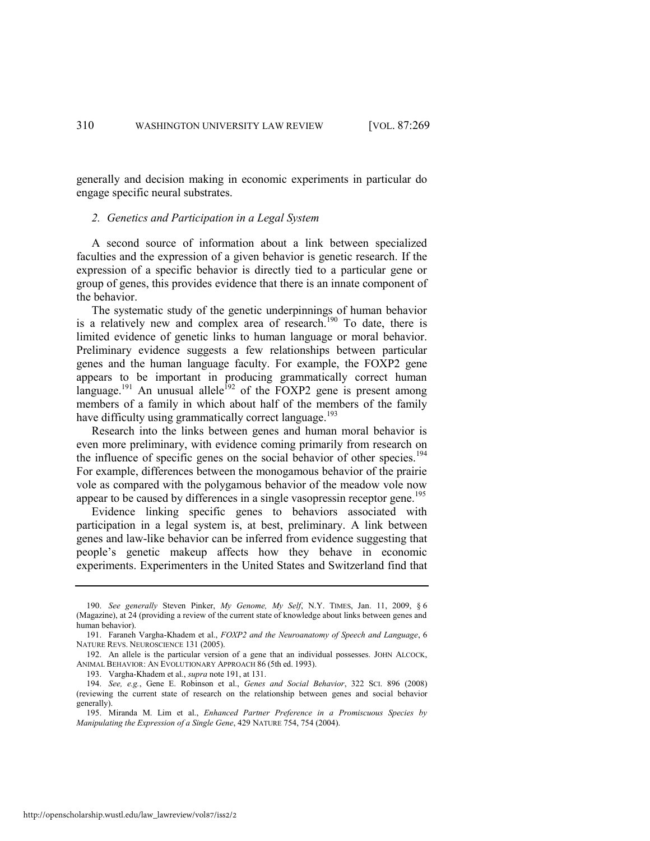generally and decision making in economic experiments in particular do engage specific neural substrates.

#### *2. Genetics and Participation in a Legal System*

A second source of information about a link between specialized faculties and the expression of a given behavior is genetic research. If the expression of a specific behavior is directly tied to a particular gene or group of genes, this provides evidence that there is an innate component of the behavior.

The systematic study of the genetic underpinnings of human behavior is a relatively new and complex area of research.<sup>190</sup> To date, there is limited evidence of genetic links to human language or moral behavior. Preliminary evidence suggests a few relationships between particular genes and the human language faculty. For example, the FOXP2 gene appears to be important in producing grammatically correct human language.<sup>191</sup> An unusual allele<sup>192</sup> of the FOXP2 gene is present among members of a family in which about half of the members of the family have difficulty using grammatically correct language.<sup>193</sup>

<span id="page-42-1"></span>Research into the links between genes and human moral behavior is even more preliminary, with evidence coming primarily from research on the influence of specific genes on the social behavior of other species.<sup>194</sup> For example, differences between the monogamous behavior of the prairie vole as compared with the polygamous behavior of the meadow vole now appear to be caused by differences in a single vasopressin receptor gene.<sup>195</sup>

<span id="page-42-0"></span>Evidence linking specific genes to behaviors associated with participation in a legal system is, at best, preliminary. A link between genes and law-like behavior can be inferred from evidence suggesting that people's genetic makeup affects how they behave in economic experiments. Experimenters in the United States and Switzerland find that

<sup>190.</sup> *See generally* Steven Pinker, *My Genome, My Self*, N.Y. TIMES, Jan. 11, 2009, § 6 (Magazine), at 24 (providing a review of the current state of knowledge about links between genes and human behavior).

<sup>191.</sup> Faraneh Vargha-Khadem et al., *FOXP2 and the Neuroanatomy of Speech and Language*, 6 NATURE REVS. NEUROSCIENCE 131 (2005).

<sup>192.</sup> An allele is the particular version of a gene that an individual possesses. JOHN ALCOCK, ANIMAL BEHAVIOR: AN EVOLUTIONARY APPROACH 86 (5th ed. 1993).

<sup>193.</sup> Vargha-Khadem et al*.*, *supra* not[e 191,](#page-42-1) at 131.

<sup>194.</sup> *See, e.g.*, Gene E. Robinson et al., *Genes and Social Behavior*, 322 SCI. 896 (2008) (reviewing the current state of research on the relationship between genes and social behavior generally).

<sup>195.</sup> Miranda M. Lim et al., *Enhanced Partner Preference in a Promiscuous Species by Manipulating the Expression of a Single Gene*, 429 NATURE 754, 754 (2004).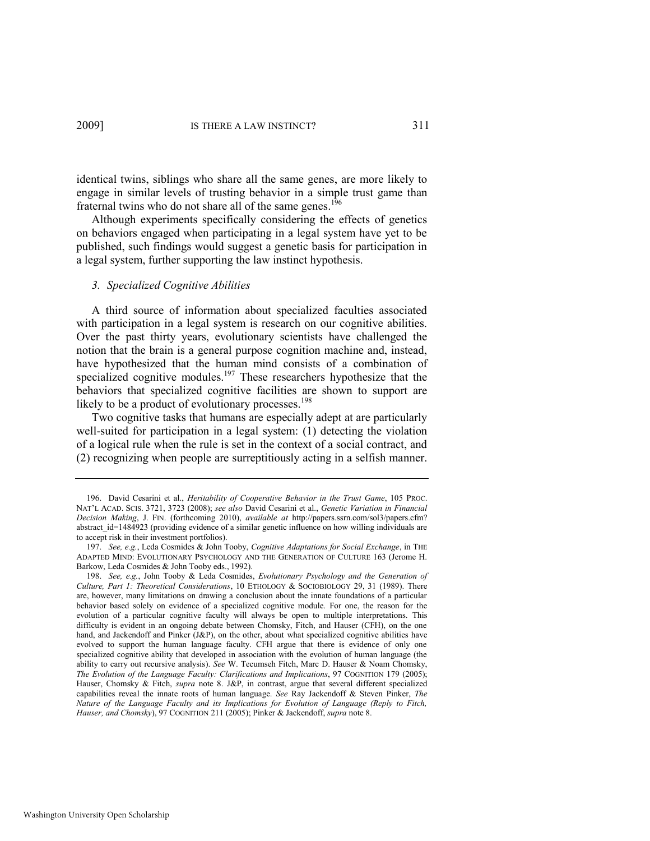identical twins, siblings who share all the same genes, are more likely to engage in similar levels of trusting behavior in a simple trust game than fraternal twins who do not share all of the same genes.<sup>196</sup>

Although experiments specifically considering the effects of genetics on behaviors engaged when participating in a legal system have yet to be published, such findings would suggest a genetic basis for participation in a legal system, further supporting the law instinct hypothesis.

#### <span id="page-43-0"></span>*3. Specialized Cognitive Abilities*

A third source of information about specialized faculties associated with participation in a legal system is research on our cognitive abilities. Over the past thirty years, evolutionary scientists have challenged the notion that the brain is a general purpose cognition machine and, instead, have hypothesized that the human mind consists of a combination of specialized cognitive modules.<sup>197</sup> These researchers hypothesize that the behaviors that specialized cognitive facilities are shown to support are likely to be a product of evolutionary processes.<sup>198</sup>

<span id="page-43-2"></span><span id="page-43-1"></span>Two cognitive tasks that humans are especially adept at are particularly well-suited for participation in a legal system: (1) detecting the violation of a logical rule when the rule is set in the context of a social contract, and (2) recognizing when people are surreptitiously acting in a selfish manner.

<sup>196.</sup> David Cesarini et al., *Heritability of Cooperative Behavior in the Trust Game*, 105 PROC. NAT'L ACAD. SCIS. 3721, 3723 (2008); *see also* David Cesarini et al., *Genetic Variation in Financial Decision Making*, J. FIN. (forthcoming 2010), *available at* http://papers.ssrn.com/sol3/papers.cfm? abstract id=1484923 (providing evidence of a similar genetic influence on how willing individuals are to accept risk in their investment portfolios).

<sup>197.</sup> *See, e.g.*, Leda Cosmides & John Tooby, *Cognitive Adaptations for Social Exchange*, in THE ADAPTED MIND: EVOLUTIONARY PSYCHOLOGY AND THE GENERATION OF CULTURE 163 (Jerome H. Barkow, Leda Cosmides & John Tooby eds., 1992).

<sup>198.</sup> *See, e.g.*, John Tooby & Leda Cosmides, *Evolutionary Psychology and the Generation of Culture, Part 1: Theoretical Considerations*, 10 ETHOLOGY & SOCIOBIOLOGY 29, 31 (1989). There are, however, many limitations on drawing a conclusion about the innate foundations of a particular behavior based solely on evidence of a specialized cognitive module. For one, the reason for the evolution of a particular cognitive faculty will always be open to multiple interpretations. This difficulty is evident in an ongoing debate between Chomsky, Fitch, and Hauser (CFH), on the one hand, and Jackendoff and Pinker (J&P), on the other, about what specialized cognitive abilities have evolved to support the human language faculty. CFH argue that there is evidence of only one specialized cognitive ability that developed in association with the evolution of human language (the ability to carry out recursive analysis). *See* W. Tecumseh Fitch, Marc D. Hauser & Noam Chomsky, *The Evolution of the Language Faculty: Clarifications and Implications*, 97 COGNITION 179 (2005); Hauser, Chomsky & Fitch, *supra* note [8.](#page-3-2) J&P, in contrast, argue that several different specialized capabilities reveal the innate roots of human language. *See* Ray Jackendoff & Steven Pinker, *The Nature of the Language Faculty and its Implications for Evolution of Language (Reply to Fitch, Hauser, and Chomsky*), 97 COGNITION 211 (2005); Pinker & Jackendoff, *supra* not[e 8.](#page-3-2)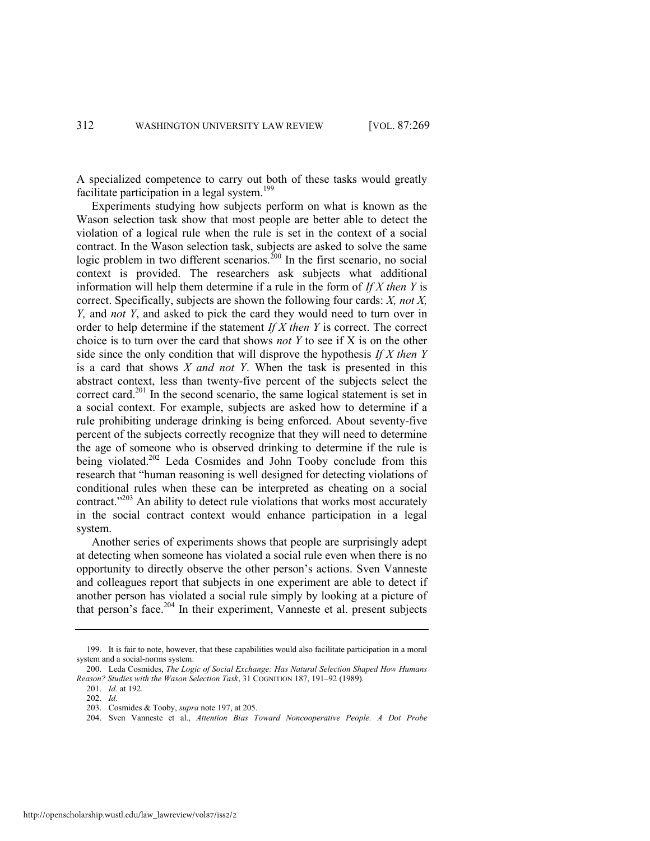A specialized competence to carry out both of these tasks would greatly facilitate participation in a legal system. $199$ 

<span id="page-44-0"></span>Experiments studying how subjects perform on what is known as the Wason selection task show that most people are better able to detect the violation of a logical rule when the rule is set in the context of a social contract. In the Wason selection task, subjects are asked to solve the same logic problem in two different scenarios.<sup>200</sup> In the first scenario, no social context is provided. The researchers ask subjects what additional information will help them determine if a rule in the form of *If X then Y* is correct. Specifically, subjects are shown the following four cards: *X, not X, Y,* and *not Y*, and asked to pick the card they would need to turn over in order to help determine if the statement *If X then Y* is correct. The correct choice is to turn over the card that shows *not Y* to see if X is on the other side since the only condition that will disprove the hypothesis *If X then Y* is a card that shows *X and not Y*. When the task is presented in this abstract context, less than twenty-five percent of the subjects select the correct card.<sup>201</sup> In the second scenario, the same logical statement is set in a social context. For example, subjects are asked how to determine if a rule prohibiting underage drinking is being enforced. About seventy-five percent of the subjects correctly recognize that they will need to determine the age of someone who is observed drinking to determine if the rule is being violated.<sup>202</sup> Leda Cosmides and John Tooby conclude from this research that "human reasoning is well designed for detecting violations of conditional rules when these can be interpreted as cheating on a social contract. $203$  An ability to detect rule violations that works most accurately in the social contract context would enhance participation in a legal system.

Another series of experiments shows that people are surprisingly adept at detecting when someone has violated a social rule even when there is no opportunity to directly observe the other person's actions. Sven Vanneste and colleagues report that subjects in one experiment are able to detect if another person has violated a social rule simply by looking at a picture of that person's face.<sup>204</sup> In their experiment, Vanneste et al. present subjects

<sup>199.</sup> It is fair to note, however, that these capabilities would also facilitate participation in a moral system and a social-norms system.

<sup>200.</sup> Leda Cosmides, *The Logic of Social Exchange: Has Natural Selection Shaped How Humans Reason? Studies with the Wason Selection Task*, 31 COGNITION 187, 191–92 (1989).

<sup>201.</sup> *Id.* at 192.

<sup>202.</sup> *Id.*

<sup>203.</sup> Cosmides & Tooby, *supra* not[e 197,](#page-43-1) at 205.

<sup>204.</sup> Sven Vanneste et al., *Attention Bias Toward Noncooperative People. A Dot Probe*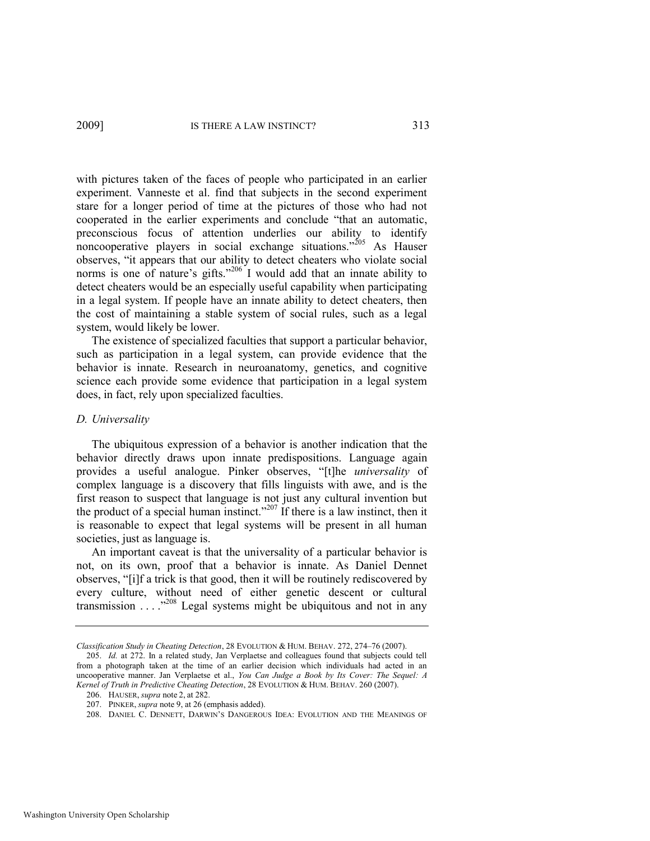with pictures taken of the faces of people who participated in an earlier experiment. Vanneste et al. find that subjects in the second experiment stare for a longer period of time at the pictures of those who had not cooperated in the earlier experiments and conclude "that an automatic, preconscious focus of attention underlies our ability to identify noncooperative players in social exchange situations.<sup> $205$ </sup> As Hauser observes, "it appears that our ability to detect cheaters who violate social norms is one of nature's gifts."<sup>206</sup> I would add that an innate ability to detect cheaters would be an especially useful capability when participating in a legal system. If people have an innate ability to detect cheaters, then the cost of maintaining a stable system of social rules, such as a legal system, would likely be lower.

The existence of specialized faculties that support a particular behavior, such as participation in a legal system, can provide evidence that the behavior is innate. Research in neuroanatomy, genetics, and cognitive science each provide some evidence that participation in a legal system does, in fact, rely upon specialized faculties.

#### *D. Universality*

The ubiquitous expression of a behavior is another indication that the behavior directly draws upon innate predispositions. Language again provides a useful analogue. Pinker observes, "[t]he *universality* of complex language is a discovery that fills linguists with awe, and is the first reason to suspect that language is not just any cultural invention but the product of a special human instinct.<sup>3207</sup> If there is a law instinct, then it is reasonable to expect that legal systems will be present in all human societies, just as language is.

<span id="page-45-0"></span>An important caveat is that the universality of a particular behavior is not, on its own, proof that a behavior is innate. As Daniel Dennet observes, "[i]f a trick is that good, then it will be routinely rediscovered by every culture, without need of either genetic descent or cultural transmission  $\ldots$  . . .<sup>3208</sup> Legal systems might be ubiquitous and not in any

*Classification Study in Cheating Detection*, 28 EVOLUTION & HUM. BEHAV. 272, 274–76 (2007).

<sup>205.</sup> *Id.* at 272. In a related study, Jan Verplaetse and colleagues found that subjects could tell from a photograph taken at the time of an earlier decision which individuals had acted in an uncooperative manner. Jan Verplaetse et al., *You Can Judge a Book by Its Cover: The Sequel: A Kernel of Truth in Predictive Cheating Detection*, 28 EVOLUTION & HUM. BEHAV. 260 (2007).

<sup>206.</sup> HAUSER, *supra* note [2,](#page-3-1) at 282.

<sup>207.</sup> PINKER, *supra* not[e 9,](#page-4-1) at 26 (emphasis added).

<sup>208.</sup> DANIEL C. DENNETT, DARWIN'S DANGEROUS IDEA: EVOLUTION AND THE MEANINGS OF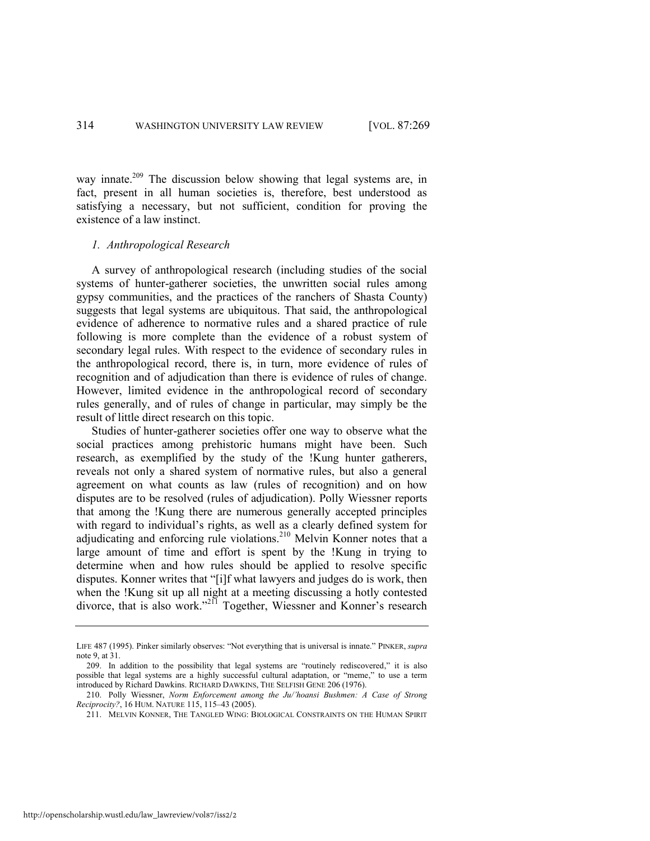<span id="page-46-0"></span>way innate.<sup>209</sup> The discussion below showing that legal systems are, in fact, present in all human societies is, therefore, best understood as satisfying a necessary, but not sufficient, condition for proving the existence of a law instinct.

### *1. Anthropological Research*

A survey of anthropological research (including studies of the social systems of hunter-gatherer societies, the unwritten social rules among gypsy communities, and the practices of the ranchers of Shasta County) suggests that legal systems are ubiquitous. That said, the anthropological evidence of adherence to normative rules and a shared practice of rule following is more complete than the evidence of a robust system of secondary legal rules. With respect to the evidence of secondary rules in the anthropological record, there is, in turn, more evidence of rules of recognition and of adjudication than there is evidence of rules of change. However, limited evidence in the anthropological record of secondary rules generally, and of rules of change in particular, may simply be the result of little direct research on this topic.

Studies of hunter-gatherer societies offer one way to observe what the social practices among prehistoric humans might have been. Such research, as exemplified by the study of the !Kung hunter gatherers, reveals not only a shared system of normative rules, but also a general agreement on what counts as law (rules of recognition) and on how disputes are to be resolved (rules of adjudication). Polly Wiessner reports that among the !Kung there are numerous generally accepted principles with regard to individual's rights, as well as a clearly defined system for adjudicating and enforcing rule violations.<sup>210</sup> Melvin Konner notes that a large amount of time and effort is spent by the !Kung in trying to determine when and how rules should be applied to resolve specific disputes. Konner writes that "[i]f what lawyers and judges do is work, then when the !Kung sit up all night at a meeting discussing a hotly contested divorce, that is also work.<sup>2211</sup> Together, Wiessner and Konner's research

LIFE 487 (1995). Pinker similarly observes: "Not everything that is universal is innate." PINKER, *supra* note [9,](#page-4-1) at 31.

<sup>209.</sup> In addition to the possibility that legal systems are "routinely rediscovered," it is also possible that legal systems are a highly successful cultural adaptation, or "meme," to use a term introduced by Richard Dawkins. RICHARD DAWKINS, THE SELFISH GENE 206 (1976).

<sup>210.</sup> Polly Wiessner, *Norm Enforcement among the Ju/'hoansi Bushmen: A Case of Strong Reciprocity?*, 16 HUM. NATURE 115, 115–43 (2005).

<sup>211.</sup> MELVIN KONNER, THE TANGLED WING: BIOLOGICAL CONSTRAINTS ON THE HUMAN SPIRIT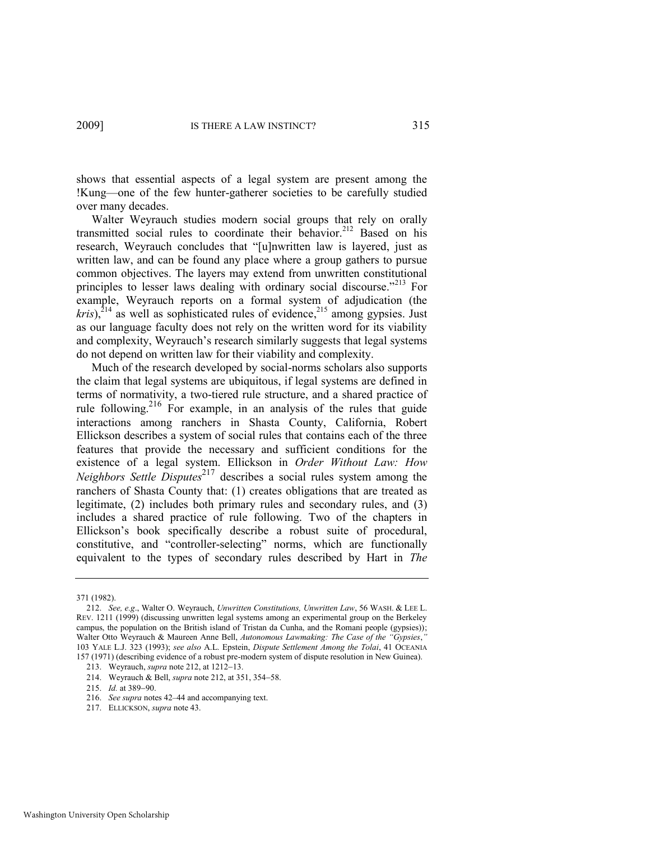shows that essential aspects of a legal system are present among the !Kung—one of the few hunter-gatherer societies to be carefully studied over many decades.

<span id="page-47-0"></span>Walter Weyrauch studies modern social groups that rely on orally transmitted social rules to coordinate their behavior.<sup>212</sup> Based on his research, Weyrauch concludes that "[u]nwritten law is layered, just as written law, and can be found any place where a group gathers to pursue common objectives. The layers may extend from unwritten constitutional principles to lesser laws dealing with ordinary social discourse.<sup> $213$ </sup> For example, Weyrauch reports on a formal system of adjudication (the  $kris$ ),<sup>214</sup> as well as sophisticated rules of evidence,<sup>215</sup> among gypsies. Just as our language faculty does not rely on the written word for its viability and complexity, Weyrauch's research similarly suggests that legal systems do not depend on written law for their viability and complexity.

Much of the research developed by social-norms scholars also supports the claim that legal systems are ubiquitous, if legal systems are defined in terms of normativity, a two-tiered rule structure, and a shared practice of rule following.216 For example, in an analysis of the rules that guide interactions among ranchers in Shasta County, California, Robert Ellickson describes a system of social rules that contains each of the three features that provide the necessary and sufficient conditions for the existence of a legal system. Ellickson in *Order Without Law: How Neighbors Settle Disputes*<sup>217</sup> describes a social rules system among the ranchers of Shasta County that: (1) creates obligations that are treated as legitimate, (2) includes both primary rules and secondary rules, and (3) includes a shared practice of rule following. Two of the chapters in Ellickson's book specifically describe a robust suite of procedural, constitutive, and "controller-selecting" norms, which are functionally equivalent to the types of secondary rules described by Hart in *The* 

<sup>371 (1982).</sup> 

<sup>212.</sup> *See, e.g*., Walter O. Weyrauch, *Unwritten Constitutions, Unwritten Law*, 56 WASH. & LEE L. REV. 1211 (1999) (discussing unwritten legal systems among an experimental group on the Berkeley campus, the population on the British island of Tristan da Cunha, and the Romani people (gypsies)); Walter Otto Weyrauch & Maureen Anne Bell, *Autonomous Lawmaking: The Case of the "Gypsies*,*"* 103 YALE L.J. 323 (1993); *see also* A.L. Epstein, *Dispute Settlement Among the Tolai*, 41 OCEANIA 157 (1971) (describing evidence of a robust pre-modern system of dispute resolution in New Guinea).

<sup>213.</sup> Weyrauch, *supra* not[e 212,](#page-47-0) at 1212-13.

<sup>214.</sup> Weyrauch & Bell, *supra* not[e 212,](#page-47-0) at 351, 354-58.

<sup>215.</sup> *Id.* at 389-90.

<sup>216.</sup> *See supra* note[s 42](#page-11-0)–[44 a](#page-11-1)nd accompanying text.

<sup>217.</sup> ELLICKSON, *supra* not[e 43.](#page-11-2)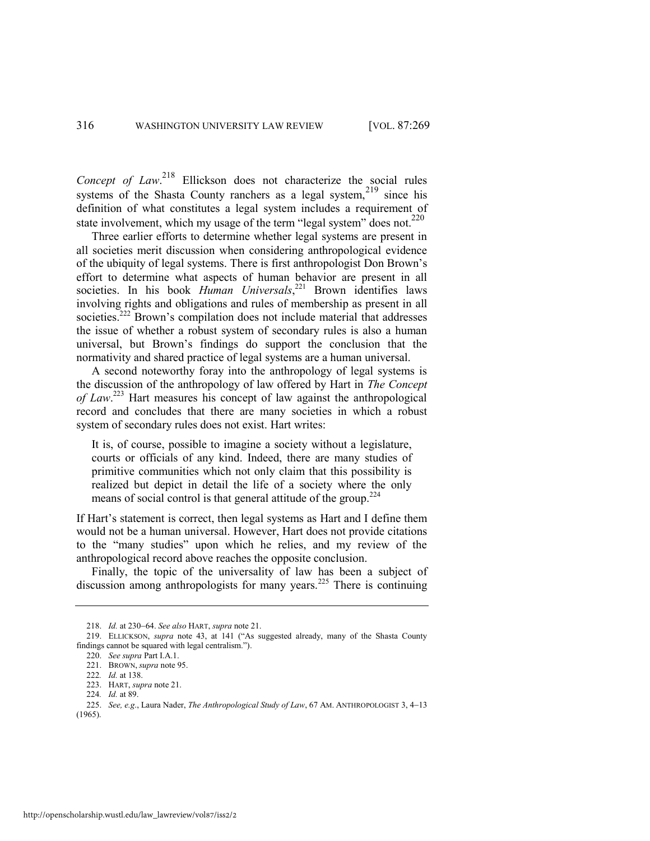*Concept of Law*. <sup>218</sup> Ellickson does not characterize the social rules systems of the Shasta County ranchers as a legal system,  $2^{19}$  since his definition of what constitutes a legal system includes a requirement of state involvement, which my usage of the term "legal system" does not. $220$ 

Three earlier efforts to determine whether legal systems are present in all societies merit discussion when considering anthropological evidence of the ubiquity of legal systems. There is first anthropologist Don Brown's effort to determine what aspects of human behavior are present in all societies. In his book *Human Universals*,<sup>221</sup> Brown identifies laws involving rights and obligations and rules of membership as present in all societies.<sup>222</sup> Brown's compilation does not include material that addresses the issue of whether a robust system of secondary rules is also a human universal, but Brown's findings do support the conclusion that the normativity and shared practice of legal systems are a human universal.

A second noteworthy foray into the anthropology of legal systems is the discussion of the anthropology of law offered by Hart in *The Concept of Law*. <sup>223</sup> Hart measures his concept of law against the anthropological record and concludes that there are many societies in which a robust system of secondary rules does not exist. Hart writes:

It is, of course, possible to imagine a society without a legislature, courts or officials of any kind. Indeed, there are many studies of primitive communities which not only claim that this possibility is realized but depict in detail the life of a society where the only means of social control is that general attitude of the group. $224$ 

If Hart's statement is correct, then legal systems as Hart and I define them would not be a human universal. However, Hart does not provide citations to the "many studies" upon which he relies, and my review of the anthropological record above reaches the opposite conclusion.

Finally, the topic of the universality of law has been a subject of discussion among anthropologists for many years.<sup>225</sup> There is continuing

<sup>218.</sup> *Id.* at 230–64. *See also* HART, *supra* note 21.

<sup>219.</sup> ELLICKSON, *supra* note [43,](#page-11-2) at 141 ("As suggested already, many of the Shasta County findings cannot be squared with legal centralism.").

<sup>220.</sup> *See supra* Part I.A.1.

<sup>221.</sup> BROWN, *supra* not[e 95.](#page-23-1)

<sup>222</sup>*. Id.* at 138.

<sup>223.</sup> HART, *supra* not[e 21.](#page-5-1)

<sup>224</sup>*. Id.* at 89.

<sup>225.</sup> *See, e.g., Laura Nader, The Anthropological Study of Law, 67 AM. ANTHROPOLOGIST 3, 4-13* (1965).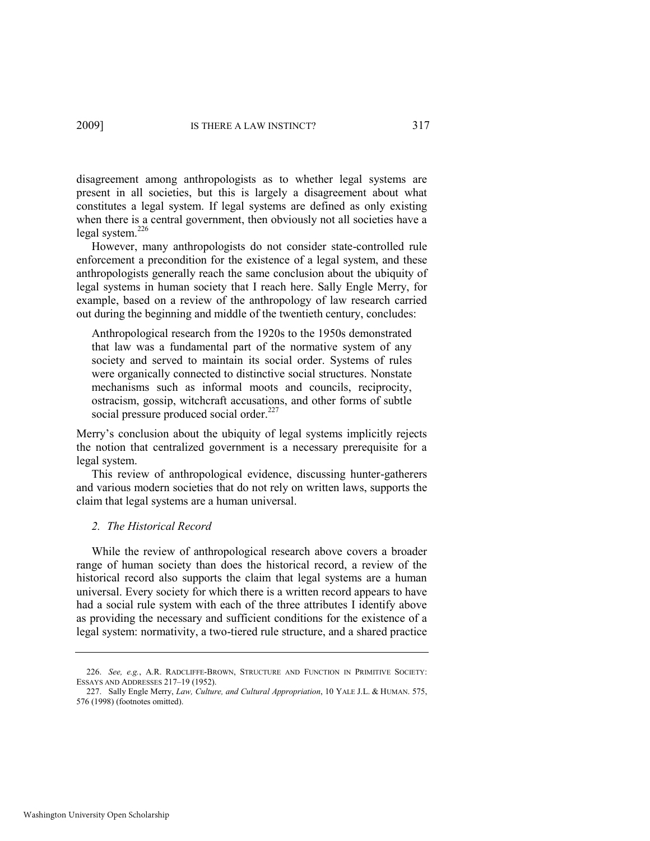disagreement among anthropologists as to whether legal systems are present in all societies, but this is largely a disagreement about what constitutes a legal system. If legal systems are defined as only existing when there is a central government, then obviously not all societies have a legal system.<sup>226</sup>

However, many anthropologists do not consider state-controlled rule enforcement a precondition for the existence of a legal system, and these anthropologists generally reach the same conclusion about the ubiquity of legal systems in human society that I reach here. Sally Engle Merry, for example, based on a review of the anthropology of law research carried out during the beginning and middle of the twentieth century, concludes:

Anthropological research from the 1920s to the 1950s demonstrated that law was a fundamental part of the normative system of any society and served to maintain its social order. Systems of rules were organically connected to distinctive social structures. Nonstate mechanisms such as informal moots and councils, reciprocity, ostracism, gossip, witchcraft accusations, and other forms of subtle social pressure produced social order.<sup>227</sup>

Merry's conclusion about the ubiquity of legal systems implicitly rejects the notion that centralized government is a necessary prerequisite for a legal system.

This review of anthropological evidence, discussing hunter-gatherers and various modern societies that do not rely on written laws, supports the claim that legal systems are a human universal.

#### *2. The Historical Record*

While the review of anthropological research above covers a broader range of human society than does the historical record, a review of the historical record also supports the claim that legal systems are a human universal. Every society for which there is a written record appears to have had a social rule system with each of the three attributes I identify above as providing the necessary and sufficient conditions for the existence of a legal system: normativity, a two-tiered rule structure, and a shared practice

<sup>226.</sup> *See, e.g.*, A.R. RADCLIFFE-BROWN, STRUCTURE AND FUNCTION IN PRIMITIVE SOCIETY: ESSAYS AND ADDRESSES 217–19 (1952).

<sup>227.</sup> Sally Engle Merry, *Law, Culture, and Cultural Appropriation*, 10 YALE J.L. & HUMAN. 575, 576 (1998) (footnotes omitted).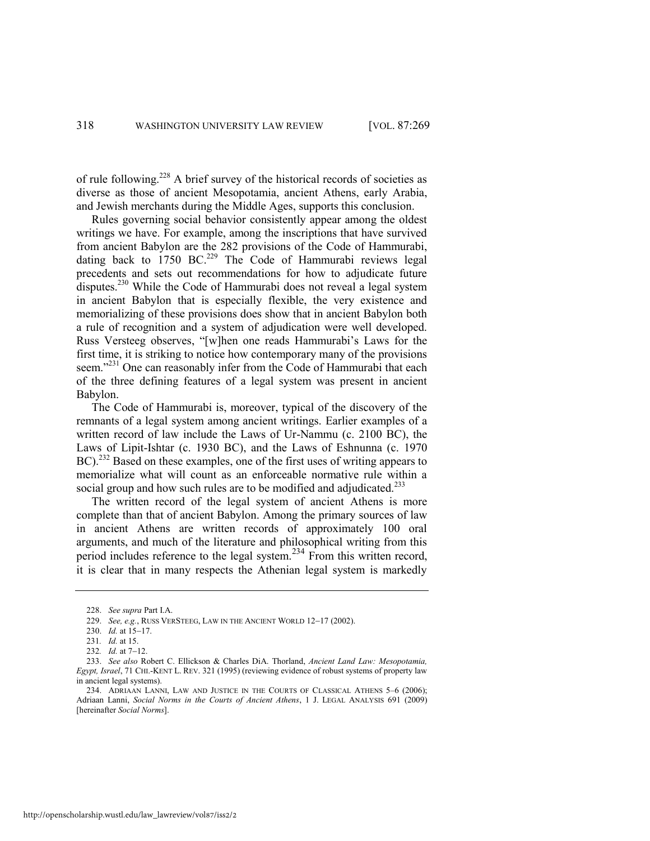of rule following.<sup>228</sup> A brief survey of the historical records of societies as diverse as those of ancient Mesopotamia, ancient Athens, early Arabia, and Jewish merchants during the Middle Ages, supports this conclusion.

Rules governing social behavior consistently appear among the oldest writings we have. For example, among the inscriptions that have survived from ancient Babylon are the 282 provisions of the Code of Hammurabi, dating back to  $1750$  BC.<sup>229</sup> The Code of Hammurabi reviews legal precedents and sets out recommendations for how to adjudicate future disputes.<sup>230</sup> While the Code of Hammurabi does not reveal a legal system in ancient Babylon that is especially flexible, the very existence and memorializing of these provisions does show that in ancient Babylon both a rule of recognition and a system of adjudication were well developed. Russ Versteeg observes, "[w]hen one reads Hammurabi's Laws for the first time, it is striking to notice how contemporary many of the provisions seem."<sup>231</sup> One can reasonably infer from the Code of Hammurabi that each of the three defining features of a legal system was present in ancient Babylon.

The Code of Hammurabi is, moreover, typical of the discovery of the remnants of a legal system among ancient writings. Earlier examples of a written record of law include the Laws of Ur-Nammu (c. 2100 BC), the Laws of Lipit-Ishtar (c. 1930 BC), and the Laws of Eshnunna (c. 1970 BC).<sup>232</sup> Based on these examples, one of the first uses of writing appears to memorialize what will count as an enforceable normative rule within a social group and how such rules are to be modified and adjudicated.<sup>233</sup>

The written record of the legal system of ancient Athens is more complete than that of ancient Babylon. Among the primary sources of law in ancient Athens are written records of approximately 100 oral arguments, and much of the literature and philosophical writing from this period includes reference to the legal system.<sup>234</sup> From this written record, it is clear that in many respects the Athenian legal system is markedly

<span id="page-50-0"></span><sup>228.</sup> *See supra* Part I.A.

<sup>229.</sup> *See, e.g.*, RUSS VERSTEEG, LAW IN THE ANCIENT WORLD 12-17 (2002).

<sup>230.</sup> *Id.* at 15-17.

<sup>231</sup>*. Id.* at 15.

<sup>232.</sup> *Id.* at 7-12.

<sup>233.</sup> *See also* Robert C. Ellickson & Charles DiA. Thorland, *Ancient Land Law: Mesopotamia, Egypt, Israel*, 71 CHI.-KENT L. REV. 321 (1995) (reviewing evidence of robust systems of property law in ancient legal systems).

<sup>234.</sup> ADRIAAN LANNI, LAW AND JUSTICE IN THE COURTS OF CLASSICAL ATHENS 5–6 (2006); Adriaan Lanni, *Social Norms in the Courts of Ancient Athens*, 1 J. LEGAL ANALYSIS 691 (2009) [hereinafter *Social Norms*].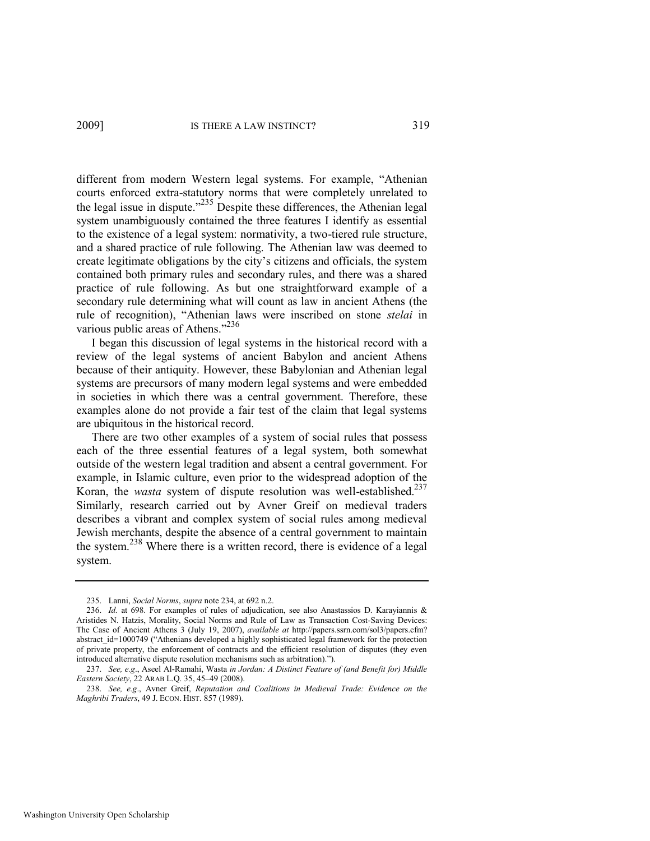different from modern Western legal systems. For example, "Athenian courts enforced extra-statutory norms that were completely unrelated to the legal issue in dispute.<sup> $235$ </sup> Despite these differences, the Athenian legal system unambiguously contained the three features I identify as essential to the existence of a legal system: normativity, a two-tiered rule structure, and a shared practice of rule following. The Athenian law was deemed to create legitimate obligations by the city's citizens and officials, the system contained both primary rules and secondary rules, and there was a shared practice of rule following. As but one straightforward example of a secondary rule determining what will count as law in ancient Athens (the rule of recognition), "Athenian laws were inscribed on stone *stelai* in various public areas of Athens."<sup>236</sup>

I began this discussion of legal systems in the historical record with a review of the legal systems of ancient Babylon and ancient Athens because of their antiquity. However, these Babylonian and Athenian legal systems are precursors of many modern legal systems and were embedded in societies in which there was a central government. Therefore, these examples alone do not provide a fair test of the claim that legal systems are ubiquitous in the historical record.

There are two other examples of a system of social rules that possess each of the three essential features of a legal system, both somewhat outside of the western legal tradition and absent a central government. For example, in Islamic culture, even prior to the widespread adoption of the Koran, the *wasta* system of dispute resolution was well-established.<sup>237</sup> Similarly, research carried out by Avner Greif on medieval traders describes a vibrant and complex system of social rules among medieval Jewish merchants, despite the absence of a central government to maintain the system.<sup>238</sup> Where there is a written record, there is evidence of a legal system.

<sup>235.</sup> Lanni, *Social Norms*, *supra* not[e 234,](#page-50-0) at 692 n.2.

<sup>236.</sup> *Id.* at 698. For examples of rules of adjudication, see also Anastassios D. Karayiannis & Aristides N. Hatzis, Morality, Social Norms and Rule of Law as Transaction Cost-Saving Devices: The Case of Ancient Athens 3 (July 19, 2007), *available at* http://papers.ssrn.com/sol3/papers.cfm? abstract\_id=1000749 ("Athenians developed a highly sophisticated legal framework for the protection of private property, the enforcement of contracts and the efficient resolution of disputes (they even introduced alternative dispute resolution mechanisms such as arbitration).").

<sup>237.</sup> *See, e.g*., Aseel Al-Ramahi, Wasta *in Jordan: A Distinct Feature of (and Benefit for) Middle Eastern Society*, 22 ARAB L.Q. 35, 45–49 (2008).

<sup>238.</sup> *See, e.g*., Avner Greif, *Reputation and Coalitions in Medieval Trade: Evidence on the Maghribi Traders*, 49 J. ECON. HIST. 857 (1989).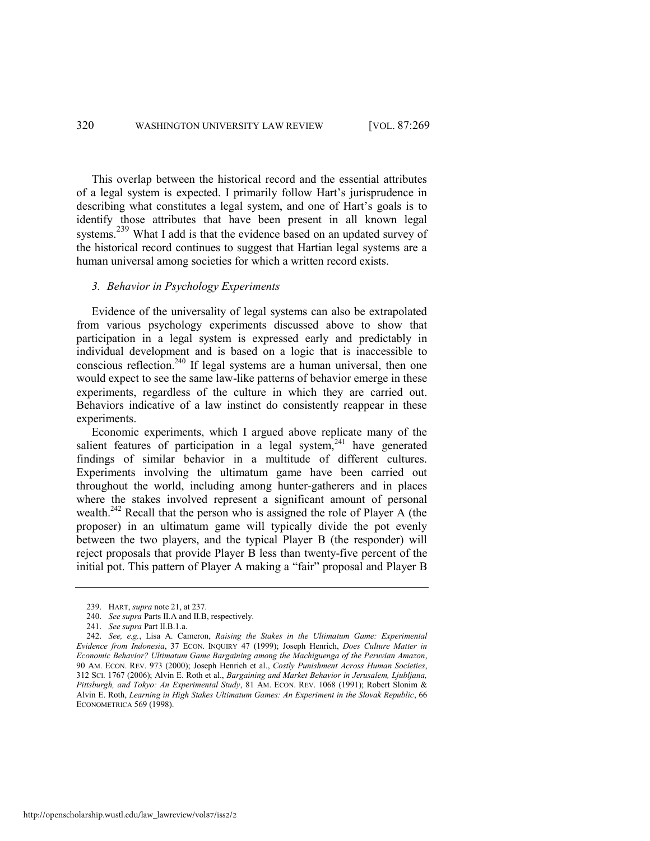This overlap between the historical record and the essential attributes of a legal system is expected. I primarily follow Hart's jurisprudence in describing what constitutes a legal system, and one of Hart's goals is to identify those attributes that have been present in all known legal systems.<sup>239</sup> What I add is that the evidence based on an updated survey of the historical record continues to suggest that Hartian legal systems are a human universal among societies for which a written record exists.

#### *3. Behavior in Psychology Experiments*

Evidence of the universality of legal systems can also be extrapolated from various psychology experiments discussed above to show that participation in a legal system is expressed early and predictably in individual development and is based on a logic that is inaccessible to conscious reflection.<sup>240</sup> If legal systems are a human universal, then one would expect to see the same law-like patterns of behavior emerge in these experiments, regardless of the culture in which they are carried out. Behaviors indicative of a law instinct do consistently reappear in these experiments.

<span id="page-52-0"></span>Economic experiments, which I argued above replicate many of the salient features of participation in a legal system, $241$  have generated findings of similar behavior in a multitude of different cultures. Experiments involving the ultimatum game have been carried out throughout the world, including among hunter-gatherers and in places where the stakes involved represent a significant amount of personal wealth.<sup>242</sup> Recall that the person who is assigned the role of Player A (the proposer) in an ultimatum game will typically divide the pot evenly between the two players, and the typical Player B (the responder) will reject proposals that provide Player B less than twenty-five percent of the initial pot. This pattern of Player A making a "fair" proposal and Player B

<sup>239.</sup> HART, *supra* not[e 21,](#page-5-1) at 237.

<sup>240.</sup> *See supra* Parts II.A and II.B, respectively.

<sup>241.</sup> *See supra* Part II.B.1.a.

<sup>242.</sup> *See, e.g.*, Lisa A. Cameron, *Raising the Stakes in the Ultimatum Game: Experimental Evidence from Indonesia*, 37 ECON. INQUIRY 47 (1999); Joseph Henrich, *Does Culture Matter in Economic Behavior? Ultimatum Game Bargaining among the Machiguenga of the Peruvian Amazon*, 90 AM. ECON. REV. 973 (2000); Joseph Henrich et al., *Costly Punishment Across Human Societies*, 312 SCI. 1767 (2006); Alvin E. Roth et al., *Bargaining and Market Behavior in Jerusalem, Ljubljana, Pittsburgh, and Tokyo: An Experimental Study*, 81 AM. ECON. REV. 1068 (1991); Robert Slonim & Alvin E. Roth, *Learning in High Stakes Ultimatum Games: An Experiment in the Slovak Republic*, 66 ECONOMETRICA 569 (1998).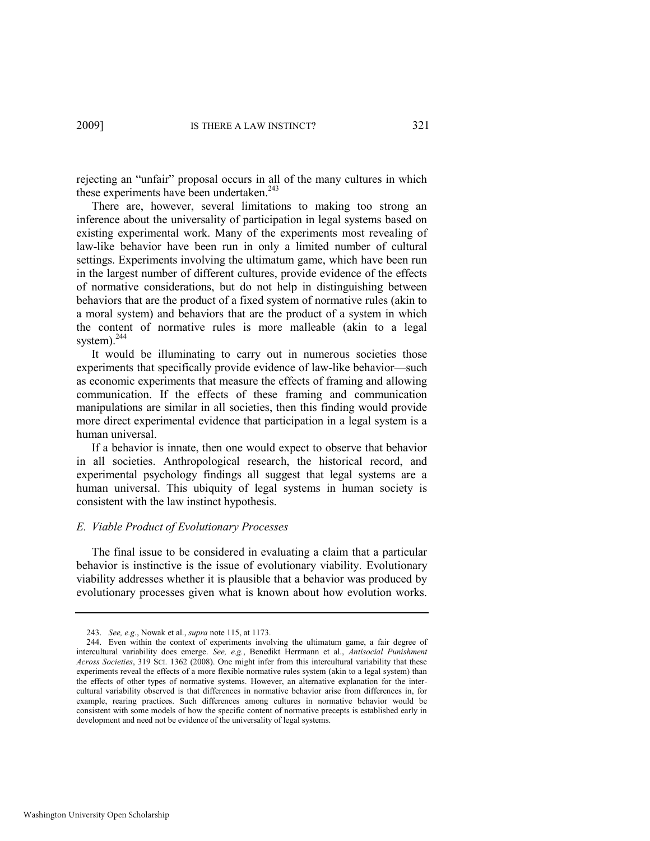rejecting an "unfair" proposal occurs in all of the many cultures in which these experiments have been undertaken.<sup>243</sup>

There are, however, several limitations to making too strong an inference about the universality of participation in legal systems based on existing experimental work. Many of the experiments most revealing of law-like behavior have been run in only a limited number of cultural settings. Experiments involving the ultimatum game, which have been run in the largest number of different cultures, provide evidence of the effects of normative considerations, but do not help in distinguishing between behaviors that are the product of a fixed system of normative rules (akin to a moral system) and behaviors that are the product of a system in which the content of normative rules is more malleable (akin to a legal system). $^{244}$ 

It would be illuminating to carry out in numerous societies those experiments that specifically provide evidence of law-like behavior—such as economic experiments that measure the effects of framing and allowing communication. If the effects of these framing and communication manipulations are similar in all societies, then this finding would provide more direct experimental evidence that participation in a legal system is a human universal.

If a behavior is innate, then one would expect to observe that behavior in all societies. Anthropological research, the historical record, and experimental psychology findings all suggest that legal systems are a human universal. This ubiquity of legal systems in human society is consistent with the law instinct hypothesis.

#### *E. Viable Product of Evolutionary Processes*

The final issue to be considered in evaluating a claim that a particular behavior is instinctive is the issue of evolutionary viability. Evolutionary viability addresses whether it is plausible that a behavior was produced by evolutionary processes given what is known about how evolution works.

<sup>243.</sup> *See, e.g.*, Nowak et al., *supra* not[e 115,](#page-27-0) at 1173.

<sup>244.</sup> Even within the context of experiments involving the ultimatum game, a fair degree of intercultural variability does emerge. *See, e.g.*, Benedikt Herrmann et al., *Antisocial Punishment Across Societies*, 319 SCI. 1362 (2008). One might infer from this intercultural variability that these experiments reveal the effects of a more flexible normative rules system (akin to a legal system) than the effects of other types of normative systems. However, an alternative explanation for the intercultural variability observed is that differences in normative behavior arise from differences in, for example, rearing practices. Such differences among cultures in normative behavior would be consistent with some models of how the specific content of normative precepts is established early in development and need not be evidence of the universality of legal systems.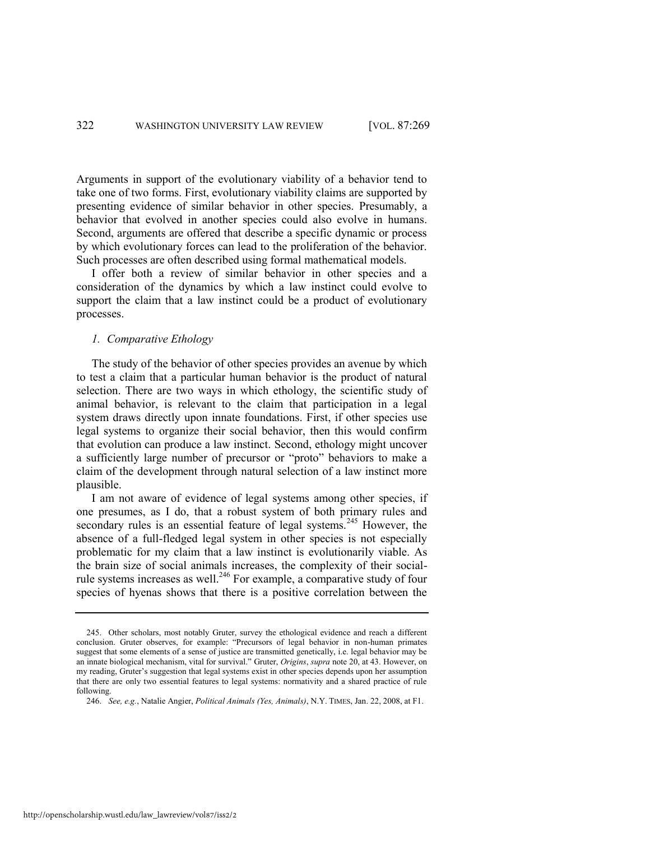Arguments in support of the evolutionary viability of a behavior tend to take one of two forms. First, evolutionary viability claims are supported by presenting evidence of similar behavior in other species. Presumably, a behavior that evolved in another species could also evolve in humans. Second, arguments are offered that describe a specific dynamic or process by which evolutionary forces can lead to the proliferation of the behavior. Such processes are often described using formal mathematical models.

I offer both a review of similar behavior in other species and a consideration of the dynamics by which a law instinct could evolve to support the claim that a law instinct could be a product of evolutionary processes.

#### *1. Comparative Ethology*

The study of the behavior of other species provides an avenue by which to test a claim that a particular human behavior is the product of natural selection. There are two ways in which ethology, the scientific study of animal behavior, is relevant to the claim that participation in a legal system draws directly upon innate foundations. First, if other species use legal systems to organize their social behavior, then this would confirm that evolution can produce a law instinct. Second, ethology might uncover a sufficiently large number of precursor or "proto" behaviors to make a claim of the development through natural selection of a law instinct more plausible.

<span id="page-54-0"></span>I am not aware of evidence of legal systems among other species, if one presumes, as I do, that a robust system of both primary rules and secondary rules is an essential feature of legal systems.<sup>245</sup> However, the absence of a full-fledged legal system in other species is not especially problematic for my claim that a law instinct is evolutionarily viable. As the brain size of social animals increases, the complexity of their socialrule systems increases as well.<sup>246</sup> For example, a comparative study of four species of hyenas shows that there is a positive correlation between the

<sup>245.</sup> Other scholars, most notably Gruter, survey the ethological evidence and reach a different conclusion. Gruter observes, for example: "Precursors of legal behavior in non-human primates suggest that some elements of a sense of justice are transmitted genetically, i.e. legal behavior may be an innate biological mechanism, vital for survival." Gruter, *Origins*, *supra* note [20,](#page-5-2) at 43. However, on my reading, Gruter's suggestion that legal systems exist in other species depends upon her assumption that there are only two essential features to legal systems: normativity and a shared practice of rule following.

<sup>246.</sup> *See, e.g.*, Natalie Angier, *Political Animals (Yes, Animals)*, N.Y. TIMES, Jan. 22, 2008, at F1.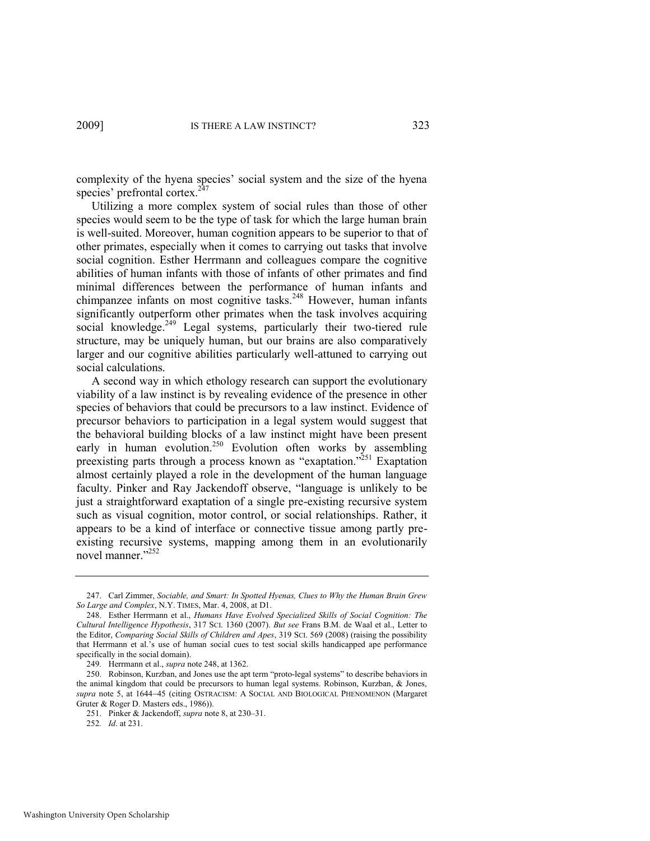complexity of the hyena species' social system and the size of the hyena species' prefrontal cortex.<sup>2</sup>

Utilizing a more complex system of social rules than those of other species would seem to be the type of task for which the large human brain is well-suited. Moreover, human cognition appears to be superior to that of other primates, especially when it comes to carrying out tasks that involve social cognition. Esther Herrmann and colleagues compare the cognitive abilities of human infants with those of infants of other primates and find minimal differences between the performance of human infants and chimpanzee infants on most cognitive tasks.<sup>248</sup> However, human infants significantly outperform other primates when the task involves acquiring social knowledge.<sup>249</sup> Legal systems, particularly their two-tiered rule structure, may be uniquely human, but our brains are also comparatively larger and our cognitive abilities particularly well-attuned to carrying out social calculations.

<span id="page-55-0"></span>A second way in which ethology research can support the evolutionary viability of a law instinct is by revealing evidence of the presence in other species of behaviors that could be precursors to a law instinct. Evidence of precursor behaviors to participation in a legal system would suggest that the behavioral building blocks of a law instinct might have been present early in human evolution.<sup>250</sup> Evolution often works by assembling preexisting parts through a process known as "exaptation."<sup>251</sup> Exaptation almost certainly played a role in the development of the human language faculty. Pinker and Ray Jackendoff observe, "language is unlikely to be just a straightforward exaptation of a single pre-existing recursive system such as visual cognition, motor control, or social relationships. Rather, it appears to be a kind of interface or connective tissue among partly preexisting recursive systems, mapping among them in an evolutionarily novel manner."252

<sup>247.</sup> Carl Zimmer, *Sociable, and Smart: In Spotted Hyenas, Clues to Why the Human Brain Grew So Large and Complex*, N.Y. TIMES, Mar. 4, 2008, at D1.

<sup>248.</sup> Esther Herrmann et al., *Humans Have Evolved Specialized Skills of Social Cognition: The Cultural Intelligence Hypothesis*, 317 SCI. 1360 (2007). *But see* Frans B.M. de Waal et al., Letter to the Editor, *Comparing Social Skills of Children and Apes*, 319 SCI. 569 (2008) (raising the possibility that Herrmann et al.'s use of human social cues to test social skills handicapped ape performance specifically in the social domain).

<sup>249</sup>*.* Herrmann et al., *supra* not[e 248,](#page-55-0) at 1362.

<sup>250.</sup> Robinson, Kurzban, and Jones use the apt term "proto-legal systems" to describe behaviors in the animal kingdom that could be precursors to human legal systems. Robinson, Kurzban, & Jones, *supra* note [5,](#page-3-0) at 164445 (citing OSTRACISM: A SOCIAL AND BIOLOGICAL PHENOMENON (Margaret Gruter & Roger D. Masters eds., 1986)).

<sup>251.</sup> Pinker & Jackendoff, *supra* not[e 8,](#page-3-2) at 230–31.

<sup>252</sup>*. Id*. at 231.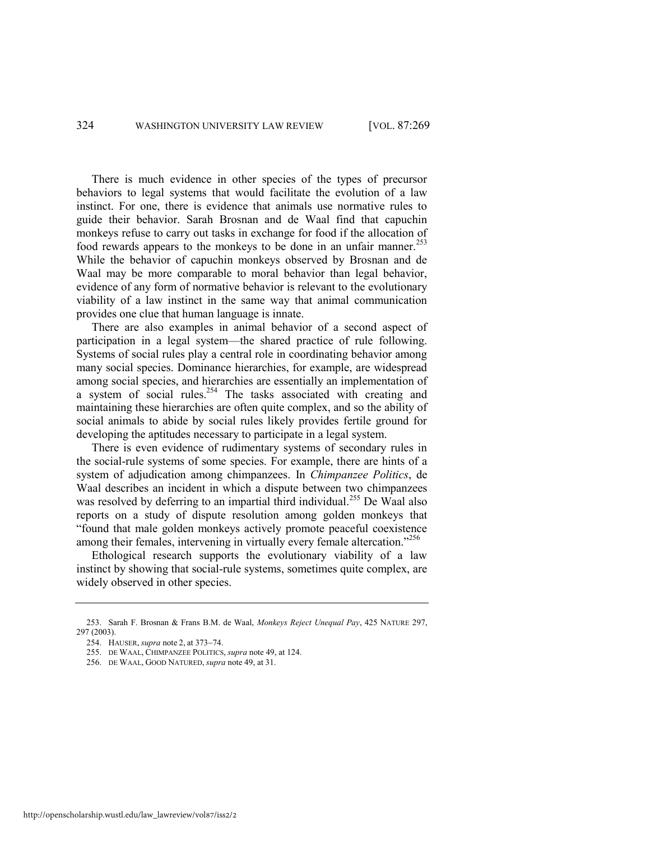There is much evidence in other species of the types of precursor behaviors to legal systems that would facilitate the evolution of a law instinct. For one, there is evidence that animals use normative rules to guide their behavior. Sarah Brosnan and de Waal find that capuchin monkeys refuse to carry out tasks in exchange for food if the allocation of food rewards appears to the monkeys to be done in an unfair manner.<sup>253</sup> While the behavior of capuchin monkeys observed by Brosnan and de Waal may be more comparable to moral behavior than legal behavior, evidence of any form of normative behavior is relevant to the evolutionary viability of a law instinct in the same way that animal communication provides one clue that human language is innate.

There are also examples in animal behavior of a second aspect of participation in a legal system—the shared practice of rule following. Systems of social rules play a central role in coordinating behavior among many social species. Dominance hierarchies, for example, are widespread among social species, and hierarchies are essentially an implementation of a system of social rules.<sup>254</sup> The tasks associated with creating and maintaining these hierarchies are often quite complex, and so the ability of social animals to abide by social rules likely provides fertile ground for developing the aptitudes necessary to participate in a legal system.

There is even evidence of rudimentary systems of secondary rules in the social-rule systems of some species. For example, there are hints of a system of adjudication among chimpanzees. In *Chimpanzee Politics*, de Waal describes an incident in which a dispute between two chimpanzees was resolved by deferring to an impartial third individual.<sup>255</sup> De Waal also reports on a study of dispute resolution among golden monkeys that ―found that male golden monkeys actively promote peaceful coexistence among their females, intervening in virtually every female altercation.<sup>7256</sup>

Ethological research supports the evolutionary viability of a law instinct by showing that social-rule systems, sometimes quite complex, are widely observed in other species.

<sup>253.</sup> Sarah F. Brosnan & Frans B.M. de Waal, *Monkeys Reject Unequal Pay*, 425 NATURE 297, 297 (2003).

<sup>254.</sup> HAUSER, *supra* note [2,](#page-3-1) at 373-74.

<sup>255.</sup> DE WAAL, CHIMPANZEE POLITICS, *supra* not[e 49,](#page-13-0) at 124.

<sup>256.</sup> DE WAAL, GOOD NATURED, *supra* not[e 49,](#page-13-0) at 31.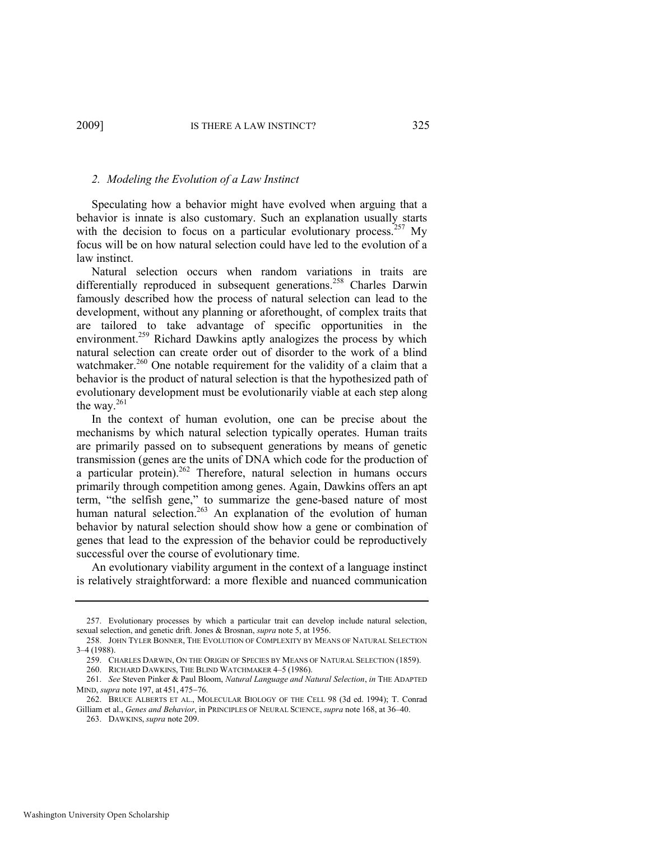# *2. Modeling the Evolution of a Law Instinct*

Speculating how a behavior might have evolved when arguing that a behavior is innate is also customary. Such an explanation usually starts with the decision to focus on a particular evolutionary process.<sup>257</sup> My focus will be on how natural selection could have led to the evolution of a law instinct.

Natural selection occurs when random variations in traits are differentially reproduced in subsequent generations.<sup>258</sup> Charles Darwin famously described how the process of natural selection can lead to the development, without any planning or aforethought, of complex traits that are tailored to take advantage of specific opportunities in the environment.<sup>259</sup> Richard Dawkins aptly analogizes the process by which natural selection can create order out of disorder to the work of a blind watchmaker.<sup>260</sup> One notable requirement for the validity of a claim that a behavior is the product of natural selection is that the hypothesized path of evolutionary development must be evolutionarily viable at each step along the way.<sup>261</sup>

<span id="page-57-0"></span>In the context of human evolution, one can be precise about the mechanisms by which natural selection typically operates. Human traits are primarily passed on to subsequent generations by means of genetic transmission (genes are the units of DNA which code for the production of a particular protein).<sup>262</sup> Therefore, natural selection in humans occurs primarily through competition among genes. Again, Dawkins offers an apt term, "the selfish gene," to summarize the gene-based nature of most human natural selection.<sup>263</sup> An explanation of the evolution of human behavior by natural selection should show how a gene or combination of genes that lead to the expression of the behavior could be reproductively successful over the course of evolutionary time.

An evolutionary viability argument in the context of a language instinct is relatively straightforward: a more flexible and nuanced communication

259. CHARLES DARWIN, ON THE ORIGIN OF SPECIES BY MEANS OF NATURAL SELECTION (1859).

<sup>257.</sup> Evolutionary processes by which a particular trait can develop include natural selection, sexual selection, and genetic drift. Jones & Brosnan, *supra* not[e 5,](#page-3-0) at 1956.

<sup>258.</sup> JOHN TYLER BONNER, THE EVOLUTION OF COMPLEXITY BY MEANS OF NATURAL SELECTION 3–4 (1988).

<sup>260.</sup> RICHARD DAWKINS, THE BLIND WATCHMAKER 4–5 (1986).

<sup>261.</sup> *See* Steven Pinker & Paul Bloom, *Natural Language and Natural Selection*, *in* THE ADAPTED MIND, *supra* not[e 197,](#page-43-1) at 451, 475-76.

<sup>262.</sup> BRUCE ALBERTS ET AL., MOLECULAR BIOLOGY OF THE CELL 98 (3d ed. 1994); T. Conrad Gilliam et al., *Genes and Behavior*, in PRINCIPLES OF NEURAL SCIENCE, *supra* not[e 168,](#page-38-0) at 36–40.

<sup>263.</sup> DAWKINS, *supra* not[e 209.](#page-46-0)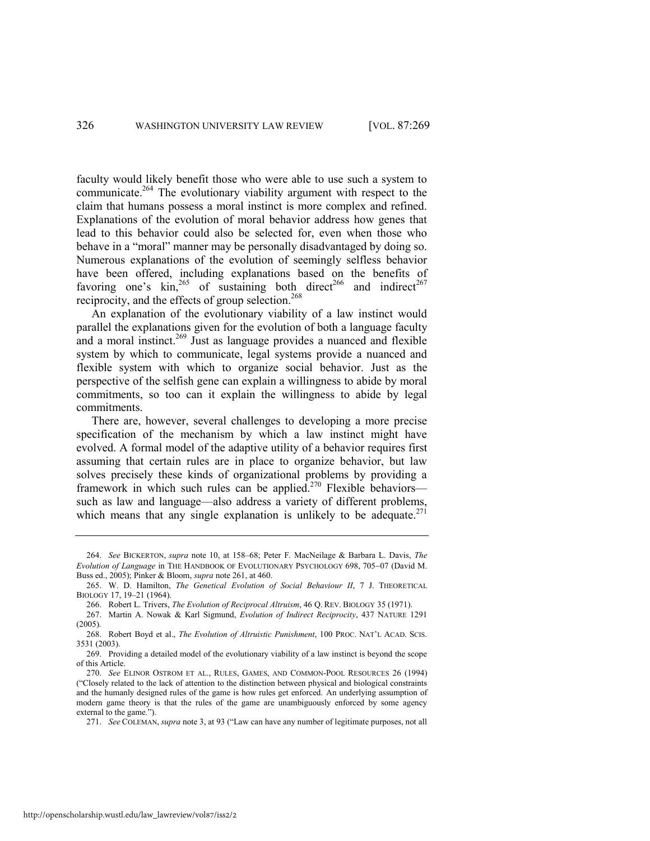faculty would likely benefit those who were able to use such a system to communicate.<sup>264</sup> The evolutionary viability argument with respect to the claim that humans possess a moral instinct is more complex and refined. Explanations of the evolution of moral behavior address how genes that lead to this behavior could also be selected for, even when those who behave in a "moral" manner may be personally disadvantaged by doing so. Numerous explanations of the evolution of seemingly selfless behavior have been offered, including explanations based on the benefits of favoring one's  $\sin^{265}$  of sustaining both direct<sup>266</sup> and indirect<sup>267</sup> reciprocity, and the effects of group selection.<sup>268</sup>

<span id="page-58-0"></span>An explanation of the evolutionary viability of a law instinct would parallel the explanations given for the evolution of both a language faculty and a moral instinct.<sup>269</sup> Just as language provides a nuanced and flexible system by which to communicate, legal systems provide a nuanced and flexible system with which to organize social behavior. Just as the perspective of the selfish gene can explain a willingness to abide by moral commitments, so too can it explain the willingness to abide by legal commitments.

There are, however, several challenges to developing a more precise specification of the mechanism by which a law instinct might have evolved. A formal model of the adaptive utility of a behavior requires first assuming that certain rules are in place to organize behavior, but law solves precisely these kinds of organizational problems by providing a framework in which such rules can be applied.<sup>270</sup> Flexible behaviors such as law and language—also address a variety of different problems, which means that any single explanation is unlikely to be adequate. $271$ 

<sup>264.</sup> *See* BICKERTON, *supra* note [10,](#page-4-2) at 158–68; Peter F. MacNeilage & Barbara L. Davis, *The Evolution of Language* in THE HANDBOOK OF EVOLUTIONARY PSYCHOLOGY 698, 705-07 (David M. Buss ed., 2005); Pinker & Bloom, *supra* not[e 261,](#page-57-0) at 460.

<sup>265.</sup> W. D. Hamilton, *The Genetical Evolution of Social Behaviour II*, 7 J. THEORETICAL BIOLOGY 17, 19–21 (1964).

<sup>266.</sup> Robert L. Trivers, *The Evolution of Reciprocal Altruism*, 46 Q. REV. BIOLOGY 35 (1971).

<sup>267.</sup> Martin A. Nowak & Karl Sigmund, *Evolution of Indirect Reciprocity*, 437 NATURE 1291 (2005).

<sup>268.</sup> Robert Boyd et al., *The Evolution of Altruistic Punishment*, 100 PROC. NAT'L ACAD. SCIS. 3531 (2003).

<sup>269.</sup> Providing a detailed model of the evolutionary viability of a law instinct is beyond the scope of this Article.

<sup>270.</sup> *See* ELINOR OSTROM ET AL., RULES, GAMES, AND COMMON-POOL RESOURCES 26 (1994) (―Closely related to the lack of attention to the distinction between physical and biological constraints and the humanly designed rules of the game is how rules get enforced. An underlying assumption of modern game theory is that the rules of the game are unambiguously enforced by some agency external to the game.").

<sup>271.</sup> *See* COLEMAN, *supra* not[e 3](#page-3-3), at 93 ("Law can have any number of legitimate purposes, not all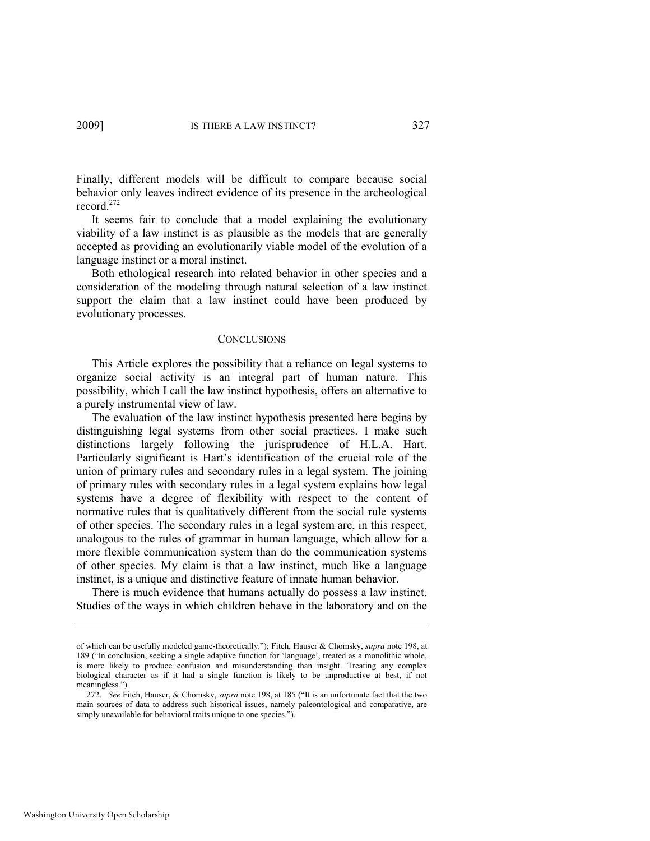Finally, different models will be difficult to compare because social behavior only leaves indirect evidence of its presence in the archeological record.<sup>272</sup>

It seems fair to conclude that a model explaining the evolutionary viability of a law instinct is as plausible as the models that are generally accepted as providing an evolutionarily viable model of the evolution of a language instinct or a moral instinct.

Both ethological research into related behavior in other species and a consideration of the modeling through natural selection of a law instinct support the claim that a law instinct could have been produced by evolutionary processes.

#### **CONCLUSIONS**

This Article explores the possibility that a reliance on legal systems to organize social activity is an integral part of human nature. This possibility, which I call the law instinct hypothesis, offers an alternative to a purely instrumental view of law.

The evaluation of the law instinct hypothesis presented here begins by distinguishing legal systems from other social practices. I make such distinctions largely following the jurisprudence of H.L.A. Hart. Particularly significant is Hart's identification of the crucial role of the union of primary rules and secondary rules in a legal system. The joining of primary rules with secondary rules in a legal system explains how legal systems have a degree of flexibility with respect to the content of normative rules that is qualitatively different from the social rule systems of other species. The secondary rules in a legal system are, in this respect, analogous to the rules of grammar in human language, which allow for a more flexible communication system than do the communication systems of other species. My claim is that a law instinct, much like a language instinct, is a unique and distinctive feature of innate human behavior.

There is much evidence that humans actually do possess a law instinct. Studies of the ways in which children behave in the laboratory and on the

of which can be usefully modeled game-theoretically."); Fitch, Hauser & Chomsky, *supra* not[e 198,](#page-43-2) at 189 ("In conclusion, seeking a single adaptive function for 'language', treated as a monolithic whole, is more likely to produce confusion and misunderstanding than insight. Treating any complex biological character as if it had a single function is likely to be unproductive at best, if not meaningless.").

<sup>272.</sup> *See* Fitch, Hauser, & Chomsky, *supra* not[e 198](#page-43-2), at 185 ("It is an unfortunate fact that the two main sources of data to address such historical issues, namely paleontological and comparative, are simply unavailable for behavioral traits unique to one species.").